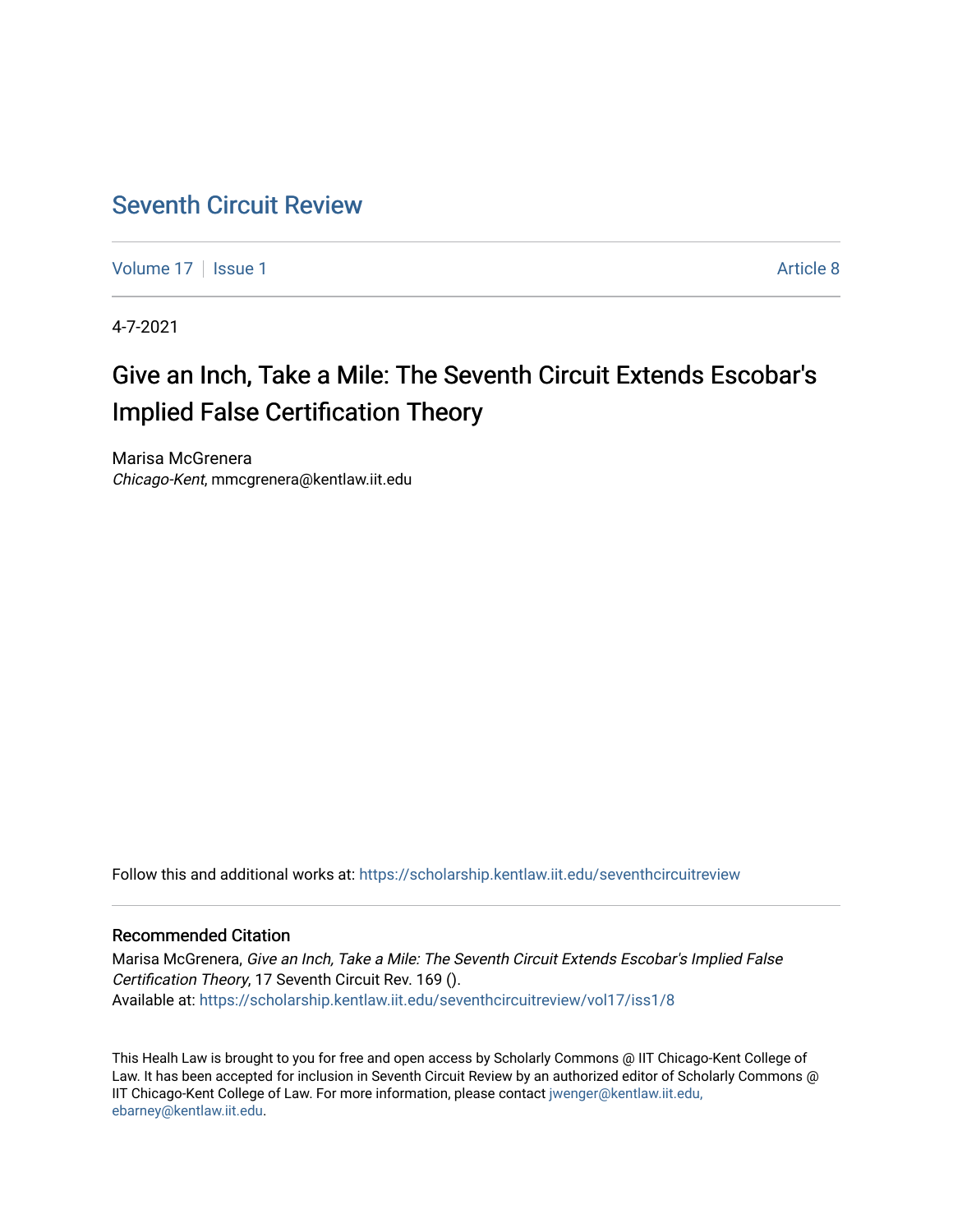## [Seventh Circuit Review](https://scholarship.kentlaw.iit.edu/seventhcircuitreview)

[Volume 17](https://scholarship.kentlaw.iit.edu/seventhcircuitreview/vol17) | [Issue 1](https://scholarship.kentlaw.iit.edu/seventhcircuitreview/vol17/iss1) Article 8

4-7-2021

# Give an Inch, Take a Mile: The Seventh Circuit Extends Escobar's Implied False Certification Theory

Marisa McGrenera Chicago-Kent, mmcgrenera@kentlaw.iit.edu

Follow this and additional works at: [https://scholarship.kentlaw.iit.edu/seventhcircuitreview](https://scholarship.kentlaw.iit.edu/seventhcircuitreview?utm_source=scholarship.kentlaw.iit.edu%2Fseventhcircuitreview%2Fvol17%2Fiss1%2F8&utm_medium=PDF&utm_campaign=PDFCoverPages) 

## Recommended Citation

Marisa McGrenera, Give an Inch, Take a Mile: The Seventh Circuit Extends Escobar's Implied False Certification Theory, 17 Seventh Circuit Rev. 169 (). Available at: [https://scholarship.kentlaw.iit.edu/seventhcircuitreview/vol17/iss1/8](https://scholarship.kentlaw.iit.edu/seventhcircuitreview/vol17/iss1/8?utm_source=scholarship.kentlaw.iit.edu%2Fseventhcircuitreview%2Fvol17%2Fiss1%2F8&utm_medium=PDF&utm_campaign=PDFCoverPages) 

This Healh Law is brought to you for free and open access by Scholarly Commons @ IIT Chicago-Kent College of Law. It has been accepted for inclusion in Seventh Circuit Review by an authorized editor of Scholarly Commons @ IIT Chicago-Kent College of Law. For more information, please contact [jwenger@kentlaw.iit.edu,](mailto:jwenger@kentlaw.iit.edu,%20ebarney@kentlaw.iit.edu)  [ebarney@kentlaw.iit.edu](mailto:jwenger@kentlaw.iit.edu,%20ebarney@kentlaw.iit.edu).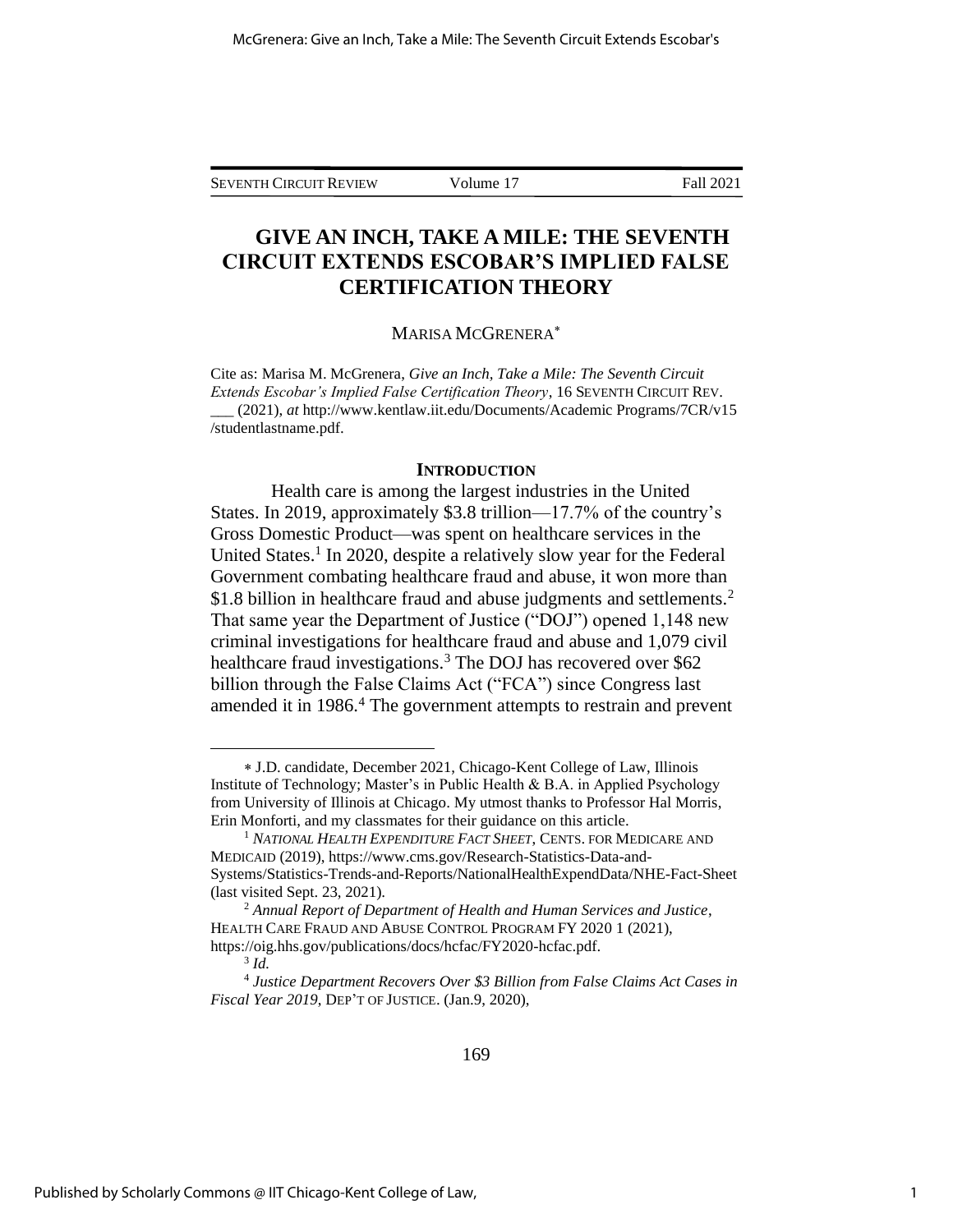## **GIVE AN INCH, TAKE A MILE: THE SEVENTH CIRCUIT EXTENDS ESCOBAR'S IMPLIED FALSE CERTIFICATION THEORY**

#### MARISA MCGRENERA

Cite as: Marisa M. McGrenera, *Give an Inch, Take a Mile: The Seventh Circuit Extends Escobar's Implied False Certification Theory*, 16 SEVENTH CIRCUIT REV. \_\_\_ (2021), *at* http://www.kentlaw.iit.edu/Documents/Academic Programs/7CR/v15 /studentlastname.pdf.

#### **INTRODUCTION**

Health care is among the largest industries in the United States. In 2019, approximately \$3.8 trillion—17.7% of the country's Gross Domestic Product—was spent on healthcare services in the United States.<sup>1</sup> In 2020, despite a relatively slow year for the Federal Government combating healthcare fraud and abuse, it won more than \$1.8 billion in healthcare fraud and abuse judgments and settlements.<sup>2</sup> That same year the Department of Justice ("DOJ") opened 1,148 new criminal investigations for healthcare fraud and abuse and 1,079 civil healthcare fraud investigations.<sup>3</sup> The DOJ has recovered over \$62 billion through the False Claims Act ("FCA") since Congress last amended it in 1986.<sup>4</sup> The government attempts to restrain and prevent

J.D. candidate, December 2021, Chicago-Kent College of Law, Illinois Institute of Technology; Master's in Public Health & B.A. in Applied Psychology from University of Illinois at Chicago. My utmost thanks to Professor Hal Morris, Erin Monforti, and my classmates for their guidance on this article.

<sup>1</sup> *NATIONAL HEALTH EXPENDITURE FACT SHEET*, CENTS. FOR MEDICARE AND MEDICAID (2019), https://www.cms.gov/Research-Statistics-Data-and-Systems/Statistics-Trends-and-Reports/NationalHealthExpendData/NHE-Fact-Sheet (last visited Sept. 23, 2021).

<sup>2</sup> *Annual Report of Department of Health and Human Services and Justice*, HEALTH CARE FRAUD AND ABUSE CONTROL PROGRAM FY 2020 1 (2021), https://oig.hhs.gov/publications/docs/hcfac/FY2020-hcfac.pdf.

<sup>3</sup> *Id.*

<sup>4</sup> *Justice Department Recovers Over \$3 Billion from False Claims Act Cases in Fiscal Year 2019*, DEP'T OF JUSTICE. (Jan.9, 2020),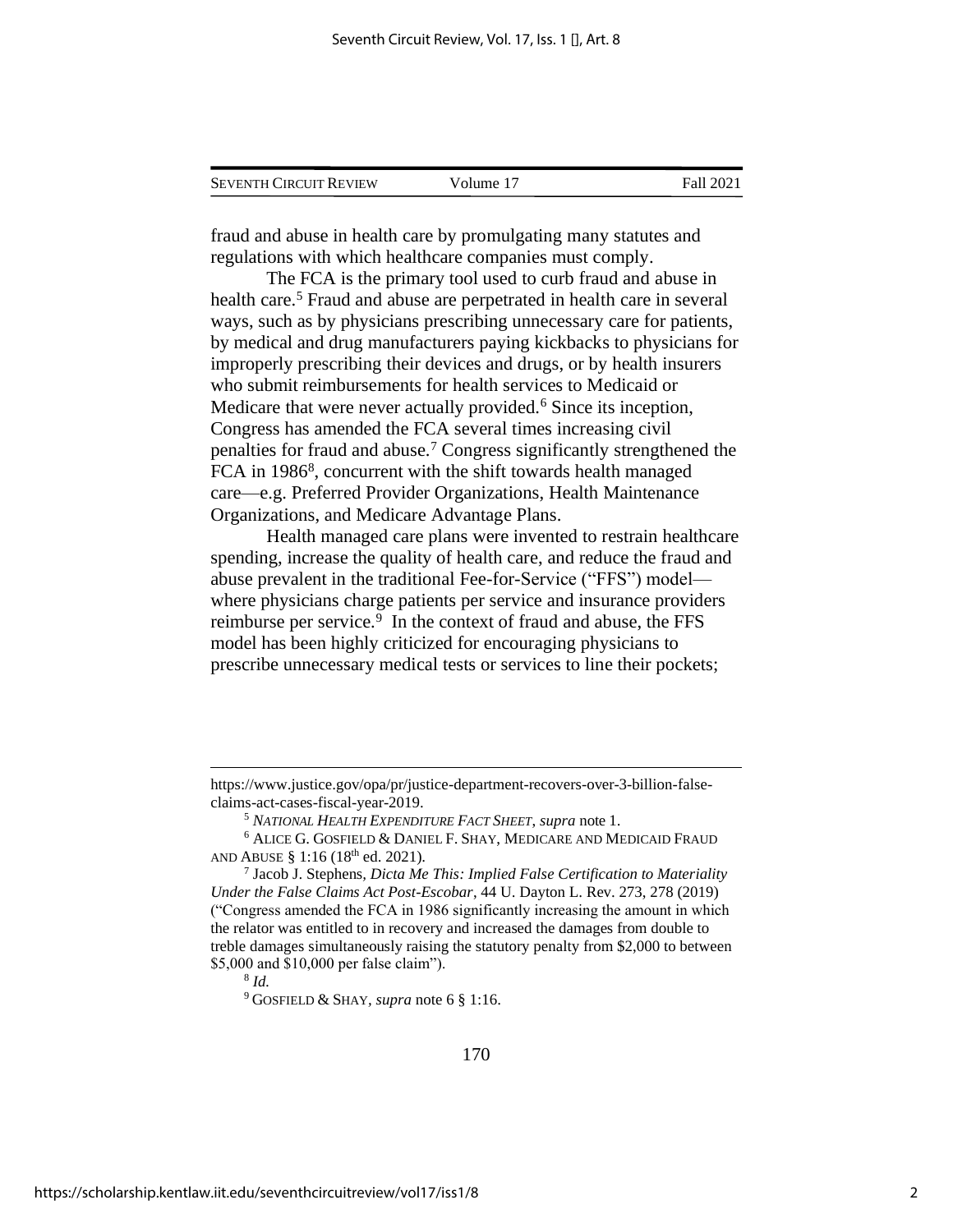| <b>SEVENTH CIRCUIT REVIEW</b> | Volume 17 | Fall 2021 |
|-------------------------------|-----------|-----------|
|                               |           |           |

fraud and abuse in health care by promulgating many statutes and regulations with which healthcare companies must comply.

The FCA is the primary tool used to curb fraud and abuse in health care.<sup>5</sup> Fraud and abuse are perpetrated in health care in several ways, such as by physicians prescribing unnecessary care for patients, by medical and drug manufacturers paying kickbacks to physicians for improperly prescribing their devices and drugs, or by health insurers who submit reimbursements for health services to Medicaid or Medicare that were never actually provided.<sup>6</sup> Since its inception, Congress has amended the FCA several times increasing civil penalties for fraud and abuse.<sup>7</sup> Congress significantly strengthened the FCA in 1986<sup>8</sup>, concurrent with the shift towards health managed care—e.g. Preferred Provider Organizations, Health Maintenance Organizations, and Medicare Advantage Plans.

Health managed care plans were invented to restrain healthcare spending, increase the quality of health care, and reduce the fraud and abuse prevalent in the traditional Fee-for-Service ("FFS") model where physicians charge patients per service and insurance providers reimburse per service.<sup>9</sup> In the context of fraud and abuse, the FFS model has been highly criticized for encouraging physicians to prescribe unnecessary medical tests or services to line their pockets;

8 *Id.*

<sup>9</sup> GOSFIELD & SHAY*, supra* note 6 § 1:16.

https://www.justice.gov/opa/pr/justice-department-recovers-over-3-billion-falseclaims-act-cases-fiscal-year-2019.

<sup>5</sup> *NATIONAL HEALTH EXPENDITURE FACT SHEET*, *supra* note 1.

<sup>6</sup> ALICE G. GOSFIELD & DANIEL F.SHAY, MEDICARE AND MEDICAID FRAUD AND ABUSE § 1:16 (18<sup>th</sup> ed. 2021).

<sup>7</sup> Jacob J. Stephens*, Dicta Me This: Implied False Certification to Materiality Under the False Claims Act Post-Escobar*, 44 U. Dayton L. Rev. 273, 278 (2019) ("Congress amended the FCA in 1986 significantly increasing the amount in which the relator was entitled to in recovery and increased the damages from double to treble damages simultaneously raising the statutory penalty from \$2,000 to between \$5,000 and \$10,000 per false claim").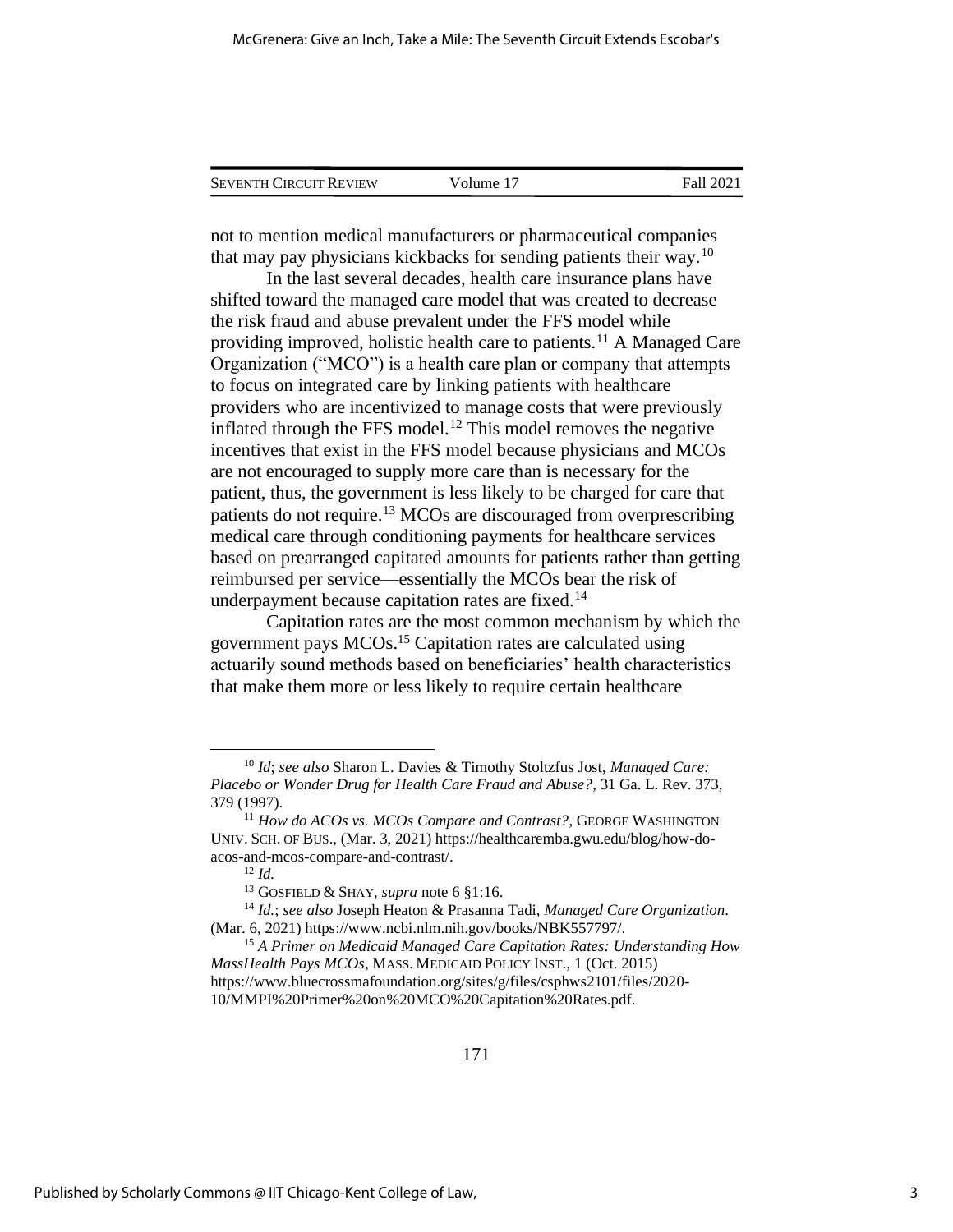| <b>SEVENTH CIRCUIT REVIEW</b> | Volume 17 | Fall 2021 |
|-------------------------------|-----------|-----------|
|                               |           |           |

not to mention medical manufacturers or pharmaceutical companies that may pay physicians kickbacks for sending patients their way.<sup>10</sup>

In the last several decades, health care insurance plans have shifted toward the managed care model that was created to decrease the risk fraud and abuse prevalent under the FFS model while providing improved, holistic health care to patients.<sup>11</sup> A Managed Care Organization ("MCO") is a health care plan or company that attempts to focus on integrated care by linking patients with healthcare providers who are incentivized to manage costs that were previously inflated through the FFS model.<sup>12</sup> This model removes the negative incentives that exist in the FFS model because physicians and MCOs are not encouraged to supply more care than is necessary for the patient, thus, the government is less likely to be charged for care that patients do not require.<sup>13</sup> MCOs are discouraged from overprescribing medical care through conditioning payments for healthcare services based on prearranged capitated amounts for patients rather than getting reimbursed per service—essentially the MCOs bear the risk of underpayment because capitation rates are fixed.<sup>14</sup>

Capitation rates are the most common mechanism by which the government pays MCOs.<sup>15</sup> Capitation rates are calculated using actuarily sound methods based on beneficiaries' health characteristics that make them more or less likely to require certain healthcare

<sup>10</sup> *Id*; *see also* Sharon L. Davies & Timothy Stoltzfus Jost, *Managed Care: Placebo or Wonder Drug for Health Care Fraud and Abuse?*, 31 Ga. L. Rev. 373, 379 (1997).

<sup>11</sup> *How do ACOs vs. MCOs Compare and Contrast?*, GEORGE WASHINGTON UNIV.SCH. OF BUS., (Mar. 3, 2021) https://healthcaremba.gwu.edu/blog/how-doacos-and-mcos-compare-and-contrast/.

<sup>12</sup> *Id.*

<sup>13</sup> GOSFIELD & SHAY*, supra* note 6 §1:16.

<sup>14</sup> *Id.*; *see also* Joseph Heaton & Prasanna Tadi, *Managed Care Organization*. (Mar. 6, 2021) https://www.ncbi.nlm.nih.gov/books/NBK557797/.

<sup>15</sup> *A Primer on Medicaid Managed Care Capitation Rates: Understanding How MassHealth Pays MCOs*, MASS. MEDICAID POLICY INST., 1 (Oct. 2015) https://www.bluecrossmafoundation.org/sites/g/files/csphws2101/files/2020- 10/MMPI%20Primer%20on%20MCO%20Capitation%20Rates.pdf.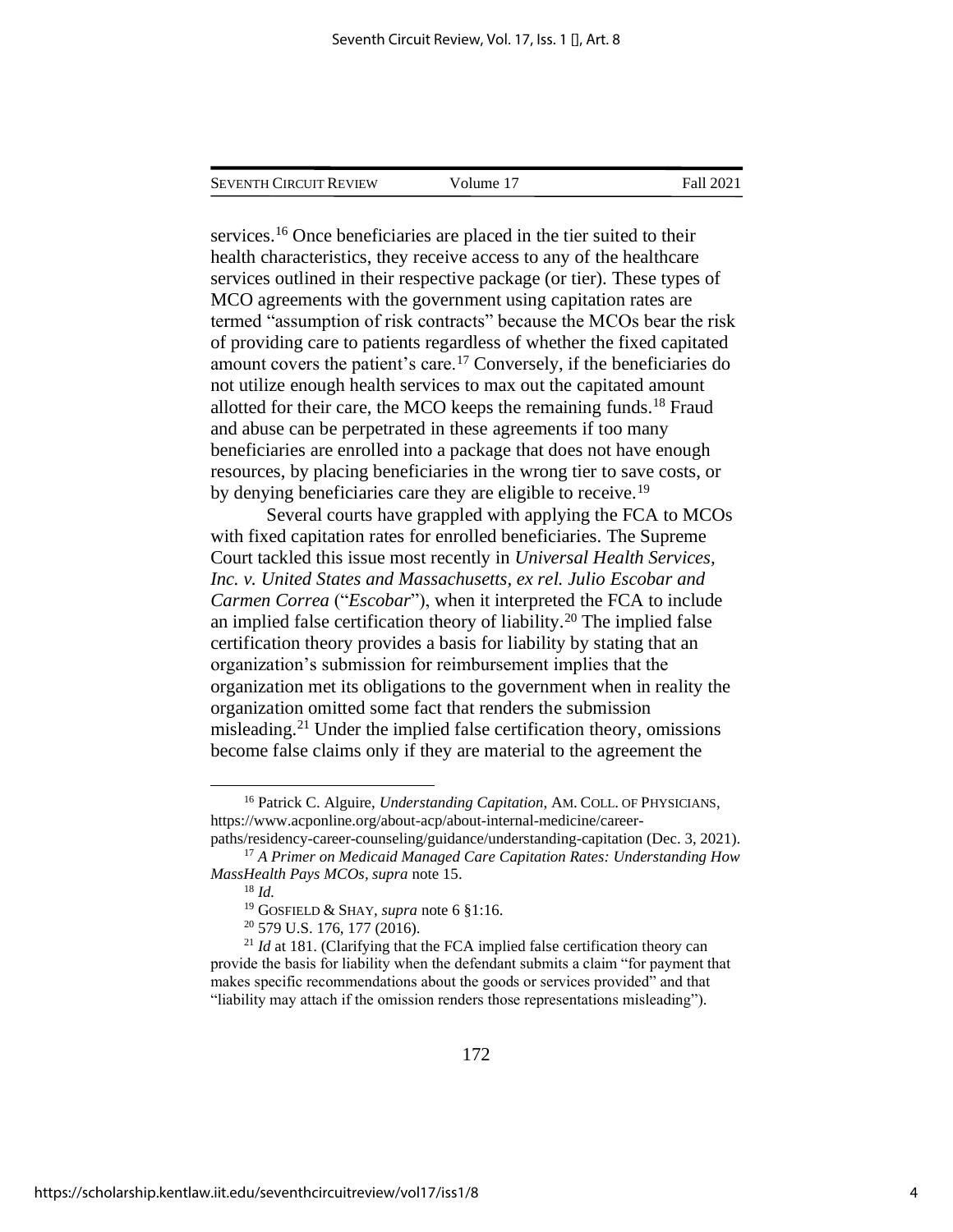| Seventh Circuit Review | Volume 17 | Fall 2021 |
|------------------------|-----------|-----------|
|                        |           |           |

services.<sup>16</sup> Once beneficiaries are placed in the tier suited to their health characteristics, they receive access to any of the healthcare services outlined in their respective package (or tier). These types of MCO agreements with the government using capitation rates are termed "assumption of risk contracts" because the MCOs bear the risk of providing care to patients regardless of whether the fixed capitated amount covers the patient's care.<sup>17</sup> Conversely, if the beneficiaries do not utilize enough health services to max out the capitated amount allotted for their care, the MCO keeps the remaining funds.<sup>18</sup> Fraud and abuse can be perpetrated in these agreements if too many beneficiaries are enrolled into a package that does not have enough resources, by placing beneficiaries in the wrong tier to save costs, or by denying beneficiaries care they are eligible to receive.<sup>19</sup>

Several courts have grappled with applying the FCA to MCOs with fixed capitation rates for enrolled beneficiaries. The Supreme Court tackled this issue most recently in *Universal Health Services, Inc. v. United States and Massachusetts, ex rel. Julio Escobar and Carmen Correa* ("*Escobar*"), when it interpreted the FCA to include an implied false certification theory of liability.<sup>20</sup> The implied false certification theory provides a basis for liability by stating that an organization's submission for reimbursement implies that the organization met its obligations to the government when in reality the organization omitted some fact that renders the submission misleading.<sup>21</sup> Under the implied false certification theory, omissions become false claims only if they are material to the agreement the

<sup>16</sup> Patrick C. Alguire, *Understanding Capitation*, AM. COLL. OF PHYSICIANS, https://www.acponline.org/about-acp/about-internal-medicine/careerpaths/residency-career-counseling/guidance/understanding-capitation (Dec. 3, 2021).

<sup>17</sup> *A Primer on Medicaid Managed Care Capitation Rates: Understanding How MassHealth Pays MCOs, supra* note 15.

<sup>18</sup> *Id.*

<sup>19</sup> GOSFIELD & SHAY*, supra* note 6 §1:16.

<sup>20</sup> 579 U.S. 176, 177 (2016).

<sup>&</sup>lt;sup>21</sup> *Id* at 181. (Clarifying that the FCA implied false certification theory can provide the basis for liability when the defendant submits a claim "for payment that makes specific recommendations about the goods or services provided" and that "liability may attach if the omission renders those representations misleading").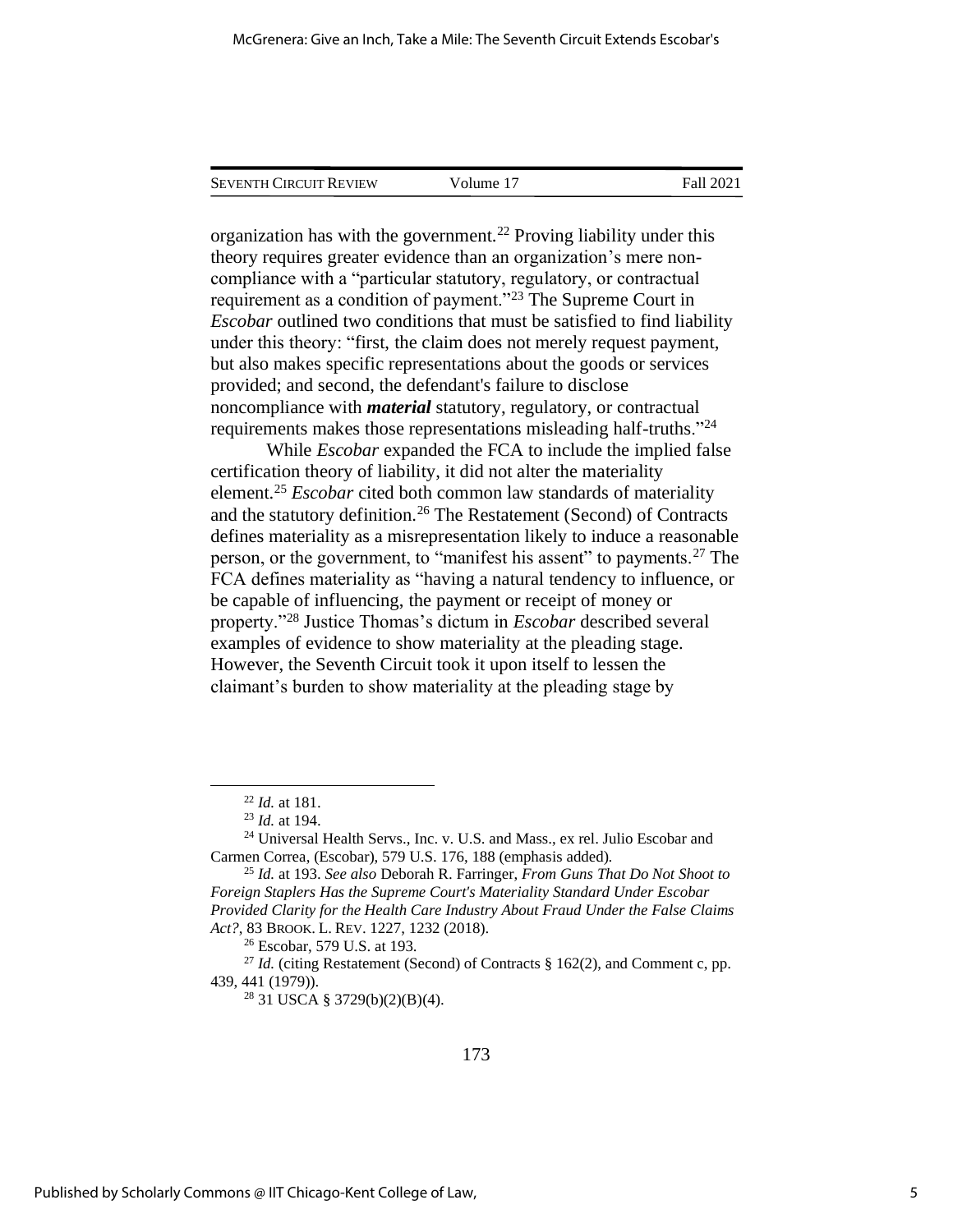| <b>SEVENTH CIRCUIT REVIEW</b> | Volume 17 | Fall 2021 |
|-------------------------------|-----------|-----------|
|                               |           |           |

organization has with the government.<sup>22</sup> Proving liability under this theory requires greater evidence than an organization's mere noncompliance with a "particular statutory, regulatory, or contractual requirement as a condition of payment."<sup>23</sup> The Supreme Court in *Escobar* outlined two conditions that must be satisfied to find liability under this theory: "first, the claim does not merely request payment, but also makes specific representations about the goods or services provided; and second, the defendant's failure to disclose noncompliance with *material* statutory, regulatory, or contractual requirements makes those representations misleading half-truths."<sup>24</sup>

While *Escobar* expanded the FCA to include the implied false certification theory of liability, it did not alter the materiality element.<sup>25</sup> *Escobar* cited both common law standards of materiality and the statutory definition.<sup>26</sup> The Restatement (Second) of Contracts defines materiality as a misrepresentation likely to induce a reasonable person, or the government, to "manifest his assent" to payments.<sup>27</sup> The FCA defines materiality as "having a natural tendency to influence, or be capable of influencing, the payment or receipt of money or property."<sup>28</sup> Justice Thomas's dictum in *Escobar* described several examples of evidence to show materiality at the pleading stage. However, the Seventh Circuit took it upon itself to lessen the claimant's burden to show materiality at the pleading stage by

<sup>28</sup> 31 USCA § 3729(b)(2)(B)(4).

<sup>22</sup> *Id.* at 181.

<sup>23</sup> *Id.* at 194.

<sup>&</sup>lt;sup>24</sup> Universal Health Servs., Inc. v. U.S. and Mass., ex rel. Julio Escobar and Carmen Correa, (Escobar), 579 U.S. 176, 188 (emphasis added).

<sup>25</sup> *Id.* at 193. *See also* Deborah R. Farringer, *From Guns That Do Not Shoot to Foreign Staplers Has the Supreme Court's Materiality Standard Under Escobar Provided Clarity for the Health Care Industry About Fraud Under the False Claims Act?*, 83 BROOK. L. REV. 1227, 1232 (2018).

<sup>26</sup> Escobar, 579 U.S. at 193.

<sup>&</sup>lt;sup>27</sup> *Id.* (citing Restatement (Second) of Contracts § 162(2), and Comment c, pp. 439, 441 (1979)).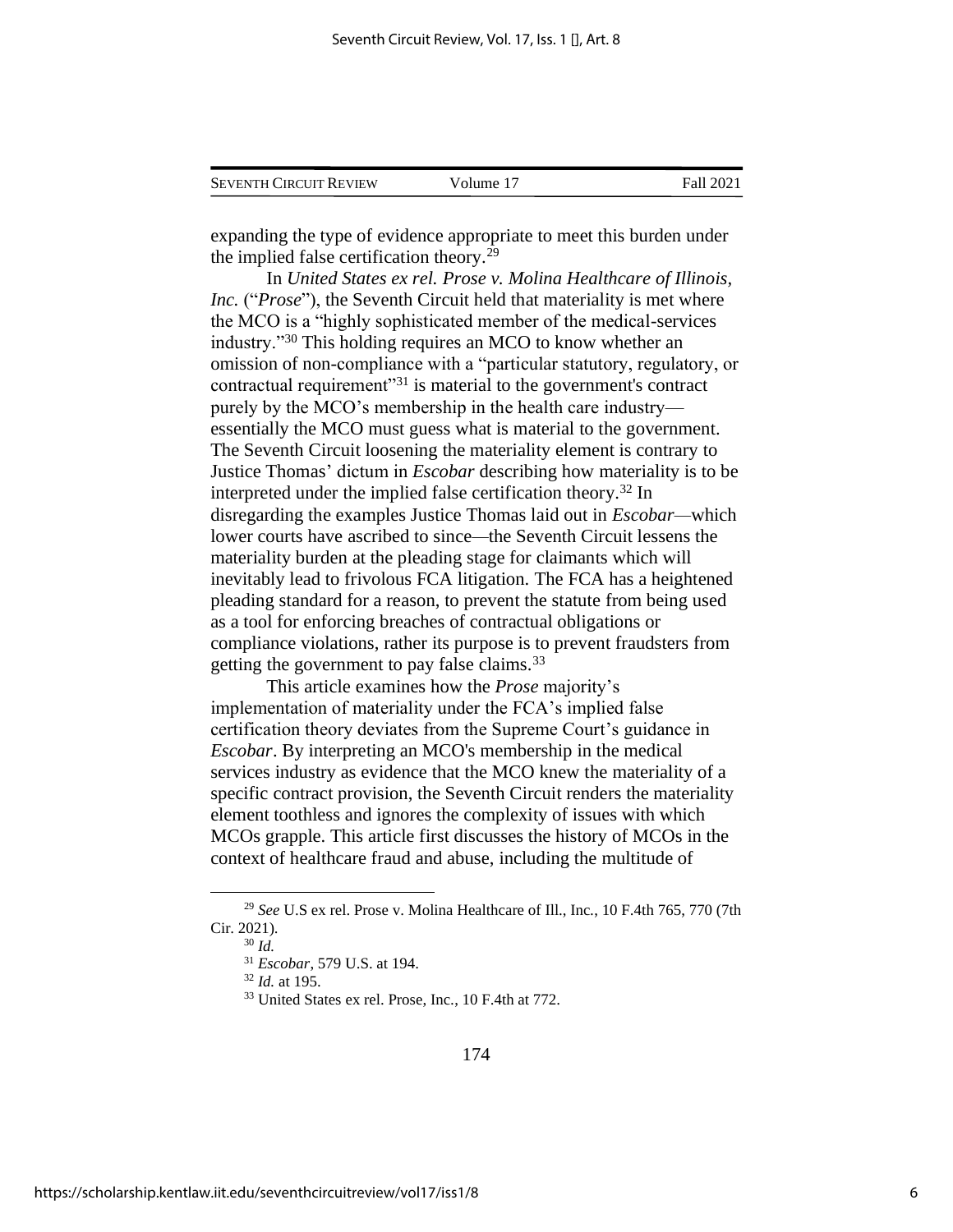| <b>SEVENTH CIRCUIT REVIEW</b> | Volume 17 | Fall 2021 |
|-------------------------------|-----------|-----------|
|                               |           |           |

expanding the type of evidence appropriate to meet this burden under the implied false certification theory.<sup>29</sup>

In *United States ex rel. Prose v. Molina Healthcare of Illinois, Inc.* ("*Prose*"), the Seventh Circuit held that materiality is met where the MCO is a "highly sophisticated member of the medical-services industry."<sup>30</sup> This holding requires an MCO to know whether an omission of non-compliance with a "particular statutory, regulatory, or contractual requirement"<sup>31</sup> is material to the government's contract purely by the MCO's membership in the health care industry essentially the MCO must guess what is material to the government. The Seventh Circuit loosening the materiality element is contrary to Justice Thomas' dictum in *Escobar* describing how materiality is to be interpreted under the implied false certification theory.<sup>32</sup> In disregarding the examples Justice Thomas laid out in *Escobar—*which lower courts have ascribed to since*—*the Seventh Circuit lessens the materiality burden at the pleading stage for claimants which will inevitably lead to frivolous FCA litigation. The FCA has a heightened pleading standard for a reason, to prevent the statute from being used as a tool for enforcing breaches of contractual obligations or compliance violations, rather its purpose is to prevent fraudsters from getting the government to pay false claims.<sup>33</sup>

This article examines how the *Prose* majority's implementation of materiality under the FCA's implied false certification theory deviates from the Supreme Court's guidance in *Escobar*. By interpreting an MCO's membership in the medical services industry as evidence that the MCO knew the materiality of a specific contract provision, the Seventh Circuit renders the materiality element toothless and ignores the complexity of issues with which MCOs grapple. This article first discusses the history of MCOs in the context of healthcare fraud and abuse, including the multitude of

<sup>29</sup> *See* U.S ex rel. Prose v. Molina Healthcare of Ill., Inc*.*, 10 F.4th 765, 770 (7th Cir. 2021).

<sup>30</sup> *Id.*

<sup>31</sup> *Escobar*, 579 U.S. at 194.

<sup>32</sup> *Id.* at 195.

<sup>33</sup> United States ex rel. Prose, Inc*.*, 10 F.4th at 772.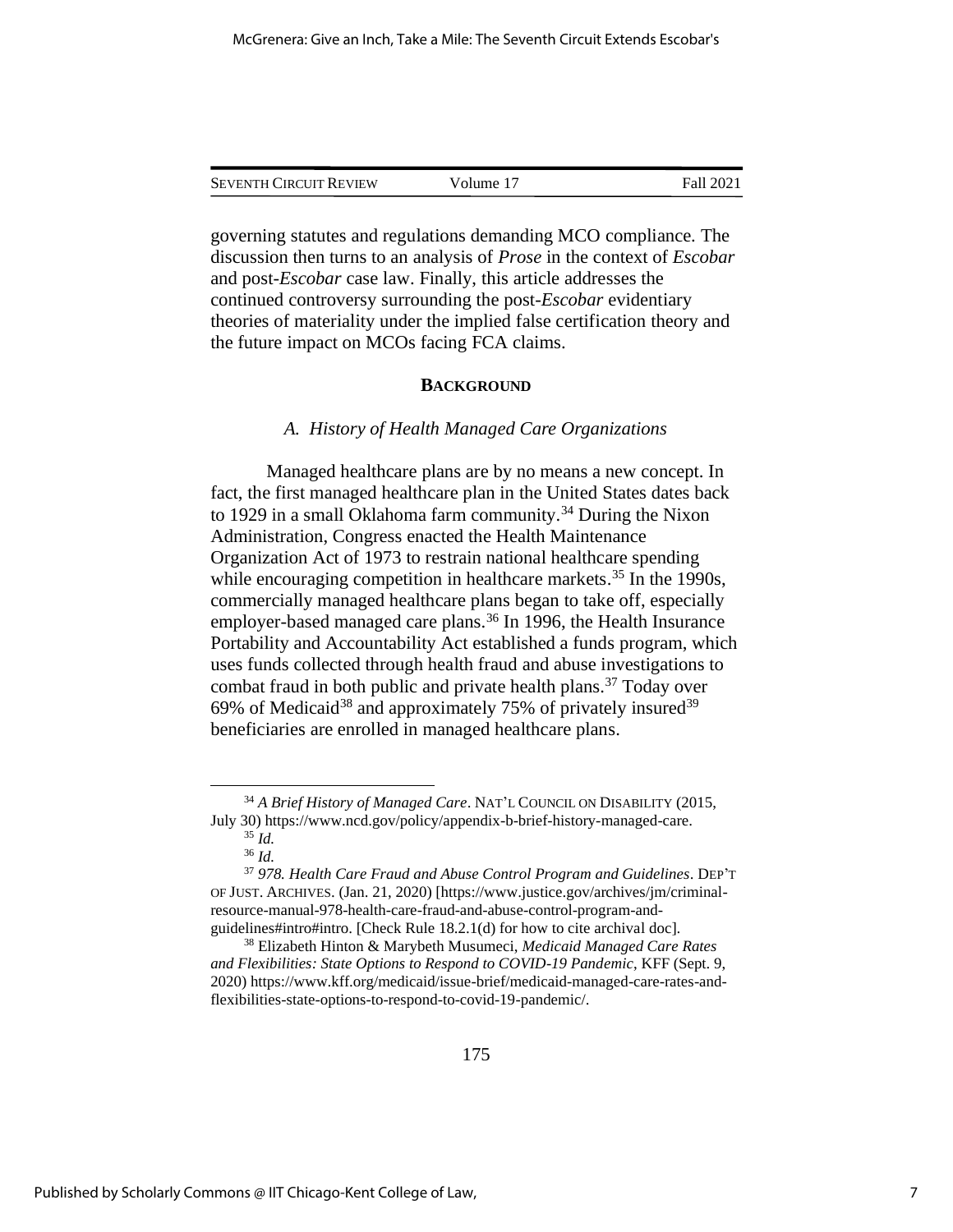| <b>SEVENTH CIRCUIT REVIEW</b> | Volume 17 | Fall 2021 |
|-------------------------------|-----------|-----------|
|                               |           |           |

governing statutes and regulations demanding MCO compliance. The discussion then turns to an analysis of *Prose* in the context of *Escobar* and post-*Escobar* case law. Finally, this article addresses the continued controversy surrounding the post-*Escobar* evidentiary theories of materiality under the implied false certification theory and the future impact on MCOs facing FCA claims.

#### **BACKGROUND**

#### *A. History of Health Managed Care Organizations*

Managed healthcare plans are by no means a new concept. In fact, the first managed healthcare plan in the United States dates back to 1929 in a small Oklahoma farm community.<sup>34</sup> During the Nixon Administration, Congress enacted the Health Maintenance Organization Act of 1973 to restrain national healthcare spending while encouraging competition in healthcare markets.<sup>35</sup> In the 1990s. commercially managed healthcare plans began to take off, especially employer-based managed care plans.<sup>36</sup> In 1996, the Health Insurance Portability and Accountability Act established a funds program, which uses funds collected through health fraud and abuse investigations to combat fraud in both public and private health plans.<sup>37</sup> Today over 69% of Medicaid<sup>38</sup> and approximately 75% of privately insured<sup>39</sup> beneficiaries are enrolled in managed healthcare plans.

<sup>34</sup> *A Brief History of Managed Care*. NAT'L COUNCIL ON DISABILITY (2015, July 30) https://www.ncd.gov/policy/appendix-b-brief-history-managed-care. <sup>35</sup> *Id.*

<sup>36</sup> *Id.* 

<sup>37</sup> *978. Health Care Fraud and Abuse Control Program and Guidelines*. DEP'T OF JUST. ARCHIVES. (Jan. 21, 2020) [https://www.justice.gov/archives/jm/criminalresource-manual-978-health-care-fraud-and-abuse-control-program-andguidelines#intro#intro. [Check Rule 18.2.1(d) for how to cite archival doc].

<sup>38</sup> Elizabeth Hinton & Marybeth Musumeci, *Medicaid Managed Care Rates and Flexibilities: State Options to Respond to COVID-19 Pandemic*, KFF (Sept. 9, 2020) https://www.kff.org/medicaid/issue-brief/medicaid-managed-care-rates-andflexibilities-state-options-to-respond-to-covid-19-pandemic/.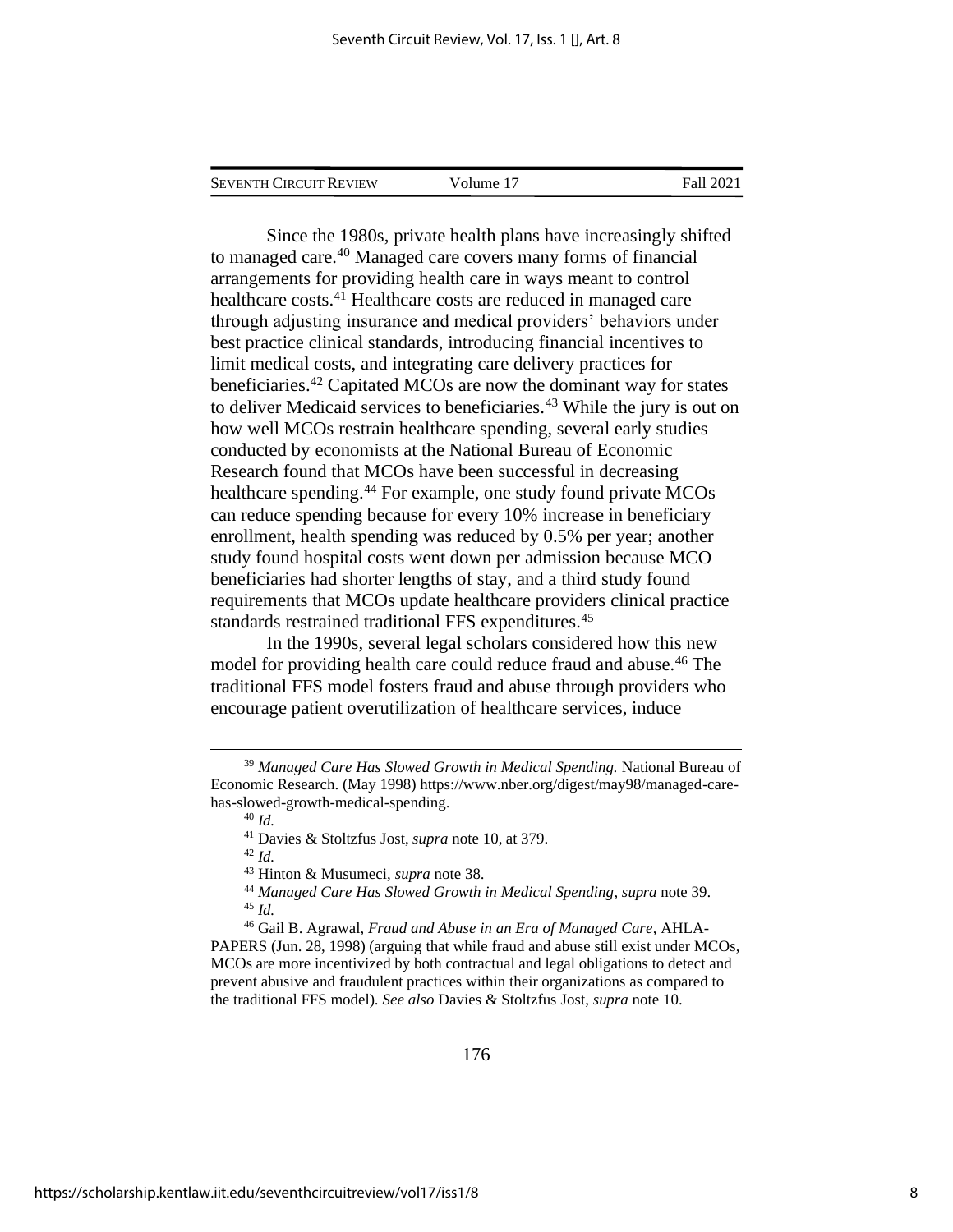| <b>SEVENTH CIRCUIT REVIEW</b> | Volume 17 | Fall 2021 |
|-------------------------------|-----------|-----------|
|                               |           |           |

Since the 1980s, private health plans have increasingly shifted to managed care.<sup>40</sup> Managed care covers many forms of financial arrangements for providing health care in ways meant to control healthcare costs.<sup>41</sup> Healthcare costs are reduced in managed care through adjusting insurance and medical providers' behaviors under best practice clinical standards, introducing financial incentives to limit medical costs, and integrating care delivery practices for beneficiaries.<sup>42</sup> Capitated MCOs are now the dominant way for states to deliver Medicaid services to beneficiaries.<sup>43</sup> While the jury is out on how well MCOs restrain healthcare spending, several early studies conducted by economists at the National Bureau of Economic Research found that MCOs have been successful in decreasing healthcare spending.<sup>44</sup> For example, one study found private MCOs can reduce spending because for every 10% increase in beneficiary enrollment, health spending was reduced by 0.5% per year; another study found hospital costs went down per admission because MCO beneficiaries had shorter lengths of stay, and a third study found requirements that MCOs update healthcare providers clinical practice standards restrained traditional FFS expenditures.<sup>45</sup>

In the 1990s, several legal scholars considered how this new model for providing health care could reduce fraud and abuse.<sup>46</sup> The traditional FFS model fosters fraud and abuse through providers who encourage patient overutilization of healthcare services, induce

176

<sup>39</sup> *Managed Care Has Slowed Growth in Medical Spending.* National Bureau of Economic Research. (May 1998) https://www.nber.org/digest/may98/managed-carehas-slowed-growth-medical-spending. <sup>40</sup> *Id.*

<sup>41</sup> Davies & Stoltzfus Jost, *supra* note 10, at 379.

<sup>42</sup> *Id.*

<sup>43</sup> Hinton & Musumeci, *supra* note 38.

<sup>44</sup> *Managed Care Has Slowed Growth in Medical Spending*, *supra* note 39. <sup>45</sup> *Id.*

<sup>46</sup> Gail B. Agrawal, *Fraud and Abuse in an Era of Managed Care*, AHLA-PAPERS (Jun. 28, 1998) (arguing that while fraud and abuse still exist under MCOs, MCOs are more incentivized by both contractual and legal obligations to detect and prevent abusive and fraudulent practices within their organizations as compared to the traditional FFS model). *See also* Davies & Stoltzfus Jost, *supra* note 10.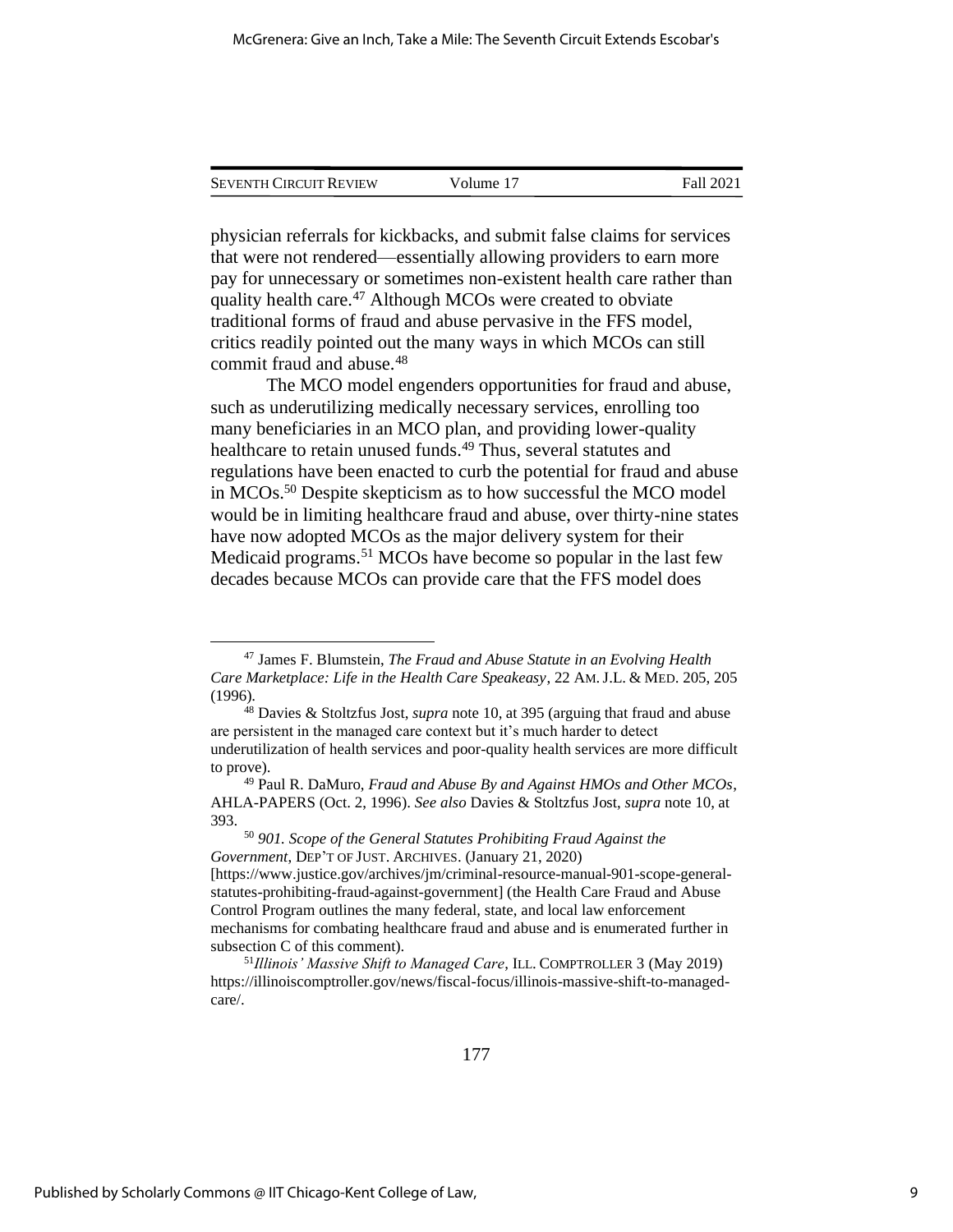| <b>SEVENTH CIRCUIT REVIEW</b> | Volume 17 | Fall 2021 |
|-------------------------------|-----------|-----------|
|                               |           |           |

physician referrals for kickbacks, and submit false claims for services that were not rendered—essentially allowing providers to earn more pay for unnecessary or sometimes non-existent health care rather than quality health care.<sup>47</sup> Although MCOs were created to obviate traditional forms of fraud and abuse pervasive in the FFS model, critics readily pointed out the many ways in which MCOs can still commit fraud and abuse.<sup>48</sup>

The MCO model engenders opportunities for fraud and abuse, such as underutilizing medically necessary services, enrolling too many beneficiaries in an MCO plan, and providing lower-quality healthcare to retain unused funds.<sup>49</sup> Thus, several statutes and regulations have been enacted to curb the potential for fraud and abuse in MCOs.<sup>50</sup> Despite skepticism as to how successful the MCO model would be in limiting healthcare fraud and abuse, over thirty-nine states have now adopted MCOs as the major delivery system for their Medicaid programs.<sup>51</sup> MCOs have become so popular in the last few decades because MCOs can provide care that the FFS model does

<sup>47</sup> James F. Blumstein, *The Fraud and Abuse Statute in an Evolving Health Care Marketplace: Life in the Health Care Speakeasy*, 22 AM.J.L. & MED. 205, 205 (1996).

<sup>48</sup> Davies & Stoltzfus Jost, *supra* note 10, at 395 (arguing that fraud and abuse are persistent in the managed care context but it's much harder to detect underutilization of health services and poor-quality health services are more difficult to prove).

<sup>49</sup> Paul R. DaMuro, *Fraud and Abuse By and Against HMOs and Other MCOs*, AHLA-PAPERS (Oct. 2, 1996). *See also* Davies & Stoltzfus Jost, *supra* note 10, at 393.

<sup>50</sup> *901. Scope of the General Statutes Prohibiting Fraud Against the Government*, DEP'T OF JUST. ARCHIVES. (January 21, 2020)

<sup>[</sup>https://www.justice.gov/archives/jm/criminal-resource-manual-901-scope-generalstatutes-prohibiting-fraud-against-government] (the Health Care Fraud and Abuse Control Program outlines the many federal, state, and local law enforcement mechanisms for combating healthcare fraud and abuse and is enumerated further in subsection C of this comment).

<sup>51</sup>*Illinois' Massive Shift to Managed Care*, ILL. COMPTROLLER 3 (May 2019) https://illinoiscomptroller.gov/news/fiscal-focus/illinois-massive-shift-to-managedcare/.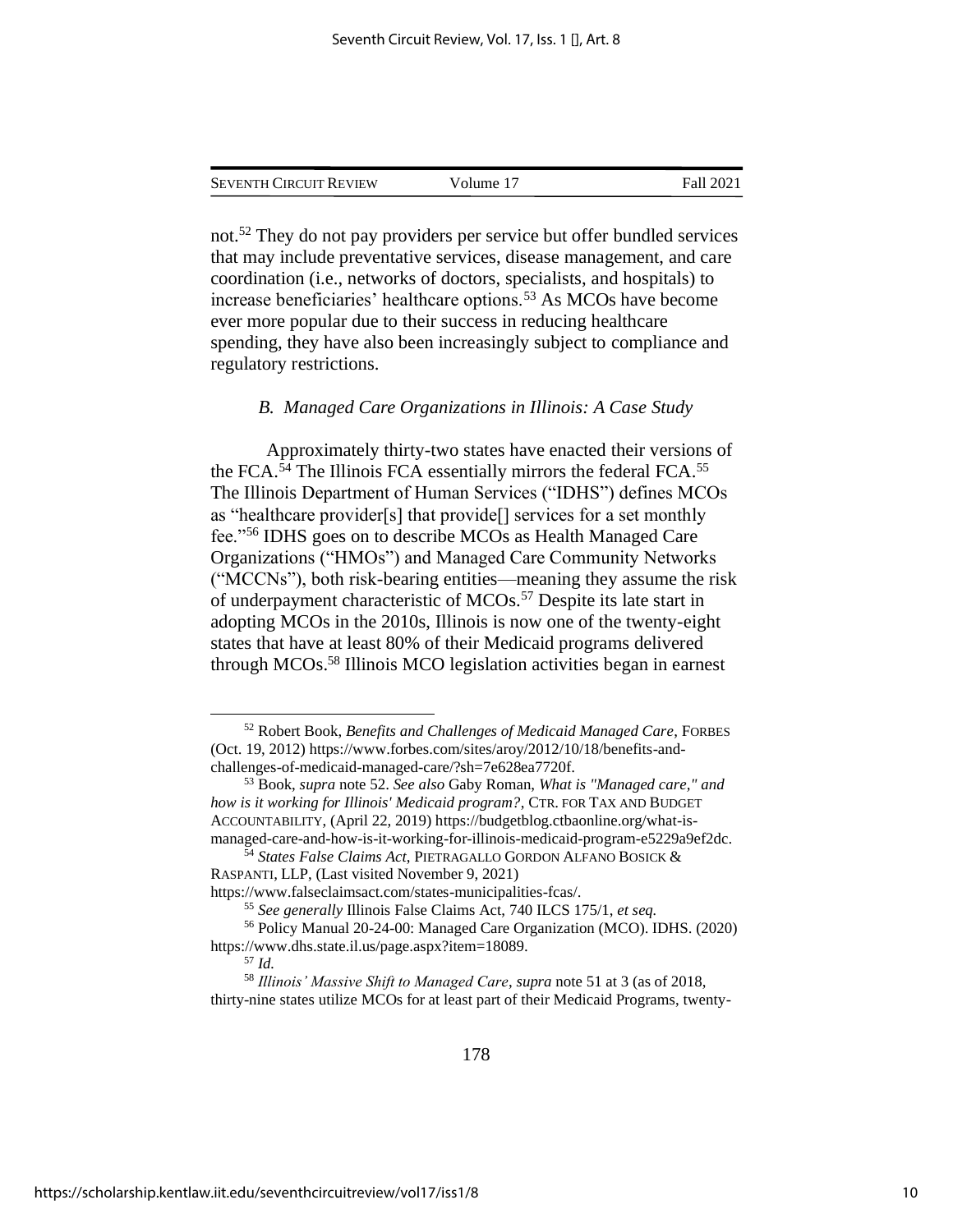| <b>SEVENTH CIRCUIT REVIEW</b> | Volume 17 | Fall 2021 |
|-------------------------------|-----------|-----------|
|                               |           |           |

not.<sup>52</sup> They do not pay providers per service but offer bundled services that may include preventative services, disease management, and care coordination (i.e., networks of doctors, specialists, and hospitals) to increase beneficiaries' healthcare options.<sup>53</sup> As MCOs have become ever more popular due to their success in reducing healthcare spending, they have also been increasingly subject to compliance and regulatory restrictions.

#### *B. Managed Care Organizations in Illinois: A Case Study*

Approximately thirty-two states have enacted their versions of the FCA.<sup>54</sup> The Illinois FCA essentially mirrors the federal FCA.<sup>55</sup> The Illinois Department of Human Services ("IDHS") defines MCOs as "healthcare provider[s] that provide[] services for a set monthly fee."<sup>56</sup> IDHS goes on to describe MCOs as Health Managed Care Organizations ("HMOs") and Managed Care Community Networks ("MCCNs"), both risk-bearing entities—meaning they assume the risk of underpayment characteristic of MCOs.<sup>57</sup> Despite its late start in adopting MCOs in the 2010s, Illinois is now one of the twenty-eight states that have at least 80% of their Medicaid programs delivered through MCOs.<sup>58</sup> Illinois MCO legislation activities began in earnest

<sup>52</sup> Robert Book, *Benefits and Challenges of Medicaid Managed Care*, FORBES (Oct. 19, 2012) [https://www.forbes.com/sites/aroy/2012/10/18/benefits-and](https://www.forbes.com/sites/aroy/2012/10/18/benefits-and-challenges-of-medicaid-managed-care/?sh=7e628ea7720f)[challenges-of-medicaid-managed-care/?sh=7e628ea7720f.](https://www.forbes.com/sites/aroy/2012/10/18/benefits-and-challenges-of-medicaid-managed-care/?sh=7e628ea7720f)

<sup>53</sup> Book, *supra* note 52. *See also* Gaby Roman, *What is "Managed care," and how is it working for Illinois' Medicaid program?*, CTR. FOR TAX AND BUDGET ACCOUNTABILITY, (April 22, 2019) https://budgetblog.ctbaonline.org/what-ismanaged-care-and-how-is-it-working-for-illinois-medicaid-program-e5229a9ef2dc.

<sup>54</sup> *States False Claims Act*, PIETRAGALLO GORDON ALFANO BOSICK & RASPANTI, LLP, (Last visited November 9, 2021)

https://www.falseclaimsact.com/states-municipalities-fcas/.

<sup>55</sup> *See generally* Illinois False Claims Act, 740 ILCS 175/1, *et seq.*

<sup>56</sup> Policy Manual 20-24-00: Managed Care Organization (MCO). IDHS. (2020) https://www.dhs.state.il.us/page.aspx?item=18089.

<sup>57</sup> *Id.*

<sup>58</sup> *Illinois' Massive Shift to Managed Care*, *supra* note 51 at 3 (as of 2018, thirty-nine states utilize MCOs for at least part of their Medicaid Programs, twenty-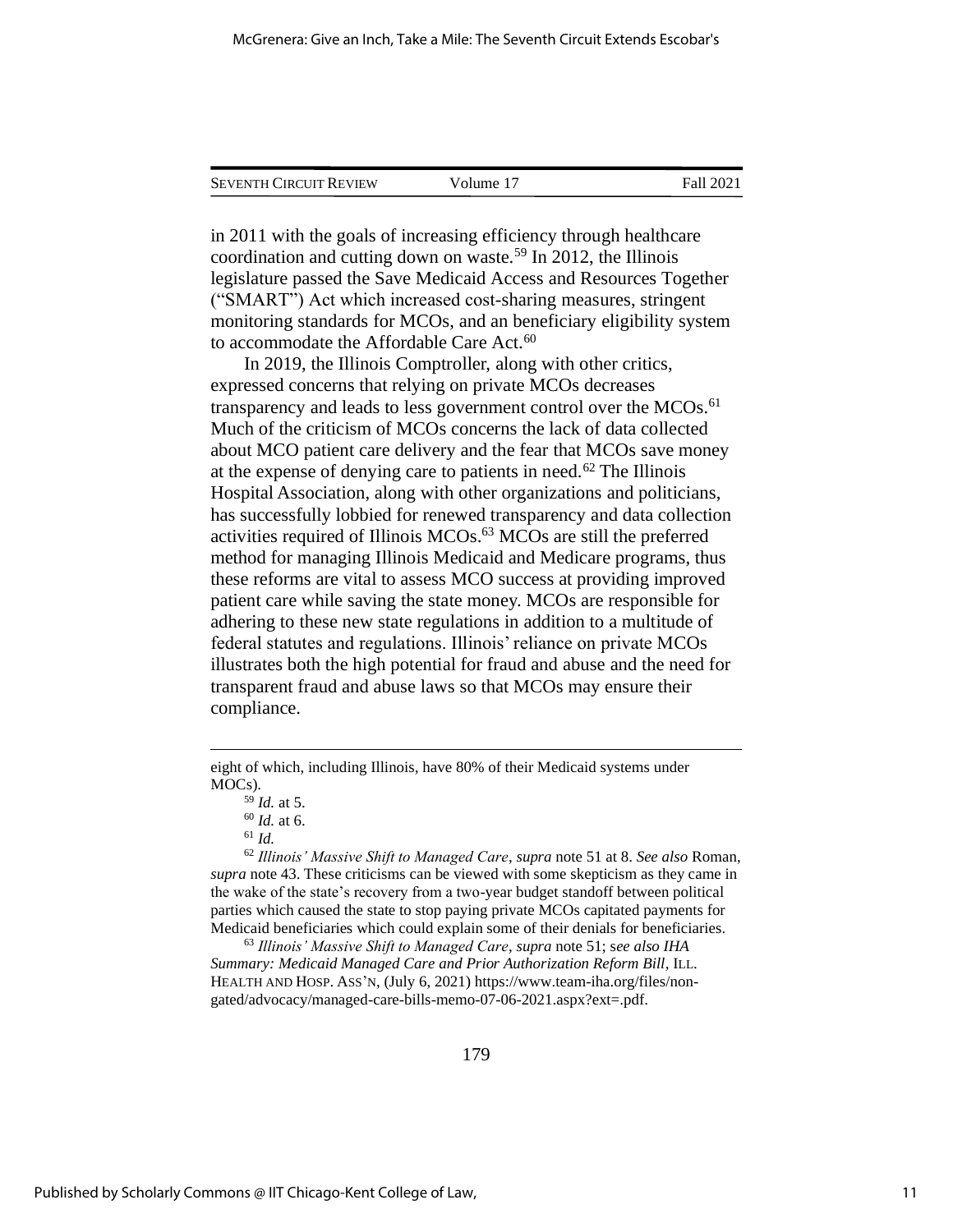| <b>SEVENTH CIRCUIT REVIEW</b> | Volume 17 | Fall 2021 |
|-------------------------------|-----------|-----------|
|                               |           |           |

in 2011 with the goals of increasing efficiency through healthcare coordination and cutting down on waste.<sup>59</sup> In 2012, the Illinois legislature passed the Save Medicaid Access and Resources Together ("SMART") Act which increased cost-sharing measures, stringent monitoring standards for MCOs, and an beneficiary eligibility system to accommodate the Affordable Care Act.<sup>60</sup>

In 2019, the Illinois Comptroller, along with other critics, expressed concerns that relying on private MCOs decreases transparency and leads to less government control over the MCOs.<sup>61</sup> Much of the criticism of MCOs concerns the lack of data collected about MCO patient care delivery and the fear that MCOs save money at the expense of denying care to patients in need.<sup> $62$ </sup> The Illinois Hospital Association, along with other organizations and politicians, has successfully lobbied for renewed transparency and data collection activities required of Illinois MCOs.<sup>63</sup> MCOs are still the preferred method for managing Illinois Medicaid and Medicare programs, thus these reforms are vital to assess MCO success at providing improved patient care while saving the state money. MCOs are responsible for adhering to these new state regulations in addition to a multitude of federal statutes and regulations. Illinois' reliance on private MCOs illustrates both the high potential for fraud and abuse and the need for transparent fraud and abuse laws so that MCOs may ensure their compliance.

<sup>62</sup> *Illinois' Massive Shift to Managed Care*, *supra* note 51 at 8. *See also* Roman, *supra* note 43. These criticisms can be viewed with some skepticism as they came in the wake of the state's recovery from a two-year budget standoff between political parties which caused the state to stop paying private MCOs capitated payments for Medicaid beneficiaries which could explain some of their denials for beneficiaries.

<sup>63</sup> *Illinois' Massive Shift to Managed Care*, *supra* note 51; s*ee also IHA Summary: Medicaid Managed Care and Prior Authorization Reform Bill*, ILL. HEALTH AND HOSP. ASS'N, (July 6, 2021) https://www.team-iha.org/files/nongated/advocacy/managed-care-bills-memo-07-06-2021.aspx?ext=.pdf.

eight of which, including Illinois, have 80% of their Medicaid systems under MOCs).

<sup>59</sup> *Id.* at 5.

<sup>60</sup> *Id.* at 6.

<sup>61</sup> *Id.*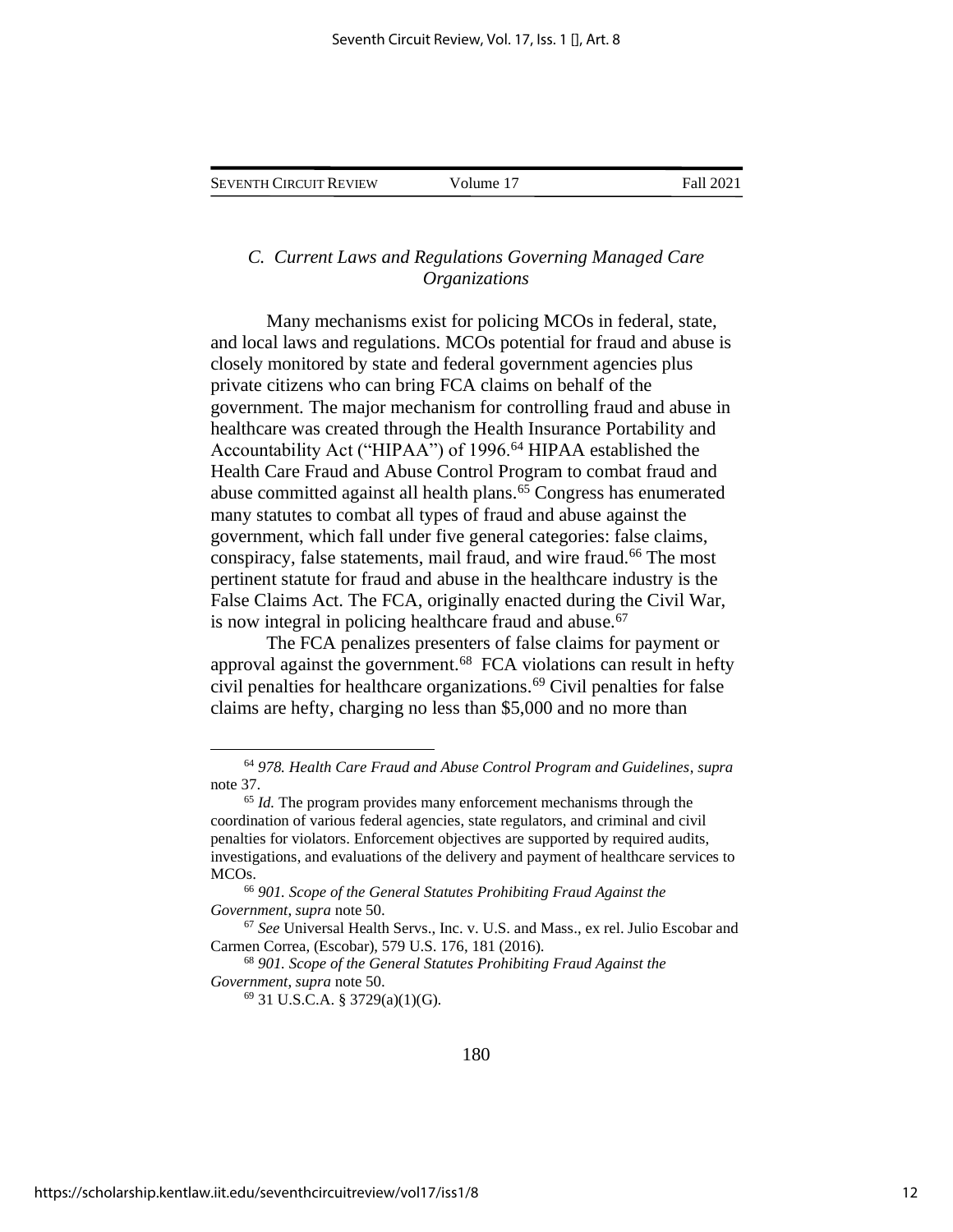## *C. Current Laws and Regulations Governing Managed Care Organizations*

Many mechanisms exist for policing MCOs in federal, state, and local laws and regulations. MCOs potential for fraud and abuse is closely monitored by state and federal government agencies plus private citizens who can bring FCA claims on behalf of the government. The major mechanism for controlling fraud and abuse in healthcare was created through the Health Insurance Portability and Accountability Act ("HIPAA") of 1996.<sup>64</sup> HIPAA established the Health Care Fraud and Abuse Control Program to combat fraud and abuse committed against all health plans. $65$  Congress has enumerated many statutes to combat all types of fraud and abuse against the government, which fall under five general categories: false claims, conspiracy, false statements, mail fraud, and wire fraud.<sup>66</sup> The most pertinent statute for fraud and abuse in the healthcare industry is the False Claims Act. The FCA, originally enacted during the Civil War, is now integral in policing healthcare fraud and abuse.<sup>67</sup>

The FCA penalizes presenters of false claims for payment or approval against the government.<sup>68</sup> FCA violations can result in hefty civil penalties for healthcare organizations.<sup>69</sup> Civil penalties for false claims are hefty, charging no less than \$5,000 and no more than

<sup>69</sup> 31 U.S.C.A. § 3729(a)(1)(G).

<sup>64</sup> *978. Health Care Fraud and Abuse Control Program and Guidelines*, *supra*  note 37.

<sup>65</sup> *Id.* The program provides many enforcement mechanisms through the coordination of various federal agencies, state regulators, and criminal and civil penalties for violators. Enforcement objectives are supported by required audits, investigations, and evaluations of the delivery and payment of healthcare services to MCOs.

<sup>66</sup> *901. Scope of the General Statutes Prohibiting Fraud Against the Government*, *supra* note 50.

<sup>67</sup> *See* Universal Health Servs., Inc. v. U.S. and Mass., ex rel. Julio Escobar and Carmen Correa, (Escobar), 579 U.S. 176, 181 (2016).

<sup>68</sup> *901. Scope of the General Statutes Prohibiting Fraud Against the Government*, *supra* note 50.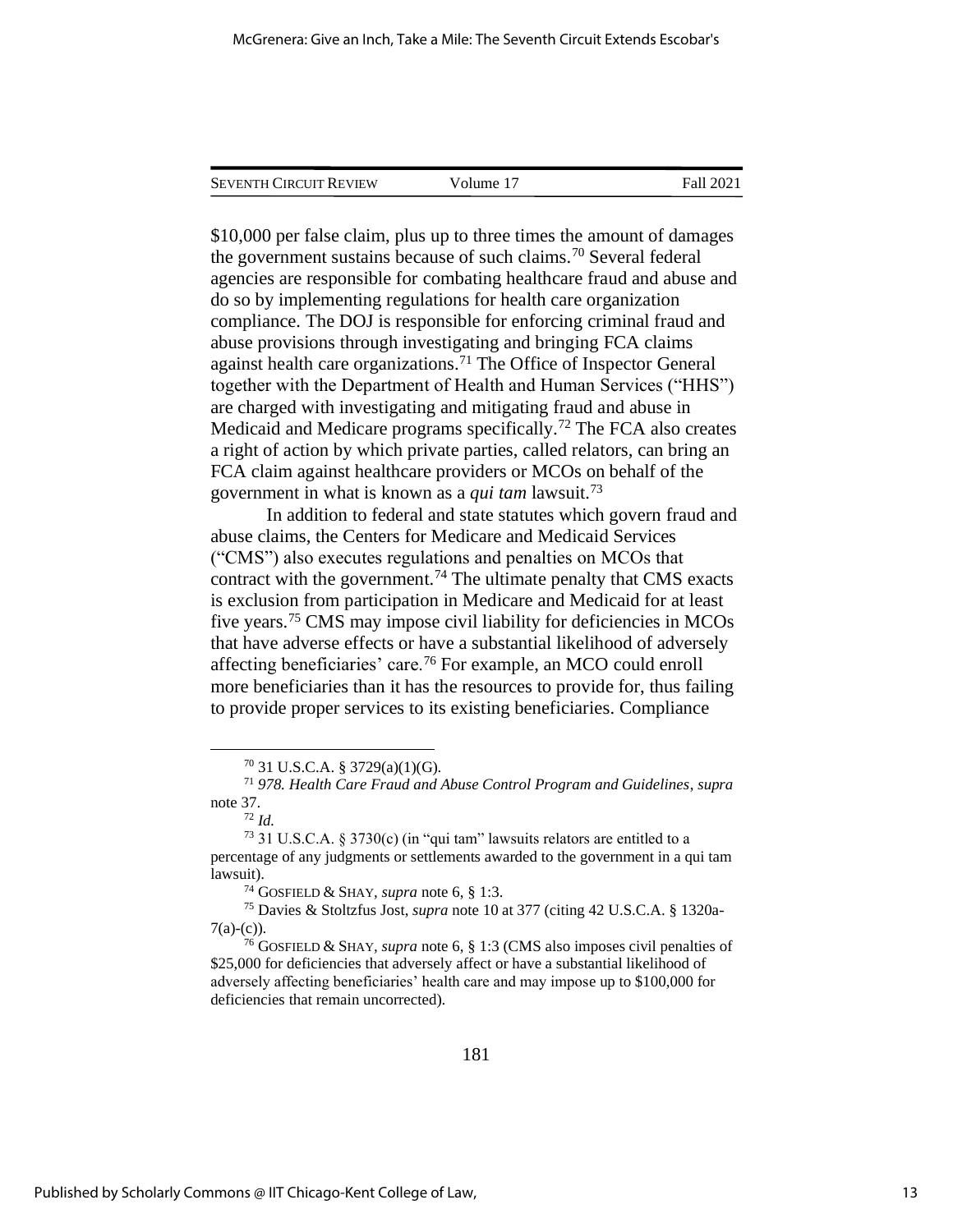| <b>SEVENTH CIRCUIT REVIEW</b> | Volume 17 | Fall 2021 |
|-------------------------------|-----------|-----------|
|                               |           |           |

\$10,000 per false claim, plus up to three times the amount of damages the government sustains because of such claims.<sup>70</sup> Several federal agencies are responsible for combating healthcare fraud and abuse and do so by implementing regulations for health care organization compliance. The DOJ is responsible for enforcing criminal fraud and abuse provisions through investigating and bringing FCA claims against health care organizations.<sup>71</sup> The Office of Inspector General together with the Department of Health and Human Services ("HHS") are charged with investigating and mitigating fraud and abuse in Medicaid and Medicare programs specifically.<sup>72</sup> The FCA also creates a right of action by which private parties, called relators, can bring an FCA claim against healthcare providers or MCOs on behalf of the government in what is known as a *qui tam* lawsuit.<sup>73</sup>

In addition to federal and state statutes which govern fraud and abuse claims, the Centers for Medicare and Medicaid Services ("CMS") also executes regulations and penalties on MCOs that contract with the government.<sup>74</sup> The ultimate penalty that CMS exacts is exclusion from participation in Medicare and Medicaid for at least five years.<sup>75</sup> CMS may impose civil liability for deficiencies in MCOs that have adverse effects or have a substantial likelihood of adversely affecting beneficiaries' care.<sup>76</sup> For example, an MCO could enroll more beneficiaries than it has the resources to provide for, thus failing to provide proper services to its existing beneficiaries. Compliance

 $^{70}$  31 U.S.C.A. § 3729(a)(1)(G).

<sup>71</sup> *978. Health Care Fraud and Abuse Control Program and Guidelines*, *supra*  note 37.

<sup>72</sup> *Id.*

<sup>73</sup> 31 U.S.C.A. § 3730(c) (in "qui tam" lawsuits relators are entitled to a percentage of any judgments or settlements awarded to the government in a qui tam lawsuit).

<sup>74</sup> GOSFIELD & SHAY*, supra* note 6, § 1:3.

<sup>75</sup> Davies & Stoltzfus Jost, *supra* note 10 at 377 (citing 42 U.S.C.A. § 1320a- $7(a)-(c)$ ).

<sup>76</sup> GOSFIELD & SHAY*, supra* note 6, § 1:3 (CMS also imposes civil penalties of \$25,000 for deficiencies that adversely affect or have a substantial likelihood of adversely affecting beneficiaries' health care and may impose up to \$100,000 for deficiencies that remain uncorrected).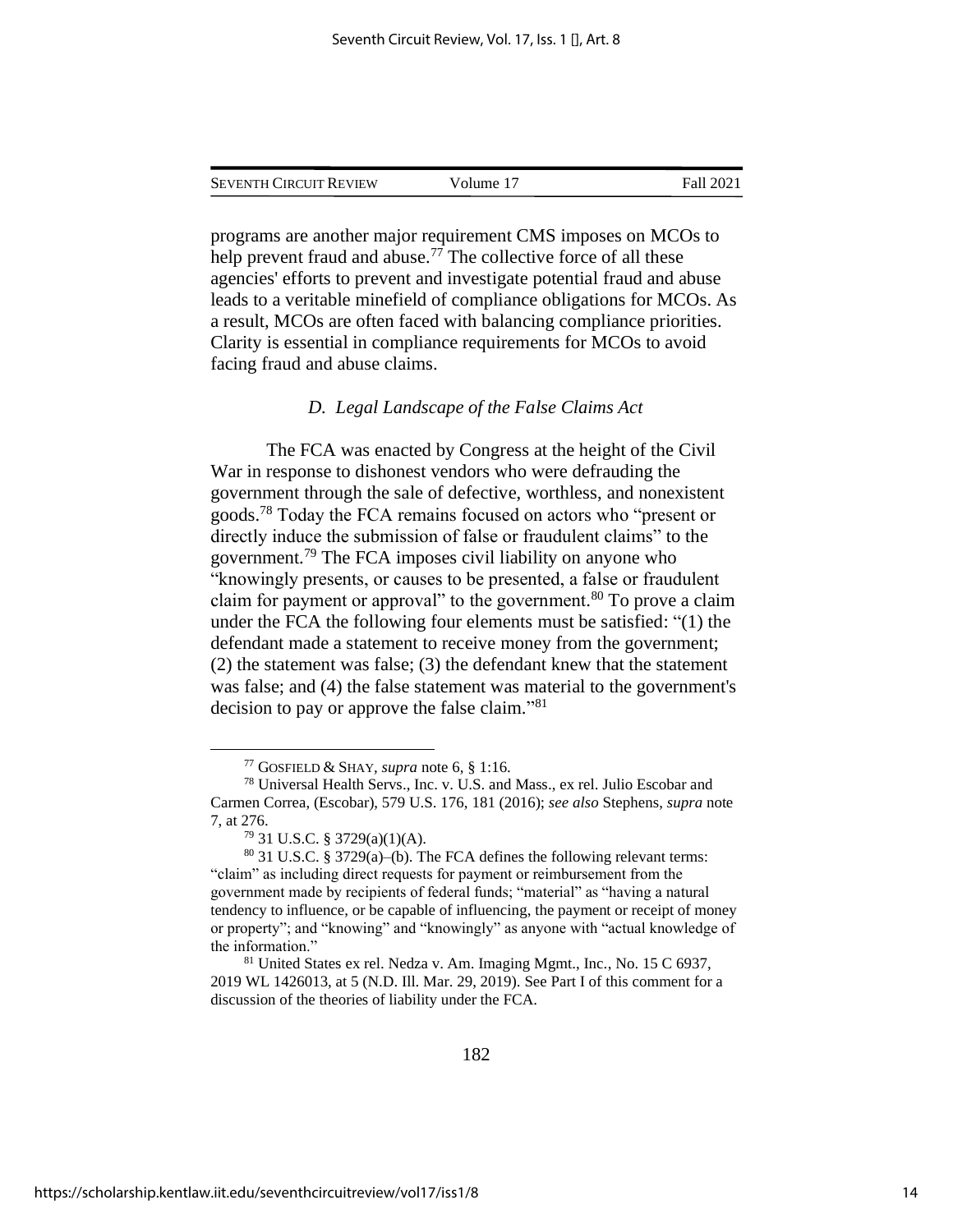| <b>SEVENTH CIRCUIT REVIEW</b> | Volume 17 | Fall 2021 |
|-------------------------------|-----------|-----------|
|                               |           |           |

programs are another major requirement CMS imposes on MCOs to help prevent fraud and abuse.<sup>77</sup> The collective force of all these agencies' efforts to prevent and investigate potential fraud and abuse leads to a veritable minefield of compliance obligations for MCOs. As a result, MCOs are often faced with balancing compliance priorities. Clarity is essential in compliance requirements for MCOs to avoid facing fraud and abuse claims.

#### *D. Legal Landscape of the False Claims Act*

The FCA was enacted by Congress at the height of the Civil War in response to dishonest vendors who were defrauding the government through the sale of defective, worthless, and nonexistent goods.<sup>78</sup> Today the FCA remains focused on actors who "present or directly induce the submission of false or fraudulent claims" to the government.<sup>79</sup> The FCA imposes civil liability on anyone who "knowingly presents, or causes to be presented, a false or fraudulent claim for payment or approval" to the government.<sup>80</sup> To prove a claim under the FCA the following four elements must be satisfied: "(1) the defendant made a statement to receive money from the government; (2) the statement was false; (3) the defendant knew that the statement was false; and (4) the false statement was material to the government's decision to pay or approve the false claim." 81

<sup>77</sup> GOSFIELD & SHAY*, supra* note 6, § 1:16.

<sup>78</sup> Universal Health Servs., Inc. v. U.S. and Mass., ex rel. Julio Escobar and Carmen Correa, (Escobar), 579 U.S. 176, 181 (2016); *see also* Stephens, *supra* note 7, at 276.

<sup>79</sup> 31 U.S.C. § 3729(a)(1)(A).

<sup>80</sup> 31 U.S.C. § 3729(a)–(b). The FCA defines the following relevant terms: "claim" as including direct requests for payment or reimbursement from the government made by recipients of federal funds; "material" as "having a natural tendency to influence, or be capable of influencing, the payment or receipt of money or property"; and "knowing" and "knowingly" as anyone with "actual knowledge of the information."

<sup>81</sup> United States ex rel. Nedza v. Am. Imaging Mgmt., Inc., No. 15 C 6937, 2019 WL 1426013, at 5 (N.D. Ill. Mar. 29, 2019). See Part I of this comment for a discussion of the theories of liability under the FCA.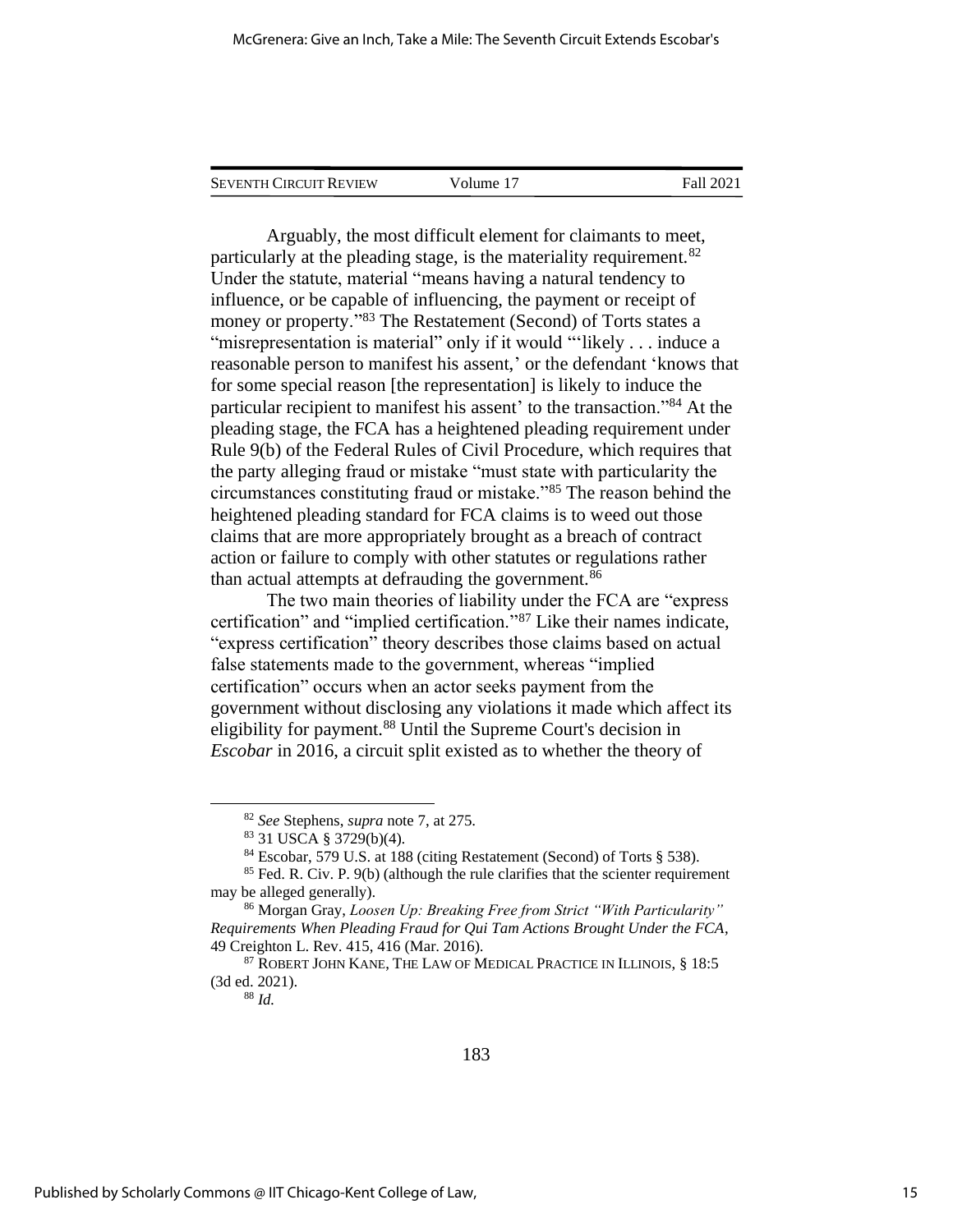Arguably, the most difficult element for claimants to meet, particularly at the pleading stage, is the materiality requirement.<sup>82</sup> Under the statute, material "means having a natural tendency to influence, or be capable of influencing, the payment or receipt of money or property."<sup>83</sup> The Restatement (Second) of Torts states a "misrepresentation is material" only if it would "'likely . . . induce a reasonable person to manifest his assent,' or the defendant 'knows that for some special reason [the representation] is likely to induce the particular recipient to manifest his assent' to the transaction."<sup>84</sup> At the pleading stage, the FCA has a heightened pleading requirement under Rule 9(b) of the Federal Rules of Civil Procedure, which requires that the party alleging fraud or mistake "must state with particularity the circumstances constituting fraud or mistake."<sup>85</sup> The reason behind the heightened pleading standard for FCA claims is to weed out those claims that are more appropriately brought as a breach of contract action or failure to comply with other statutes or regulations rather than actual attempts at defrauding the government.<sup>86</sup>

The two main theories of liability under the FCA are "express certification" and "implied certification."<sup>87</sup> Like their names indicate, "express certification" theory describes those claims based on actual false statements made to the government, whereas "implied certification" occurs when an actor seeks payment from the government without disclosing any violations it made which affect its eligibility for payment.<sup>88</sup> Until the Supreme Court's decision in *Escobar* in 2016, a circuit split existed as to whether the theory of

<sup>82</sup> *See* Stephens, *supra* note 7, at 275.

<sup>83</sup> 31 USCA § 3729(b)(4).

<sup>84</sup> Escobar, 579 U.S. at 188 (citing Restatement (Second) of Torts § 538).

 $85$  Fed. R. Civ. P. 9(b) (although the rule clarifies that the scienter requirement may be alleged generally).

<sup>86</sup> Morgan Gray, *Loosen Up: Breaking Free from Strict "With Particularity" Requirements When Pleading Fraud for Qui Tam Actions Brought Under the FCA*, 49 Creighton L. Rev. 415, 416 (Mar. 2016).

 $87$  ROBERT JOHN KANE, THE LAW OF MEDICAL PRACTICE IN ILLINOIS,  $\S$  18:5 (3d ed. 2021).

<sup>88</sup> *Id.*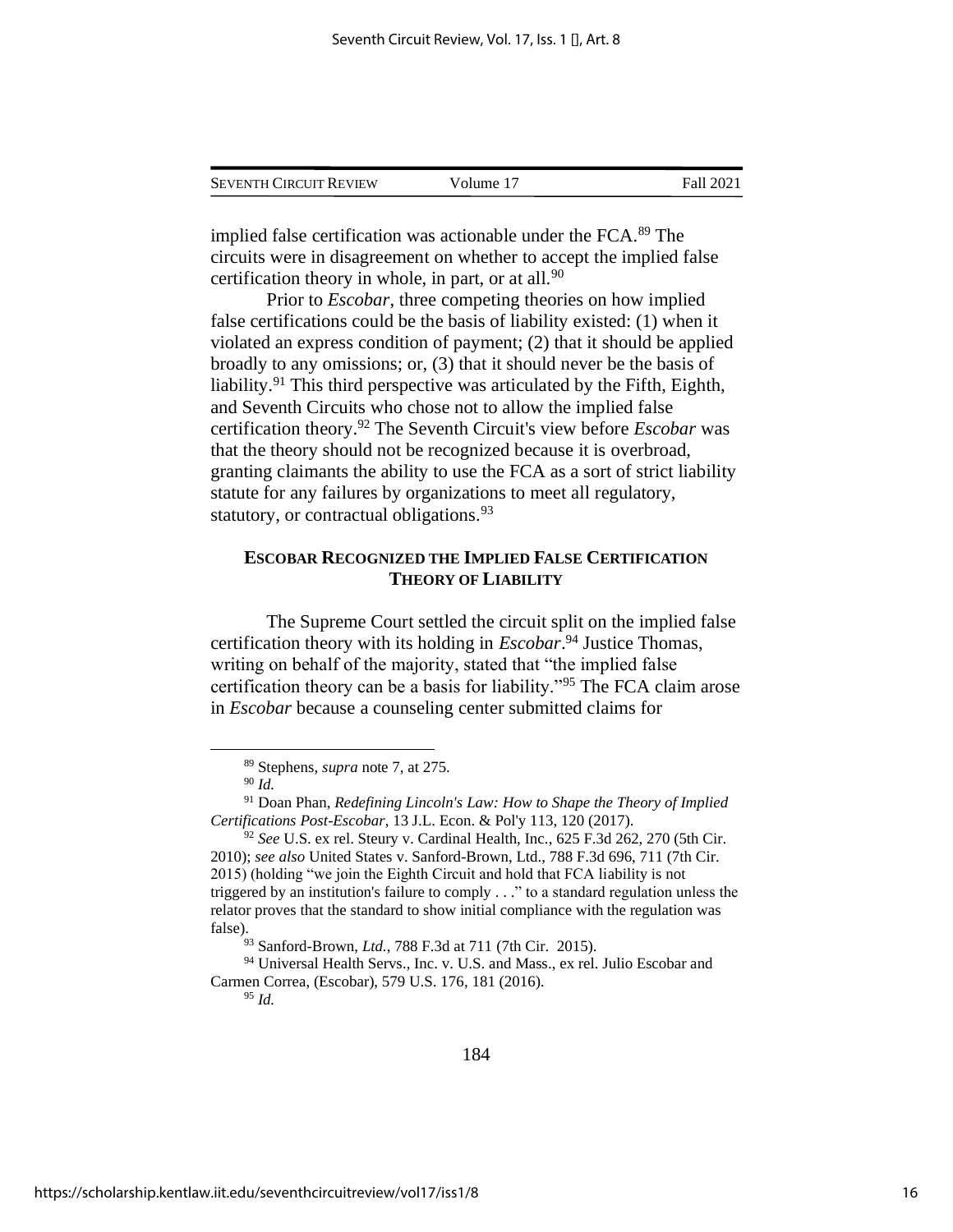| <b>SEVENTH CIRCUIT REVIEW</b> | Volume 17 | Fall 2021 |
|-------------------------------|-----------|-----------|
|                               |           |           |

implied false certification was actionable under the FCA.<sup>89</sup> The circuits were in disagreement on whether to accept the implied false certification theory in whole, in part, or at all. $90$ 

Prior to *Escobar*, three competing theories on how implied false certifications could be the basis of liability existed: (1) when it violated an express condition of payment; (2) that it should be applied broadly to any omissions; or, (3) that it should never be the basis of liability.<sup>91</sup> This third perspective was articulated by the Fifth, Eighth, and Seventh Circuits who chose not to allow the implied false certification theory.<sup>92</sup> The Seventh Circuit's view before *Escobar* was that the theory should not be recognized because it is overbroad, granting claimants the ability to use the FCA as a sort of strict liability statute for any failures by organizations to meet all regulatory, statutory, or contractual obligations.<sup>93</sup>

## **ESCOBAR RECOGNIZED THE IMPLIED FALSE CERTIFICATION THEORY OF LIABILITY**

The Supreme Court settled the circuit split on the implied false certification theory with its holding in *Escobar*. <sup>94</sup> Justice Thomas, writing on behalf of the majority, stated that "the implied false certification theory can be a basis for liability."<sup>95</sup> The FCA claim arose in *Escobar* because a counseling center submitted claims for

<sup>95</sup> *Id.*

<sup>89</sup> Stephens, *supra* note 7, at 275.

<sup>90</sup> *Id.*

<sup>91</sup> Doan Phan, *Redefining Lincoln's Law: How to Shape the Theory of Implied Certifications Post-Escobar*, 13 J.L. Econ. & Pol'y 113, 120 (2017).

<sup>92</sup> *See* U.S. ex rel. Steury v. Cardinal Health, Inc*.*, 625 F.3d 262, 270 (5th Cir. 2010); *see also* United States v. Sanford-Brown, Ltd., 788 F.3d 696, 711 (7th Cir. 2015) (holding "we join the Eighth Circuit and hold that FCA liability is not triggered by an institution's failure to comply . . ." to a standard regulation unless the relator proves that the standard to show initial compliance with the regulation was false).

<sup>93</sup> Sanford-Brown, *Ltd.*, 788 F.3d at 711 (7th Cir. 2015).

<sup>&</sup>lt;sup>94</sup> Universal Health Servs., Inc. v. U.S. and Mass., ex rel. Julio Escobar and Carmen Correa, (Escobar), 579 U.S. 176, 181 (2016).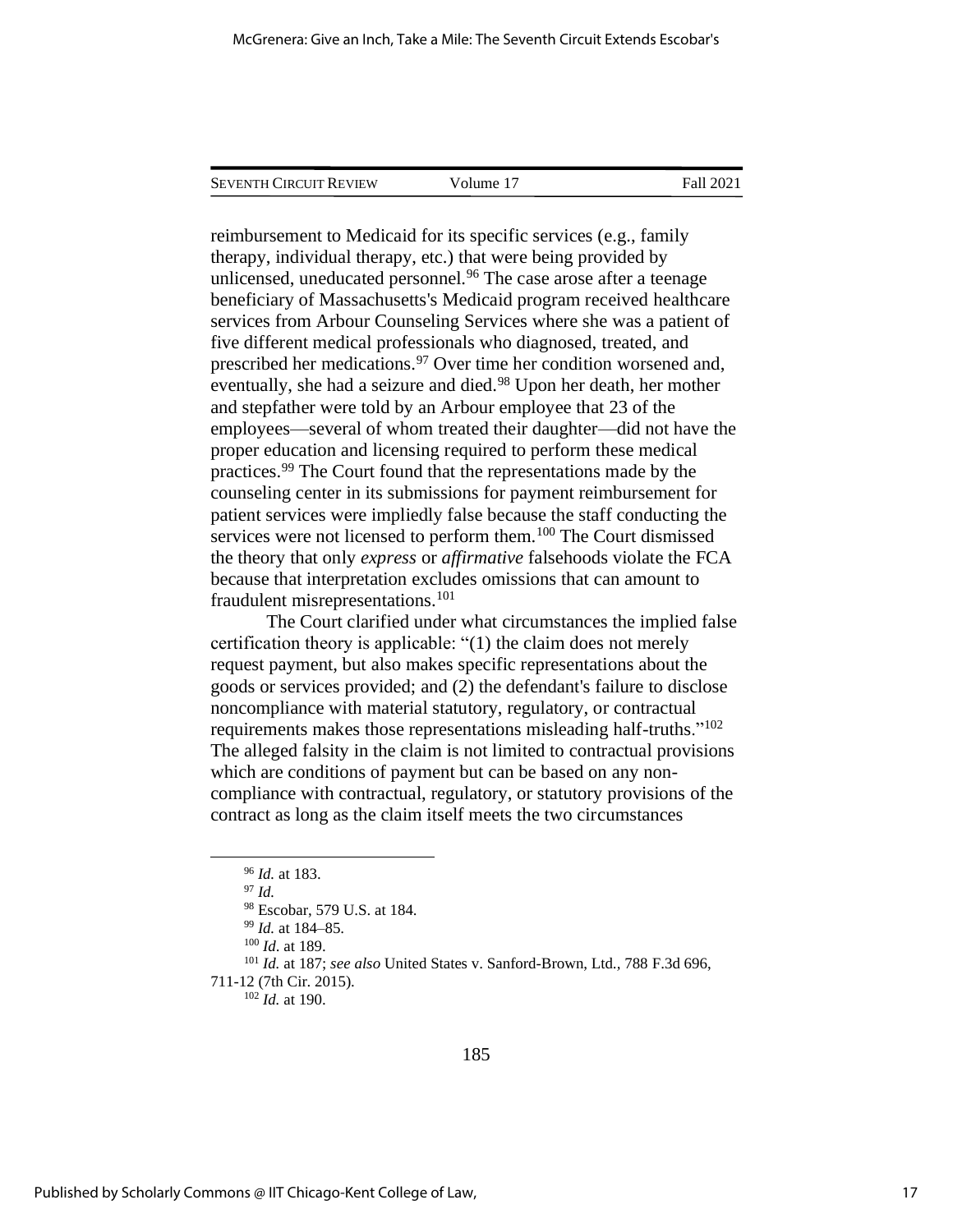| Seventh Circuit Review | Volume 17 | Fall 2021 |  |
|------------------------|-----------|-----------|--|
|                        |           |           |  |

reimbursement to Medicaid for its specific services (e.g., family therapy, individual therapy, etc.) that were being provided by unlicensed, uneducated personnel.<sup>96</sup> The case arose after a teenage beneficiary of Massachusetts's Medicaid program received healthcare services from Arbour Counseling Services where she was a patient of five different medical professionals who diagnosed, treated, and prescribed her medications.<sup>97</sup> Over time her condition worsened and, eventually, she had a seizure and died.<sup>98</sup> Upon her death, her mother and stepfather were told by an Arbour employee that 23 of the employees—several of whom treated their daughter—did not have the proper education and licensing required to perform these medical practices.<sup>99</sup> The Court found that the representations made by the counseling center in its submissions for payment reimbursement for patient services were impliedly false because the staff conducting the services were not licensed to perform them.<sup>100</sup> The Court dismissed the theory that only *express* or *affirmative* falsehoods violate the FCA because that interpretation excludes omissions that can amount to fraudulent misrepresentations.<sup>101</sup>

The Court clarified under what circumstances the implied false certification theory is applicable: "(1) the claim does not merely request payment, but also makes specific representations about the goods or services provided; and (2) the defendant's failure to disclose noncompliance with material statutory, regulatory, or contractual requirements makes those representations misleading half-truths."<sup>102</sup> The alleged falsity in the claim is not limited to contractual provisions which are conditions of payment but can be based on any noncompliance with contractual, regulatory, or statutory provisions of the contract as long as the claim itself meets the two circumstances

<sup>99</sup> *Id.* at 184–85.

<sup>102</sup> *Id.* at 190.

<sup>96</sup> *Id.* at 183.

<sup>97</sup> *Id.* 

<sup>98</sup> Escobar, 579 U.S. at 184.

<sup>100</sup> *Id*. at 189.

<sup>101</sup> *Id.* at 187; *see also* United States v. Sanford-Brown, Ltd.*,* 788 F.3d 696, 711-12 (7th Cir. 2015).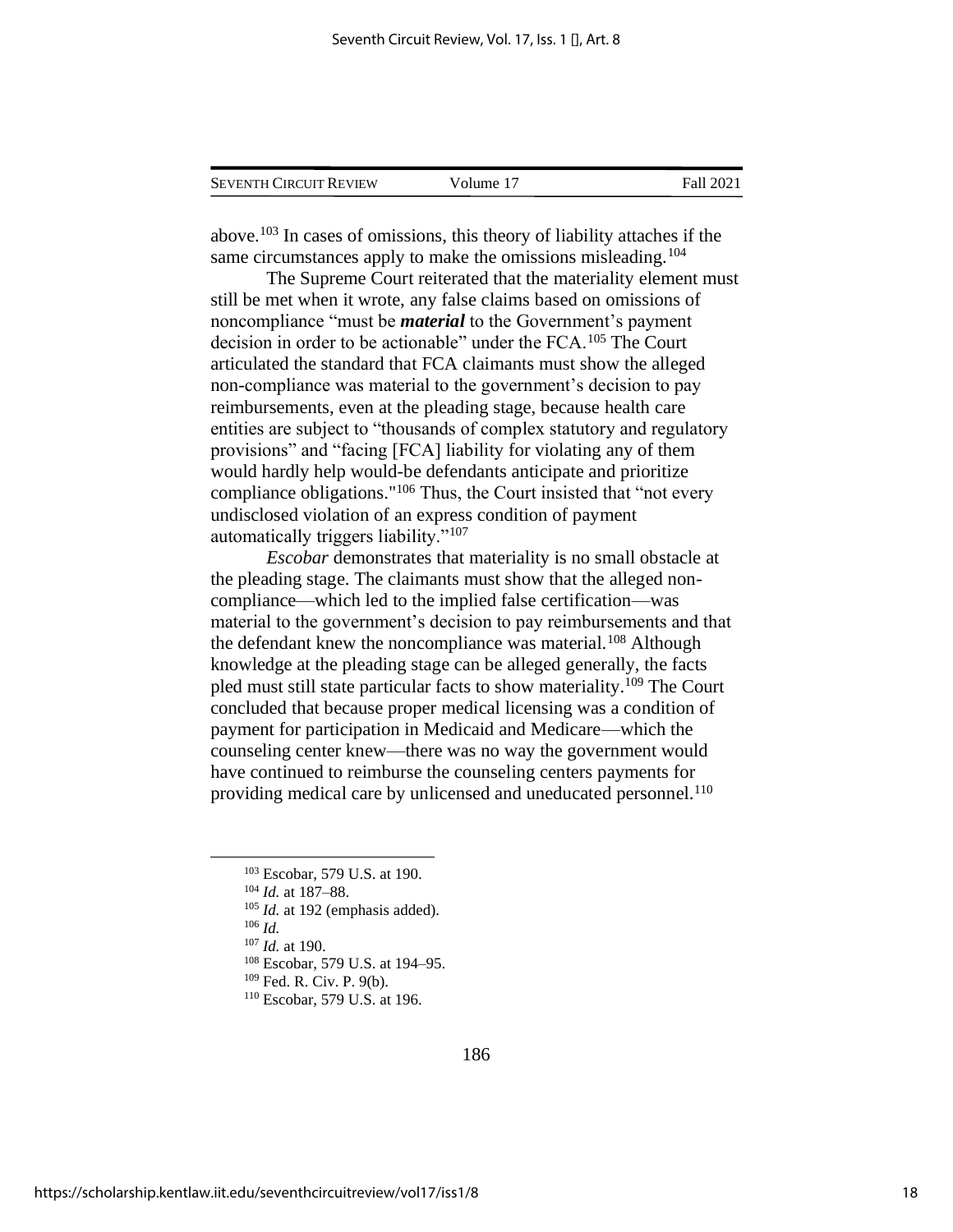| <b>SEVENTH CIRCUIT REVIEW</b> | Volume 17 | Fall 2021 |
|-------------------------------|-----------|-----------|
|                               |           |           |

above.<sup>103</sup> In cases of omissions, this theory of liability attaches if the same circumstances apply to make the omissions misleading.<sup>104</sup>

The Supreme Court reiterated that the materiality element must still be met when it wrote, any false claims based on omissions of noncompliance "must be *material* to the Government's payment decision in order to be actionable" under the FCA.<sup>105</sup> The Court articulated the standard that FCA claimants must show the alleged non-compliance was material to the government's decision to pay reimbursements, even at the pleading stage, because health care entities are subject to "thousands of complex statutory and regulatory provisions" and "facing [FCA] liability for violating any of them would hardly help would-be defendants anticipate and prioritize compliance obligations."<sup>106</sup> Thus, the Court insisted that "not every undisclosed violation of an express condition of payment automatically triggers liability."<sup>107</sup>

*Escobar* demonstrates that materiality is no small obstacle at the pleading stage. The claimants must show that the alleged noncompliance—which led to the implied false certification—was material to the government's decision to pay reimbursements and that the defendant knew the noncompliance was material.<sup>108</sup> Although knowledge at the pleading stage can be alleged generally, the facts pled must still state particular facts to show materiality.<sup>109</sup> The Court concluded that because proper medical licensing was a condition of payment for participation in Medicaid and Medicare—which the counseling center knew—there was no way the government would have continued to reimburse the counseling centers payments for providing medical care by unlicensed and uneducated personnel.<sup>110</sup>

<sup>106</sup> *Id.* 

<sup>107</sup> *Id.* at 190.

<sup>103</sup> Escobar, 579 U.S. at 190.

<sup>104</sup> *Id.* at 187–88.

<sup>105</sup> *Id.* at 192 (emphasis added).

<sup>108</sup> Escobar, 579 U.S. at 194–95.

<sup>109</sup> Fed. R. Civ. P. 9(b).

<sup>110</sup> Escobar, 579 U.S. at 196.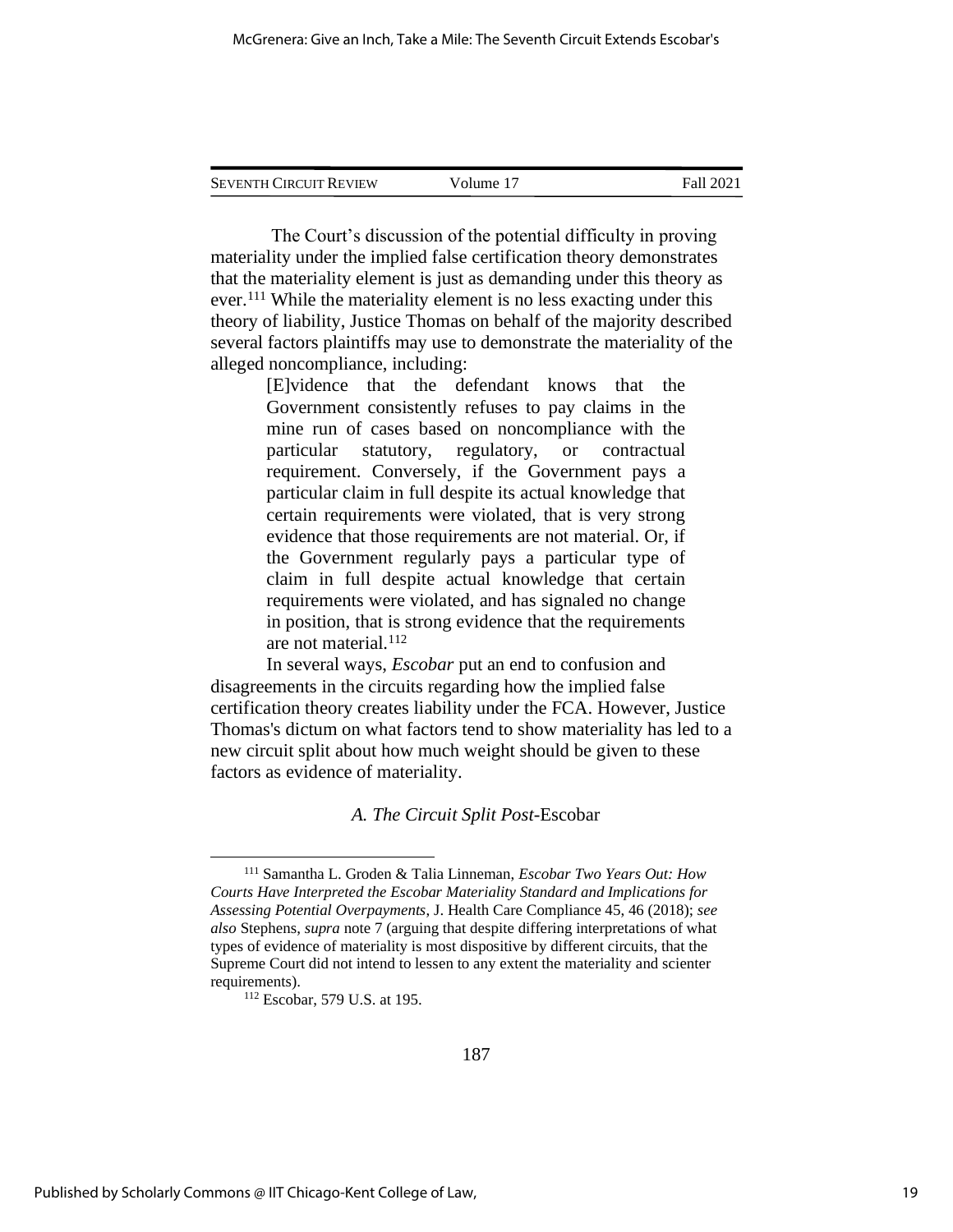The Court's discussion of the potential difficulty in proving materiality under the implied false certification theory demonstrates that the materiality element is just as demanding under this theory as ever.<sup>111</sup> While the materiality element is no less exacting under this theory of liability, Justice Thomas on behalf of the majority described several factors plaintiffs may use to demonstrate the materiality of the alleged noncompliance, including:

> [E]vidence that the defendant knows that the Government consistently refuses to pay claims in the mine run of cases based on noncompliance with the particular statutory, regulatory, or contractual requirement. Conversely, if the Government pays a particular claim in full despite its actual knowledge that certain requirements were violated, that is very strong evidence that those requirements are not material. Or, if the Government regularly pays a particular type of claim in full despite actual knowledge that certain requirements were violated, and has signaled no change in position, that is strong evidence that the requirements are not material.<sup>112</sup>

 In several ways, *Escobar* put an end to confusion and disagreements in the circuits regarding how the implied false certification theory creates liability under the FCA. However, Justice Thomas's dictum on what factors tend to show materiality has led to a new circuit split about how much weight should be given to these factors as evidence of materiality.

*A. The Circuit Split Post-*Escobar

<sup>111</sup> Samantha L. Groden & Talia Linneman, *Escobar Two Years Out: How Courts Have Interpreted the Escobar Materiality Standard and Implications for Assessing Potential Overpayments*, J. Health Care Compliance 45, 46 (2018); *see also* Stephens, *supra* note 7 (arguing that despite differing interpretations of what types of evidence of materiality is most dispositive by different circuits, that the Supreme Court did not intend to lessen to any extent the materiality and scienter requirements).

<sup>112</sup> Escobar, 579 U.S. at 195.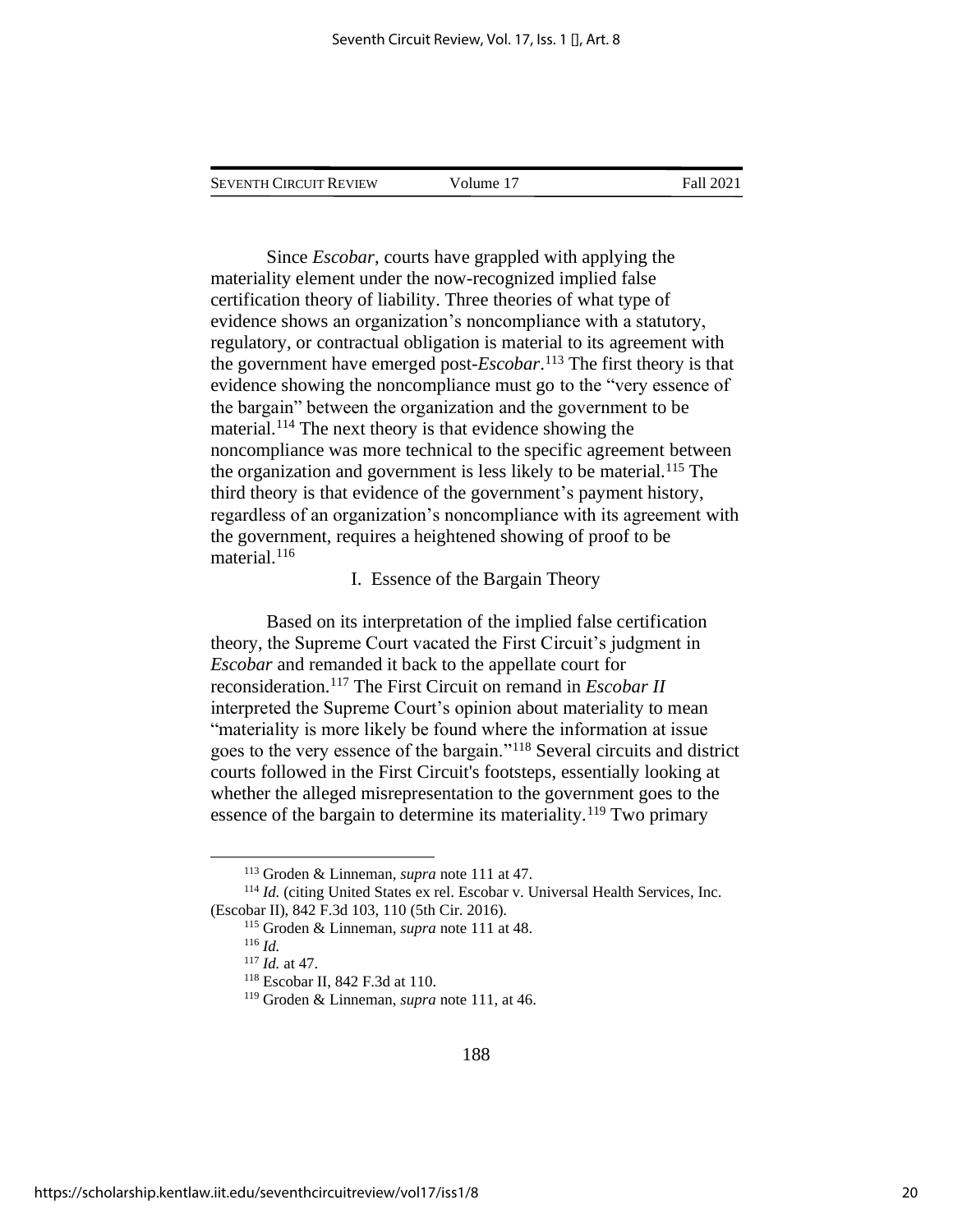Volume 17 Fall 2021

Since *Escobar*, courts have grappled with applying the materiality element under the now-recognized implied false certification theory of liability. Three theories of what type of evidence shows an organization's noncompliance with a statutory, regulatory, or contractual obligation is material to its agreement with the government have emerged post*-Escobar*. <sup>113</sup> The first theory is that evidence showing the noncompliance must go to the "very essence of the bargain" between the organization and the government to be material. <sup>114</sup> The next theory is that evidence showing the noncompliance was more technical to the specific agreement between the organization and government is less likely to be material.<sup>115</sup> The third theory is that evidence of the government's payment history, regardless of an organization's noncompliance with its agreement with the government, requires a heightened showing of proof to be material.<sup>116</sup>

#### I. Essence of the Bargain Theory

Based on its interpretation of the implied false certification theory, the Supreme Court vacated the First Circuit's judgment in *Escobar* and remanded it back to the appellate court for reconsideration.<sup>117</sup> The First Circuit on remand in *Escobar II* interpreted the Supreme Court's opinion about materiality to mean "materiality is more likely be found where the information at issue goes to the very essence of the bargain."<sup>118</sup> Several circuits and district courts followed in the First Circuit's footsteps, essentially looking at whether the alleged misrepresentation to the government goes to the essence of the bargain to determine its materiality.<sup>119</sup> Two primary

<sup>113</sup> Groden & Linneman, *supra* note 111 at 47.

<sup>114</sup> *Id.* (citing United States ex rel. Escobar v. Universal Health Services, Inc. (Escobar II), 842 F.3d 103, 110 (5th Cir. 2016).

<sup>115</sup> Groden & Linneman, *supra* note 111 at 48.

<sup>116</sup> *Id.*

<sup>117</sup> *Id.* at 47.

<sup>118</sup> Escobar II, 842 F.3d at 110.

<sup>119</sup> Groden & Linneman, *supra* note 111, at 46.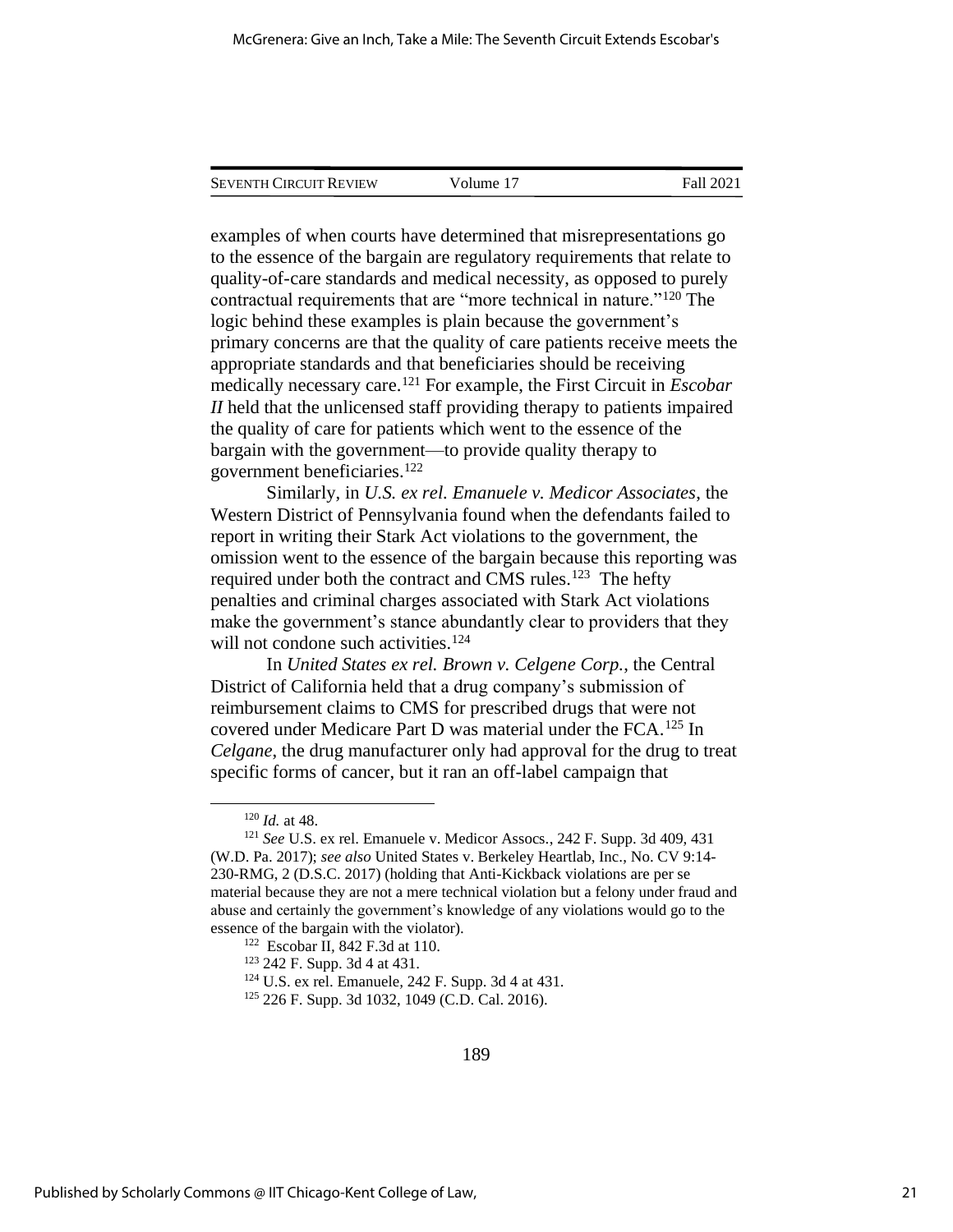| <b>SEVENTH CIRCUIT REVIEW</b> | Volume 17 | Fall 2021 |
|-------------------------------|-----------|-----------|
|                               |           |           |

examples of when courts have determined that misrepresentations go to the essence of the bargain are regulatory requirements that relate to quality-of-care standards and medical necessity, as opposed to purely contractual requirements that are "more technical in nature."<sup>120</sup> The logic behind these examples is plain because the government's primary concerns are that the quality of care patients receive meets the appropriate standards and that beneficiaries should be receiving medically necessary care.<sup>121</sup> For example, the First Circuit in *Escobar II* held that the unlicensed staff providing therapy to patients impaired the quality of care for patients which went to the essence of the bargain with the government—to provide quality therapy to government beneficiaries.<sup>122</sup>

Similarly, in *U.S. ex rel. Emanuele v. Medicor Associates*, the Western District of Pennsylvania found when the defendants failed to report in writing their Stark Act violations to the government, the omission went to the essence of the bargain because this reporting was required under both the contract and CMS rules.<sup>123</sup> The hefty penalties and criminal charges associated with Stark Act violations make the government's stance abundantly clear to providers that they will not condone such activities.<sup>124</sup>

In *United States ex rel. Brown v. Celgene Corp.*, the Central District of California held that a drug company's submission of reimbursement claims to CMS for prescribed drugs that were not covered under Medicare Part D was material under the FCA.<sup>125</sup> In *Celgane*, the drug manufacturer only had approval for the drug to treat specific forms of cancer, but it ran an off-label campaign that

<sup>120</sup> *Id.* at 48.

<sup>121</sup> *See* U.S. ex rel. Emanuele v. Medicor Assocs*.*, 242 F. Supp. 3d 409, 431 (W.D. Pa. 2017); *see also* United States v. Berkeley Heartlab, Inc., No. CV 9:14- 230-RMG, 2 (D.S.C. 2017) (holding that Anti-Kickback violations are per se material because they are not a mere technical violation but a felony under fraud and abuse and certainly the government's knowledge of any violations would go to the essence of the bargain with the violator).

<sup>122</sup> Escobar II*,* 842 F.3d at 110.

<sup>123</sup> 242 F. Supp. 3d 4 at 431.

<sup>124</sup> U.S. ex rel. Emanuele*,* 242 F. Supp. 3d 4 at 431.

<sup>125</sup> 226 F. Supp. 3d 1032, 1049 (C.D. Cal. 2016).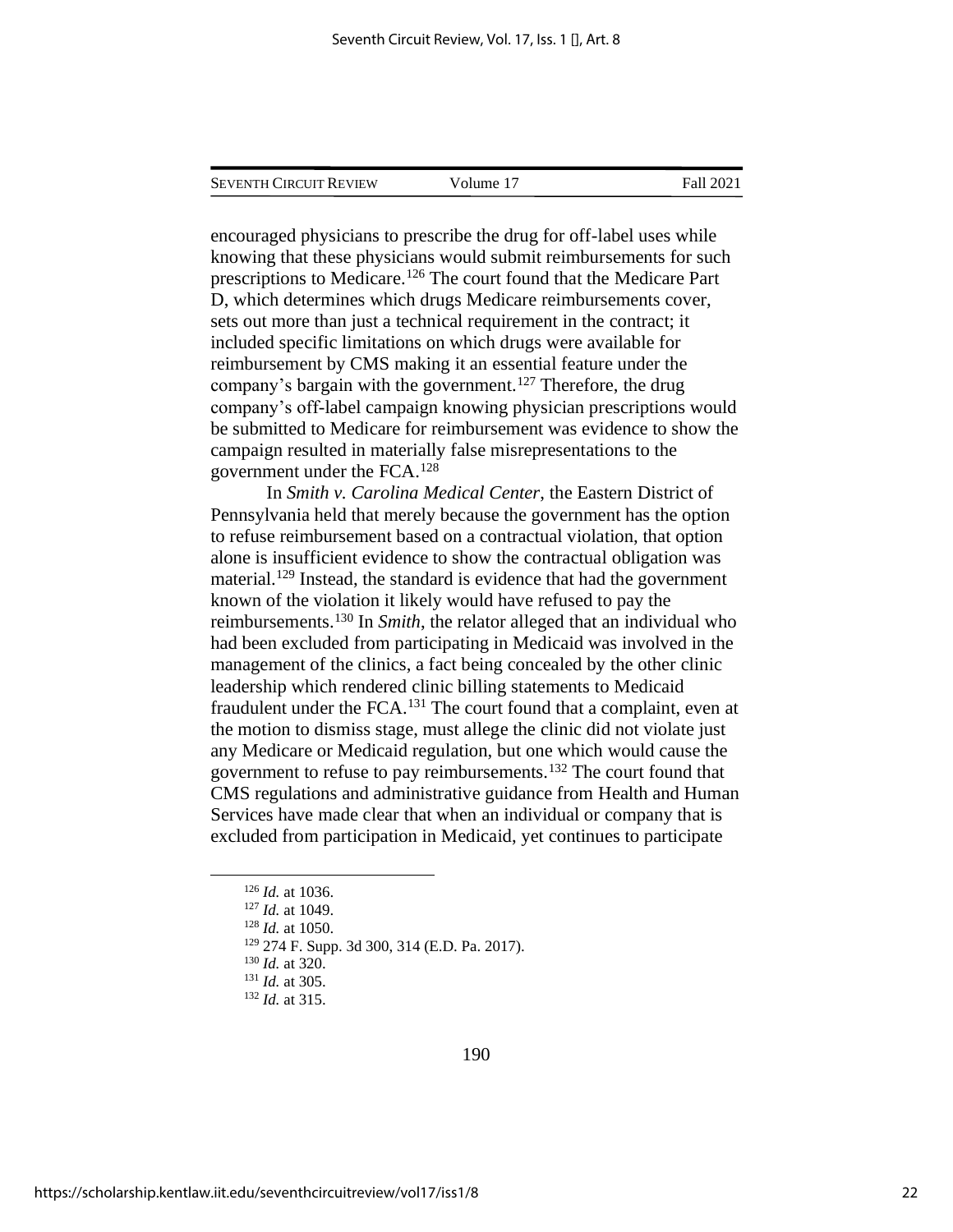encouraged physicians to prescribe the drug for off-label uses while knowing that these physicians would submit reimbursements for such prescriptions to Medicare.<sup>126</sup> The court found that the Medicare Part D, which determines which drugs Medicare reimbursements cover, sets out more than just a technical requirement in the contract; it included specific limitations on which drugs were available for reimbursement by CMS making it an essential feature under the company's bargain with the government.<sup>127</sup> Therefore, the drug company's off-label campaign knowing physician prescriptions would be submitted to Medicare for reimbursement was evidence to show the campaign resulted in materially false misrepresentations to the government under the FCA.<sup>128</sup>

In *Smith v. Carolina Medical Center*, the Eastern District of Pennsylvania held that merely because the government has the option to refuse reimbursement based on a contractual violation, that option alone is insufficient evidence to show the contractual obligation was material.<sup>129</sup> Instead, the standard is evidence that had the government known of the violation it likely would have refused to pay the reimbursements.<sup>130</sup> In *Smith*, the relator alleged that an individual who had been excluded from participating in Medicaid was involved in the management of the clinics, a fact being concealed by the other clinic leadership which rendered clinic billing statements to Medicaid fraudulent under the FCA.<sup>131</sup> The court found that a complaint, even at the motion to dismiss stage, must allege the clinic did not violate just any Medicare or Medicaid regulation, but one which would cause the government to refuse to pay reimbursements.<sup>132</sup> The court found that CMS regulations and administrative guidance from Health and Human Services have made clear that when an individual or company that is excluded from participation in Medicaid, yet continues to participate

<sup>126</sup> *Id.* at 1036.

<sup>127</sup> *Id.* at 1049.

<sup>128</sup> *Id.* at 1050.

<sup>129</sup> 274 F. Supp. 3d 300, 314 (E.D. Pa. 2017).

<sup>130</sup> *Id.* at 320.

<sup>131</sup> *Id.* at 305.

<sup>132</sup> *Id.* at 315.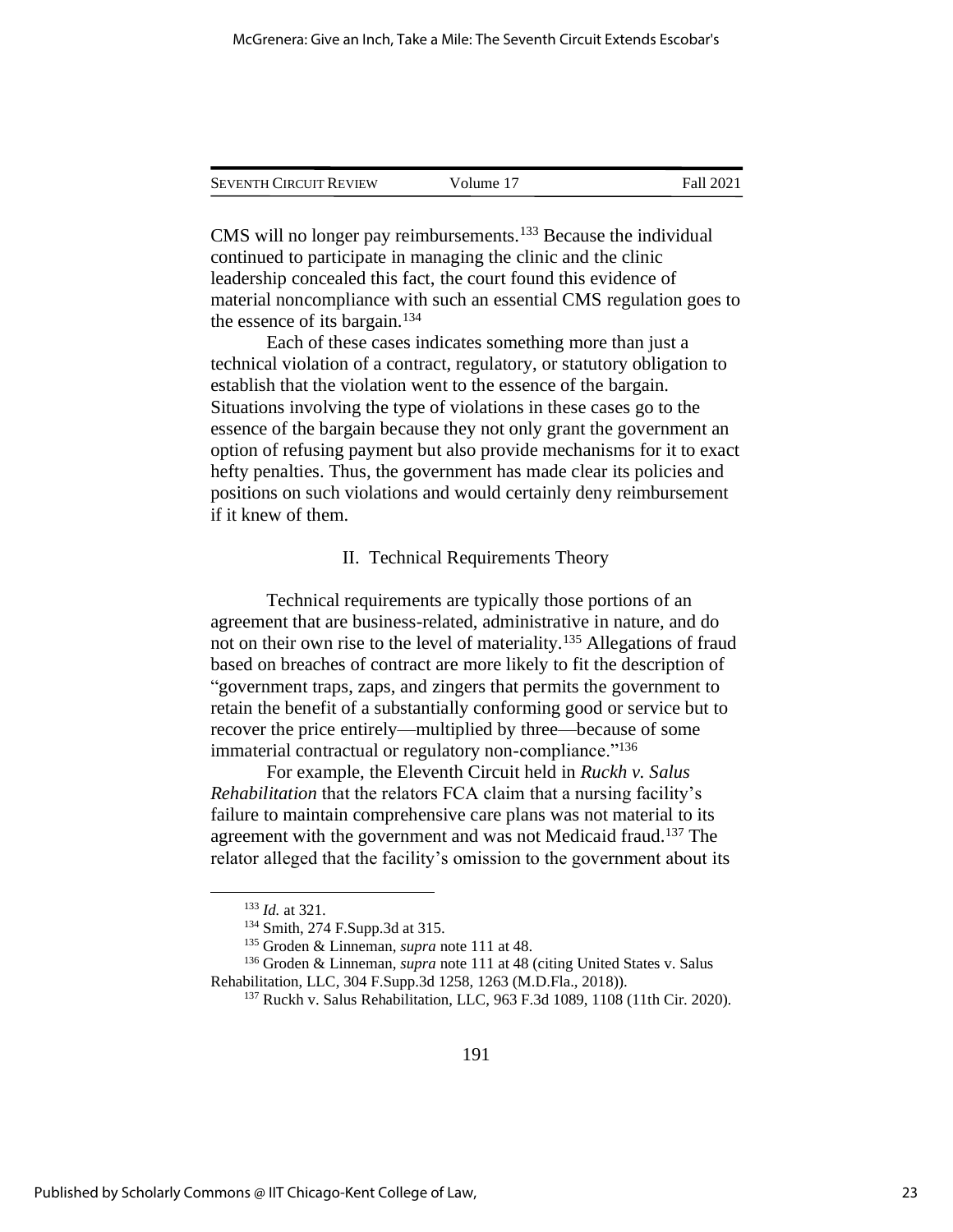| <b>SEVENTH CIRCUIT REVIEW</b> | Volume 17 | Fall 2021 |
|-------------------------------|-----------|-----------|
|                               |           |           |

CMS will no longer pay reimbursements.<sup>133</sup> Because the individual continued to participate in managing the clinic and the clinic leadership concealed this fact, the court found this evidence of material noncompliance with such an essential CMS regulation goes to the essence of its bargain.<sup>134</sup>

Each of these cases indicates something more than just a technical violation of a contract, regulatory, or statutory obligation to establish that the violation went to the essence of the bargain. Situations involving the type of violations in these cases go to the essence of the bargain because they not only grant the government an option of refusing payment but also provide mechanisms for it to exact hefty penalties. Thus, the government has made clear its policies and positions on such violations and would certainly deny reimbursement if it knew of them.

#### II. Technical Requirements Theory

Technical requirements are typically those portions of an agreement that are business-related, administrative in nature, and do not on their own rise to the level of materiality.<sup>135</sup> Allegations of fraud based on breaches of contract are more likely to fit the description of "government traps, zaps, and zingers that permits the government to retain the benefit of a substantially conforming good or service but to recover the price entirely—multiplied by three—because of some immaterial contractual or regulatory non-compliance."<sup>136</sup>

For example, the Eleventh Circuit held in *Ruckh v. Salus Rehabilitation* that the relators FCA claim that a nursing facility's failure to maintain comprehensive care plans was not material to its agreement with the government and was not Medicaid fraud.<sup>137</sup> The relator alleged that the facility's omission to the government about its

<sup>133</sup> *Id.* at 321.

<sup>134</sup> Smith, 274 F.Supp.3d at 315.

<sup>135</sup> Groden & Linneman, *supra* note 111 at 48.

<sup>136</sup> Groden & Linneman, *supra* note 111 at 48 (citing United States v. Salus Rehabilitation, LLC, 304 F.Supp.3d 1258, 1263 (M.D.Fla., 2018)).

<sup>137</sup> Ruckh v. Salus Rehabilitation, LLC, 963 F.3d 1089, 1108 (11th Cir. 2020).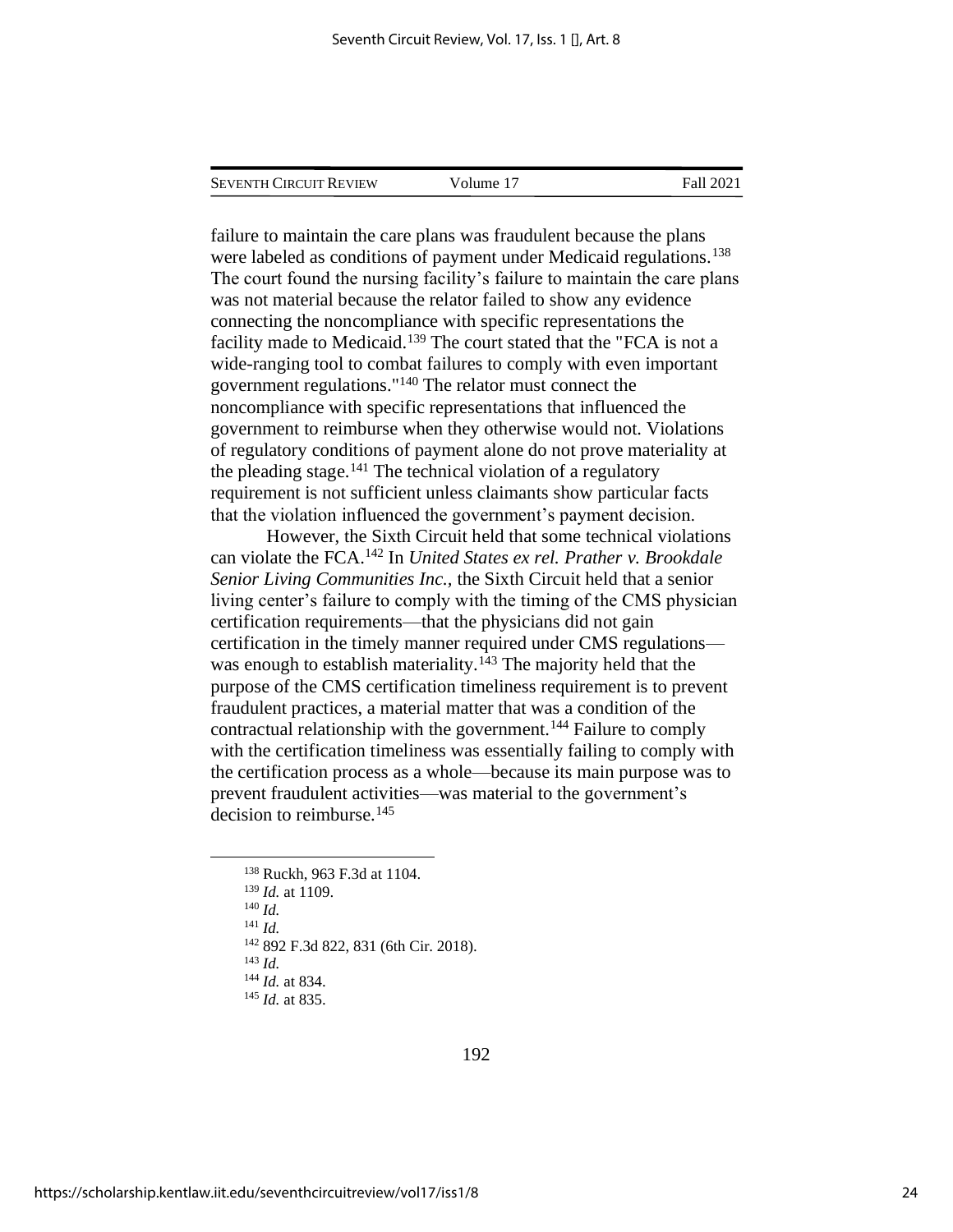| <b>SEVENTH CIRCUIT REVIEW</b> | Volume 17 | Fall 2021 |
|-------------------------------|-----------|-----------|
|                               |           |           |

failure to maintain the care plans was fraudulent because the plans were labeled as conditions of payment under Medicaid regulations.<sup>138</sup> The court found the nursing facility's failure to maintain the care plans was not material because the relator failed to show any evidence connecting the noncompliance with specific representations the facility made to Medicaid.<sup>139</sup> The court stated that the "FCA is not a wide-ranging tool to combat failures to comply with even important government regulations."<sup>140</sup> The relator must connect the noncompliance with specific representations that influenced the government to reimburse when they otherwise would not. Violations of regulatory conditions of payment alone do not prove materiality at the pleading stage.<sup>141</sup> The technical violation of a regulatory requirement is not sufficient unless claimants show particular facts that the violation influenced the government's payment decision.

However, the Sixth Circuit held that some technical violations can violate the FCA.<sup>142</sup> In *United States ex rel. Prather v. Brookdale Senior Living Communities Inc.,* the Sixth Circuit held that a senior living center's failure to comply with the timing of the CMS physician certification requirements—that the physicians did not gain certification in the timely manner required under CMS regulations was enough to establish materiality.<sup>143</sup> The majority held that the purpose of the CMS certification timeliness requirement is to prevent fraudulent practices, a material matter that was a condition of the contractual relationship with the government.<sup>144</sup> Failure to comply with the certification timeliness was essentially failing to comply with the certification process as a whole—because its main purpose was to prevent fraudulent activities—was material to the government's decision to reimburse.<sup>145</sup>

<sup>138</sup> Ruckh, 963 F.3d at 1104. <sup>139</sup> *Id.* at 1109. <sup>140</sup> *Id.* <sup>141</sup> *Id.* <sup>142</sup> 892 F.3d 822, 831 (6th Cir. 2018). <sup>143</sup> *Id.* <sup>144</sup> *Id.* at 834. <sup>145</sup> *Id.* at 835.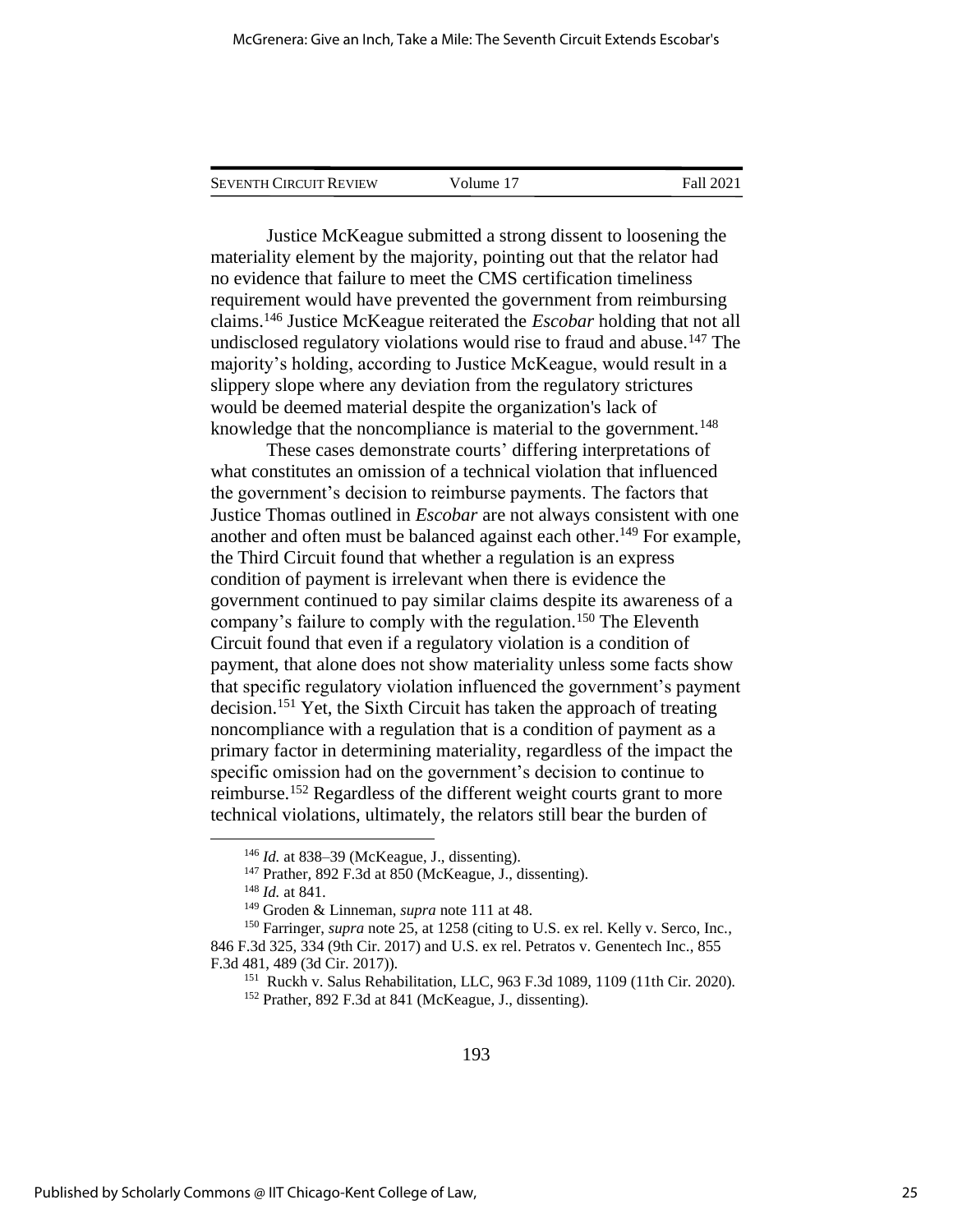| <b>SEVENTH CIRCUIT REVIEW</b> | Volume 17 | Fall 2021 |
|-------------------------------|-----------|-----------|
|                               |           |           |

Justice McKeague submitted a strong dissent to loosening the materiality element by the majority, pointing out that the relator had no evidence that failure to meet the CMS certification timeliness requirement would have prevented the government from reimbursing claims.<sup>146</sup> Justice McKeague reiterated the *Escobar* holding that not all undisclosed regulatory violations would rise to fraud and abuse.<sup>147</sup> The majority's holding, according to Justice McKeague, would result in a slippery slope where any deviation from the regulatory strictures would be deemed material despite the organization's lack of knowledge that the noncompliance is material to the government.<sup>148</sup>

These cases demonstrate courts' differing interpretations of what constitutes an omission of a technical violation that influenced the government's decision to reimburse payments. The factors that Justice Thomas outlined in *Escobar* are not always consistent with one another and often must be balanced against each other.<sup>149</sup> For example, the Third Circuit found that whether a regulation is an express condition of payment is irrelevant when there is evidence the government continued to pay similar claims despite its awareness of a company's failure to comply with the regulation.<sup>150</sup> The Eleventh Circuit found that even if a regulatory violation is a condition of payment, that alone does not show materiality unless some facts show that specific regulatory violation influenced the government's payment decision.<sup>151</sup> Yet, the Sixth Circuit has taken the approach of treating noncompliance with a regulation that is a condition of payment as a primary factor in determining materiality, regardless of the impact the specific omission had on the government's decision to continue to reimburse.<sup>152</sup> Regardless of the different weight courts grant to more technical violations, ultimately, the relators still bear the burden of

<sup>146</sup> *Id.* at 838–39 (McKeague, J., dissenting).

<sup>147</sup> Prather*,* 892 F.3d at 850 (McKeague, J., dissenting).

<sup>148</sup> *Id.* at 841.

<sup>149</sup> Groden & Linneman, *supra* note 111 at 48.

<sup>150</sup> Farringer, *supra* note 25, at 1258 (citing to U.S. ex rel. Kelly v. Serco, Inc*.*, 846 F.3d 325, 334 (9th Cir. 2017) and U.S. ex rel. Petratos v. Genentech Inc., 855 F.3d 481, 489 (3d Cir. 2017)).

<sup>151</sup> Ruckh v. Salus Rehabilitation, LLC, 963 F.3d 1089, 1109 (11th Cir. 2020).

<sup>152</sup> Prather, 892 F.3d at 841 (McKeague, J., dissenting).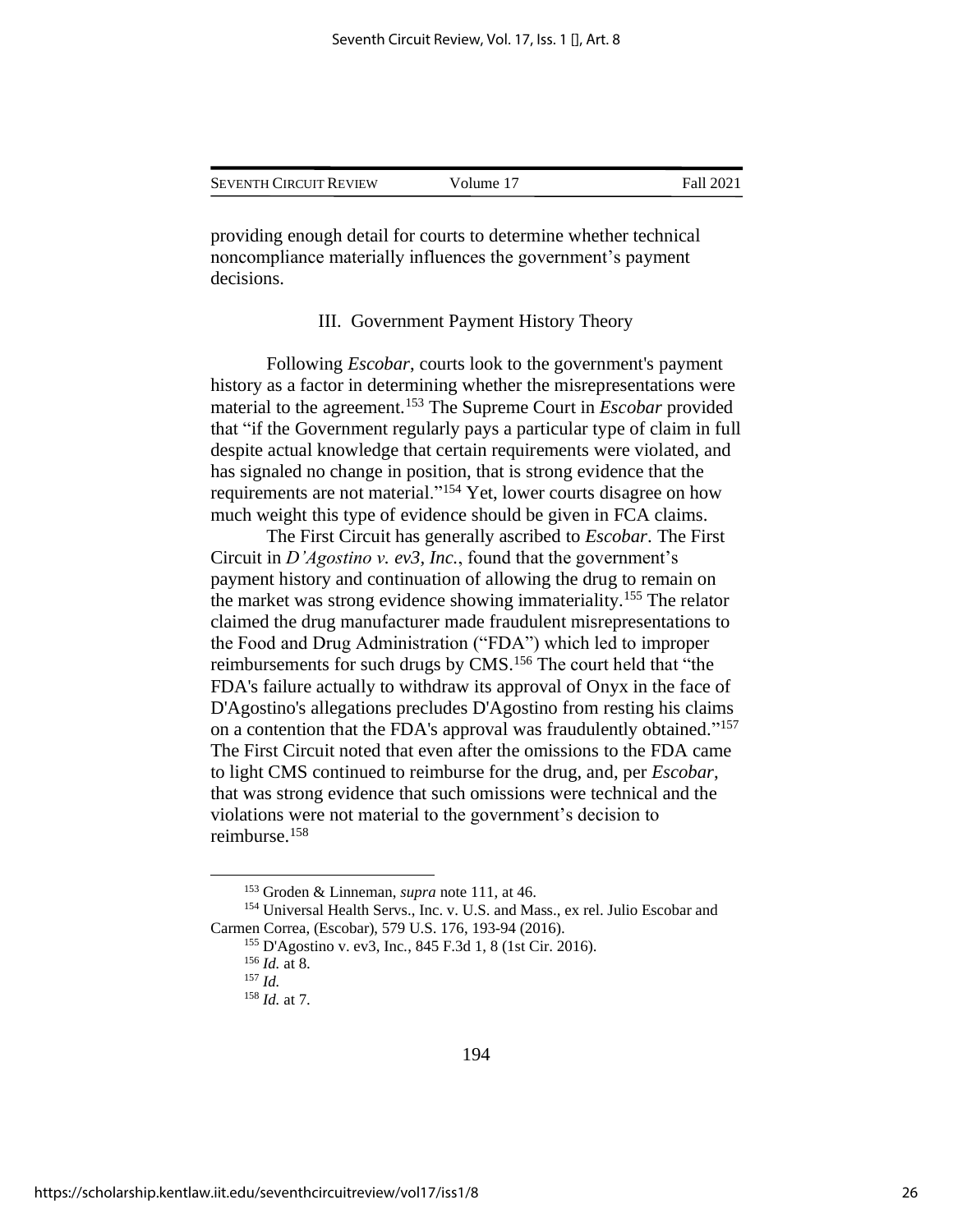| <b>SEVENTH CIRCUIT REVIEW</b> | Volume 17 | Fall 2021 |
|-------------------------------|-----------|-----------|
|                               |           |           |

providing enough detail for courts to determine whether technical noncompliance materially influences the government's payment decisions.

#### III. Government Payment History Theory

Following *Escobar*, courts look to the government's payment history as a factor in determining whether the misrepresentations were material to the agreement.<sup>153</sup> The Supreme Court in *Escobar* provided that "if the Government regularly pays a particular type of claim in full despite actual knowledge that certain requirements were violated, and has signaled no change in position, that is strong evidence that the requirements are not material."<sup>154</sup> Yet, lower courts disagree on how much weight this type of evidence should be given in FCA claims.

The First Circuit has generally ascribed to *Escobar*. The First Circuit in *D'Agostino v. ev3, Inc.*, found that the government's payment history and continuation of allowing the drug to remain on the market was strong evidence showing immateriality.<sup>155</sup> The relator claimed the drug manufacturer made fraudulent misrepresentations to the Food and Drug Administration ("FDA") which led to improper reimbursements for such drugs by CMS.<sup>156</sup> The court held that "the FDA's failure actually to withdraw its approval of Onyx in the face of D'Agostino's allegations precludes D'Agostino from resting his claims on a contention that the FDA's approval was fraudulently obtained."<sup>157</sup> The First Circuit noted that even after the omissions to the FDA came to light CMS continued to reimburse for the drug, and, per *Escobar*, that was strong evidence that such omissions were technical and the violations were not material to the government's decision to reimburse.<sup>158</sup>

<sup>153</sup> Groden & Linneman, *supra* note 111, at 46.

<sup>154</sup> Universal Health Servs., Inc. v. U.S. and Mass., ex rel. Julio Escobar and Carmen Correa, (Escobar), 579 U.S. 176, 193-94 (2016).

<sup>155</sup> D'Agostino v. ev3, Inc*.*, 845 F.3d 1, 8 (1st Cir. 2016).

<sup>156</sup> *Id.* at 8.

<sup>157</sup> *Id.*

<sup>158</sup> *Id.* at 7.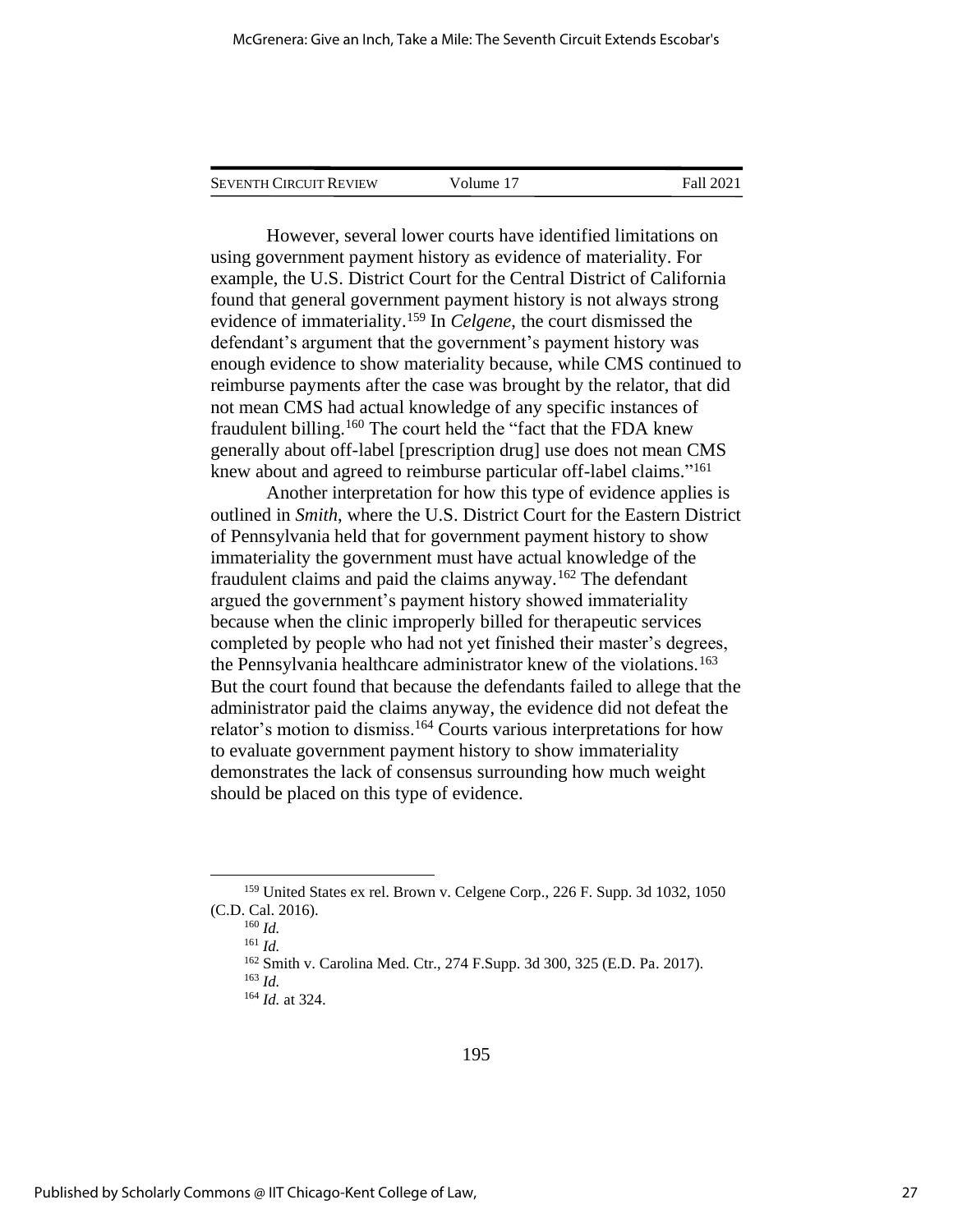| <b>SEVENTH CIRCUIT REVIEW</b> | Volume 17 | Fall 2021 |
|-------------------------------|-----------|-----------|
|                               |           |           |

However, several lower courts have identified limitations on using government payment history as evidence of materiality. For example, the U.S. District Court for the Central District of California found that general government payment history is not always strong evidence of immateriality.<sup>159</sup> In *Celgene*, the court dismissed the defendant's argument that the government's payment history was enough evidence to show materiality because, while CMS continued to reimburse payments after the case was brought by the relator, that did not mean CMS had actual knowledge of any specific instances of fraudulent billing.<sup>160</sup> The court held the "fact that the FDA knew generally about off-label [prescription drug] use does not mean CMS knew about and agreed to reimburse particular off-label claims."<sup>161</sup>

Another interpretation for how this type of evidence applies is outlined in *Smith*, where the U.S. District Court for the Eastern District of Pennsylvania held that for government payment history to show immateriality the government must have actual knowledge of the fraudulent claims and paid the claims anyway.<sup>162</sup> The defendant argued the government's payment history showed immateriality because when the clinic improperly billed for therapeutic services completed by people who had not yet finished their master's degrees, the Pennsylvania healthcare administrator knew of the violations.<sup>163</sup> But the court found that because the defendants failed to allege that the administrator paid the claims anyway, the evidence did not defeat the relator's motion to dismiss.<sup>164</sup> Courts various interpretations for how to evaluate government payment history to show immateriality demonstrates the lack of consensus surrounding how much weight should be placed on this type of evidence.

<sup>159</sup> United States ex rel. Brown v. Celgene Corp., 226 F. Supp. 3d 1032, 1050 (C.D. Cal. 2016).

<sup>160</sup> *Id.*

<sup>161</sup> *Id.*

<sup>162</sup> Smith v. Carolina Med. Ctr., 274 F.Supp. 3d 300, 325 (E.D. Pa. 2017). <sup>163</sup> *Id.*

<sup>164</sup> *Id.* at 324.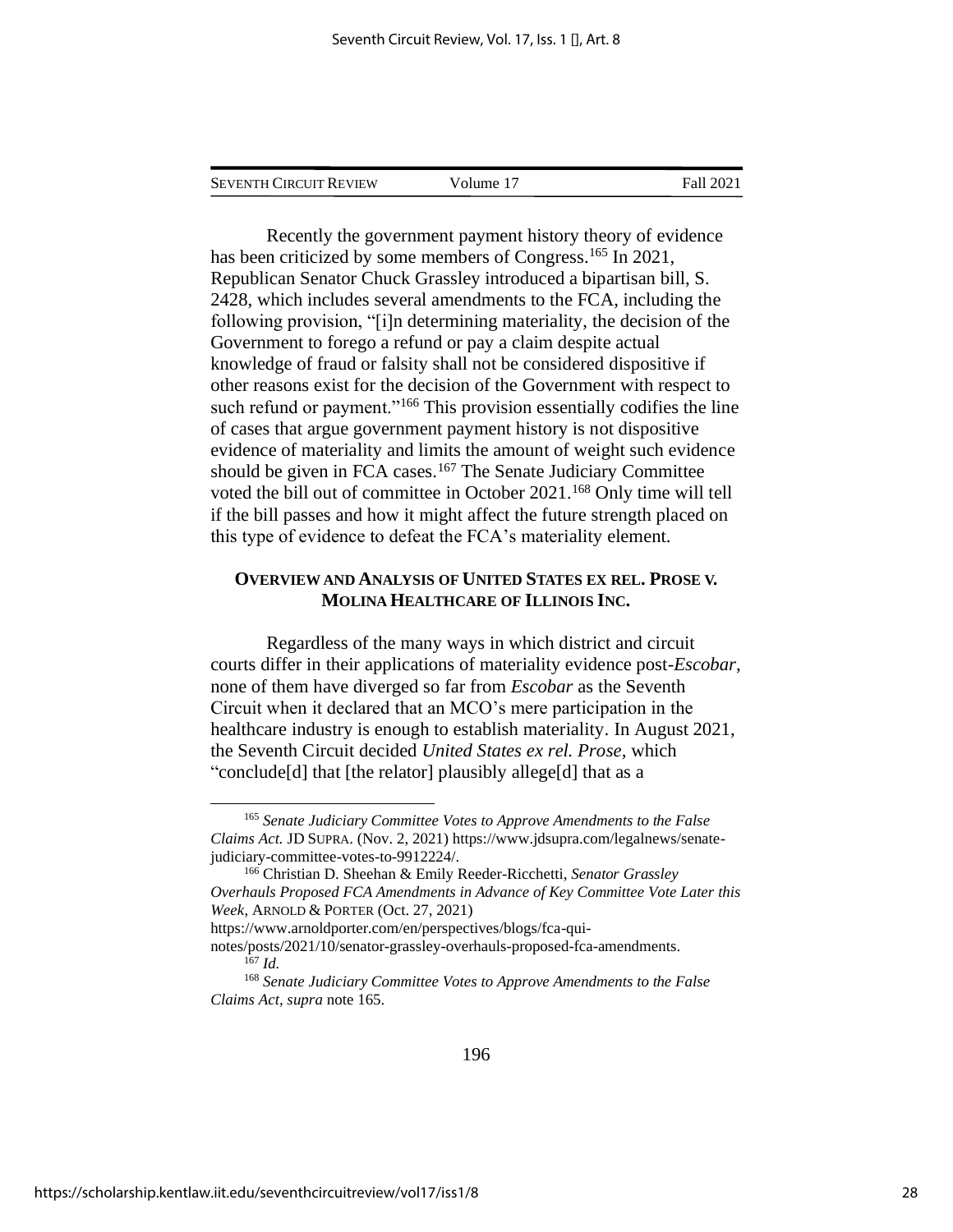| <b>SEVENTH CIRCUIT REVIEW</b> | Volume 17 | Fall 2021 |
|-------------------------------|-----------|-----------|
|                               |           |           |

Recently the government payment history theory of evidence has been criticized by some members of Congress.<sup>165</sup> In 2021, Republican Senator Chuck Grassley introduced a bipartisan bill, S. 2428, which includes several amendments to the FCA, including the following provision, "[i]n determining materiality, the decision of the Government to forego a refund or pay a claim despite actual knowledge of fraud or falsity shall not be considered dispositive if other reasons exist for the decision of the Government with respect to such refund or payment."<sup>166</sup> This provision essentially codifies the line of cases that argue government payment history is not dispositive evidence of materiality and limits the amount of weight such evidence should be given in FCA cases. $167$  The Senate Judiciary Committee voted the bill out of committee in October 2021.<sup>168</sup> Only time will tell if the bill passes and how it might affect the future strength placed on this type of evidence to defeat the FCA's materiality element.

## **OVERVIEW AND ANALYSIS OF UNITED STATES EX REL. PROSE V. MOLINA HEALTHCARE OF ILLINOIS INC.**

Regardless of the many ways in which district and circuit courts differ in their applications of materiality evidence post-*Escobar*, none of them have diverged so far from *Escobar* as the Seventh Circuit when it declared that an MCO's mere participation in the healthcare industry is enough to establish materiality. In August 2021, the Seventh Circuit decided *United States ex rel. Prose,* which "conclude[d] that [the relator] plausibly allege[d] that as a

<sup>165</sup> *Senate Judiciary Committee Votes to Approve Amendments to the False Claims Act.* JD SUPRA. (Nov. 2, 2021) https://www.jdsupra.com/legalnews/senatejudiciary-committee-votes-to-9912224/.

<sup>166</sup> Christian D. Sheehan & Emily Reeder-Ricchetti, *Senator Grassley Overhauls Proposed FCA Amendments in Advance of Key Committee Vote Later this Week*, ARNOLD & PORTER (Oct. 27, 2021)

https://www.arnoldporter.com/en/perspectives/blogs/fca-qui-

notes/posts/2021/10/senator-grassley-overhauls-proposed-fca-amendments. <sup>167</sup> *Id.*

<sup>168</sup> *Senate Judiciary Committee Votes to Approve Amendments to the False Claims Act, supra* note 165.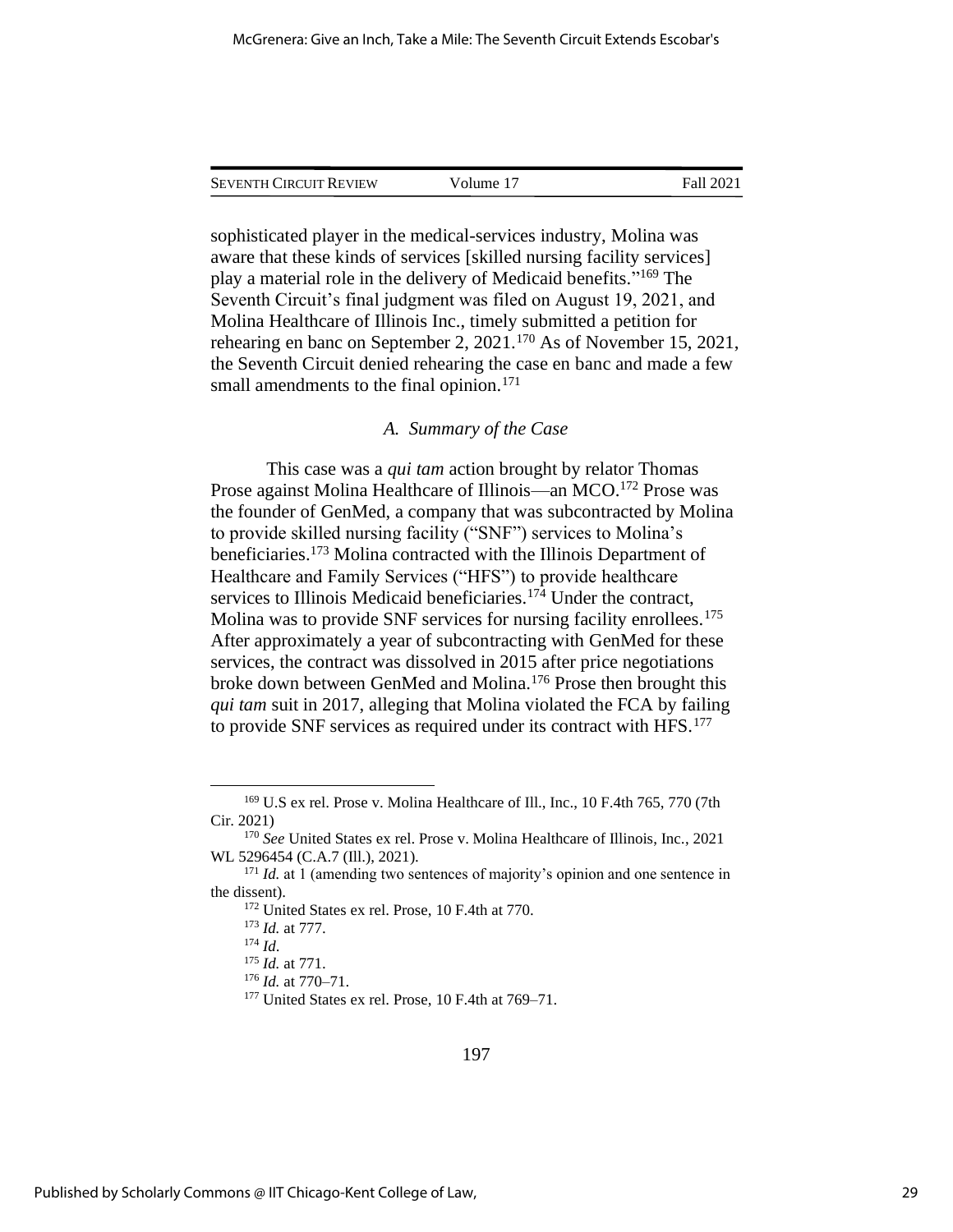sophisticated player in the medical-services industry, Molina was aware that these kinds of services [skilled nursing facility services] play a material role in the delivery of Medicaid benefits."<sup>169</sup> The Seventh Circuit's final judgment was filed on August 19, 2021, and Molina Healthcare of Illinois Inc., timely submitted a petition for rehearing en banc on September 2, 2021.<sup>170</sup> As of November 15, 2021, the Seventh Circuit denied rehearing the case en banc and made a few small amendments to the final opinion.<sup>171</sup>

#### *A. Summary of the Case*

This case was a *qui tam* action brought by relator Thomas Prose against Molina Healthcare of Illinois—an MCO.<sup>172</sup> Prose was the founder of GenMed, a company that was subcontracted by Molina to provide skilled nursing facility ("SNF") services to Molina's beneficiaries.<sup>173</sup> Molina contracted with the Illinois Department of Healthcare and Family Services ("HFS") to provide healthcare services to Illinois Medicaid beneficiaries.<sup>174</sup> Under the contract, Molina was to provide SNF services for nursing facility enrollees.<sup>175</sup> After approximately a year of subcontracting with GenMed for these services, the contract was dissolved in 2015 after price negotiations broke down between GenMed and Molina.<sup>176</sup> Prose then brought this *qui tam* suit in 2017, alleging that Molina violated the FCA by failing to provide SNF services as required under its contract with HFS.<sup>177</sup>

<sup>169</sup> U.S ex rel. Prose v. Molina Healthcare of Ill., Inc., 10 F.4th 765, 770 (7th Cir. 2021)

<sup>170</sup> *See* United States ex rel. Prose v. Molina Healthcare of Illinois, Inc., 2021 WL 5296454 (C.A.7 (Ill.), 2021).

<sup>&</sup>lt;sup>171</sup> *Id.* at 1 (amending two sentences of majority's opinion and one sentence in the dissent).

<sup>172</sup> United States ex rel. Prose, 10 F.4th at 770.

<sup>173</sup> *Id.* at 777.

<sup>174</sup> *Id*.

<sup>175</sup> *Id.* at 771.

<sup>176</sup> *Id.* at 770–71.

<sup>&</sup>lt;sup>177</sup> United States ex rel. Prose, 10 F.4th at 769–71.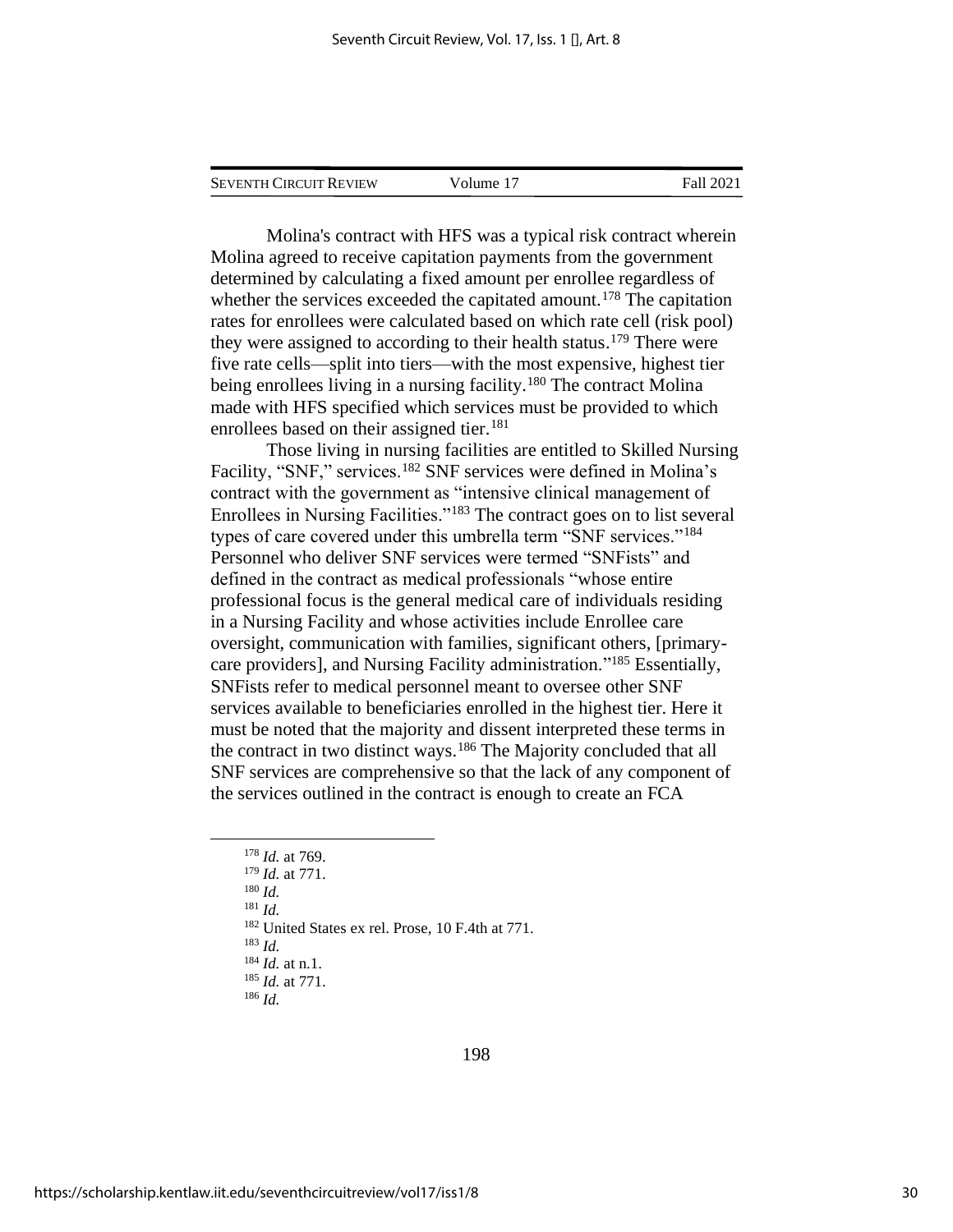Molina's contract with HFS was a typical risk contract wherein Molina agreed to receive capitation payments from the government determined by calculating a fixed amount per enrollee regardless of whether the services exceeded the capitated amount.<sup>178</sup> The capitation rates for enrollees were calculated based on which rate cell (risk pool) they were assigned to according to their health status.<sup>179</sup> There were five rate cells—split into tiers—with the most expensive, highest tier being enrollees living in a nursing facility.<sup>180</sup> The contract Molina made with HFS specified which services must be provided to which enrollees based on their assigned tier.<sup>181</sup>

Those living in nursing facilities are entitled to Skilled Nursing Facility, "SNF," services.<sup>182</sup> SNF services were defined in Molina's contract with the government as "intensive clinical management of Enrollees in Nursing Facilities."<sup>183</sup> The contract goes on to list several types of care covered under this umbrella term "SNF services."<sup>184</sup> Personnel who deliver SNF services were termed "SNFists" and defined in the contract as medical professionals "whose entire professional focus is the general medical care of individuals residing in a Nursing Facility and whose activities include Enrollee care oversight, communication with families, significant others, [primarycare providers], and Nursing Facility administration."<sup>185</sup> Essentially, SNFists refer to medical personnel meant to oversee other SNF services available to beneficiaries enrolled in the highest tier. Here it must be noted that the majority and dissent interpreted these terms in the contract in two distinct ways.<sup>186</sup> The Majority concluded that all SNF services are comprehensive so that the lack of any component of the services outlined in the contract is enough to create an FCA

<sup>178</sup> *Id.* at 769. <sup>179</sup> *Id.* at 771. <sup>180</sup> *Id.*  <sup>181</sup> *Id.* <sup>182</sup> United States ex rel. Prose, 10 F.4th at 771. <sup>183</sup> *Id.* <sup>184</sup> *Id.* at n.1. <sup>185</sup> *Id.* at 771. <sup>186</sup> *Id.*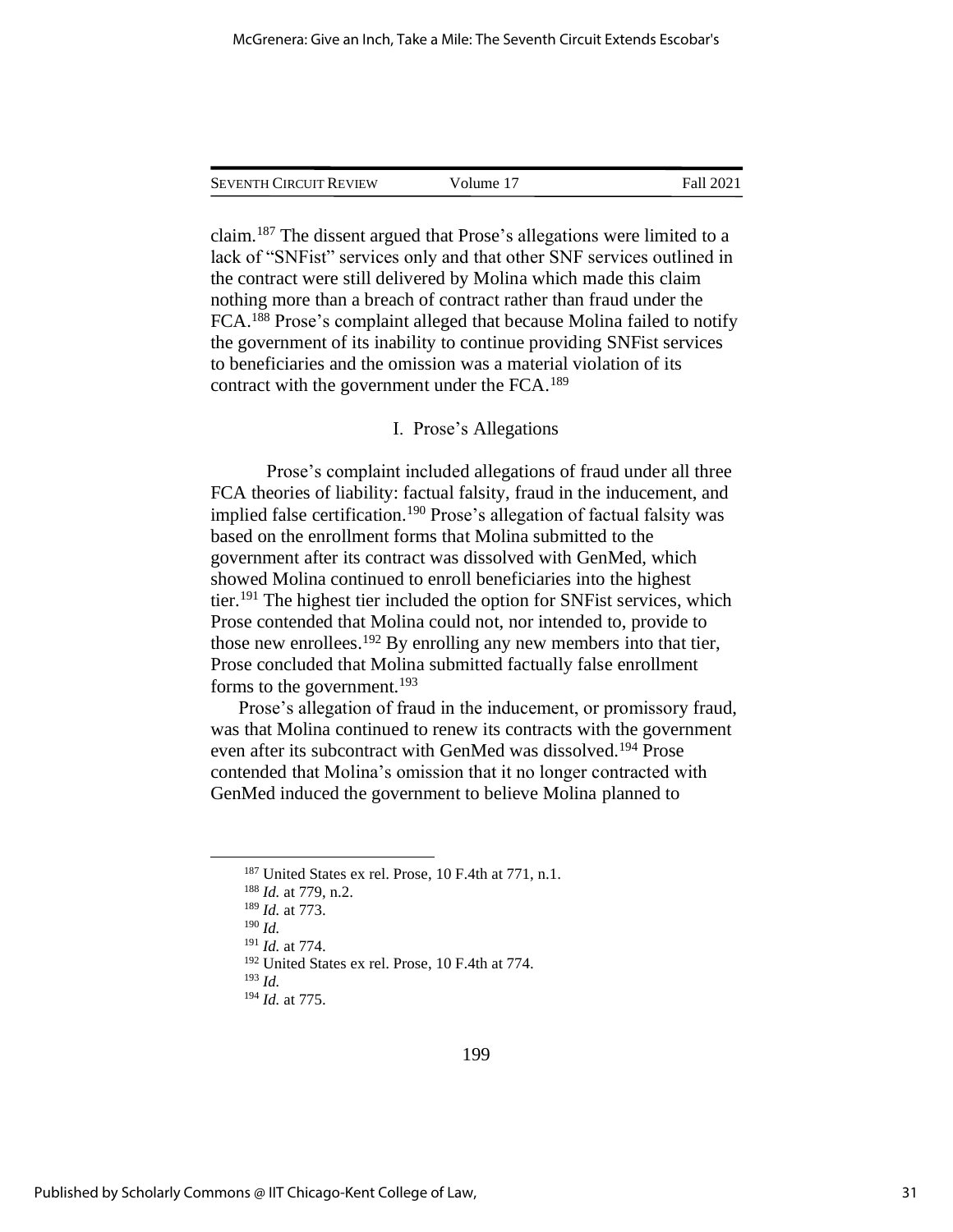claim.<sup>187</sup> The dissent argued that Prose's allegations were limited to a lack of "SNFist" services only and that other SNF services outlined in the contract were still delivered by Molina which made this claim nothing more than a breach of contract rather than fraud under the FCA.<sup>188</sup> Prose's complaint alleged that because Molina failed to notify the government of its inability to continue providing SNFist services to beneficiaries and the omission was a material violation of its contract with the government under the FCA.<sup>189</sup>

#### I. Prose's Allegations

Prose's complaint included allegations of fraud under all three FCA theories of liability: factual falsity, fraud in the inducement, and implied false certification.<sup>190</sup> Prose's allegation of factual falsity was based on the enrollment forms that Molina submitted to the government after its contract was dissolved with GenMed, which showed Molina continued to enroll beneficiaries into the highest tier.<sup>191</sup> The highest tier included the option for SNFist services, which Prose contended that Molina could not, nor intended to, provide to those new enrollees.<sup>192</sup> By enrolling any new members into that tier, Prose concluded that Molina submitted factually false enrollment forms to the government.<sup>193</sup>

Prose's allegation of fraud in the inducement, or promissory fraud, was that Molina continued to renew its contracts with the government even after its subcontract with GenMed was dissolved.<sup>194</sup> Prose contended that Molina's omission that it no longer contracted with GenMed induced the government to believe Molina planned to

<sup>190</sup> *Id.*

<sup>193</sup> *Id.*

<sup>&</sup>lt;sup>187</sup> United States ex rel. Prose, 10 F.4th at 771, n.1.

<sup>188</sup> *Id.* at 779, n.2.

<sup>189</sup> *Id.* at 773.

<sup>191</sup> *Id.* at 774.

<sup>192</sup> United States ex rel. Prose, 10 F.4th at 774.

<sup>194</sup> *Id.* at 775.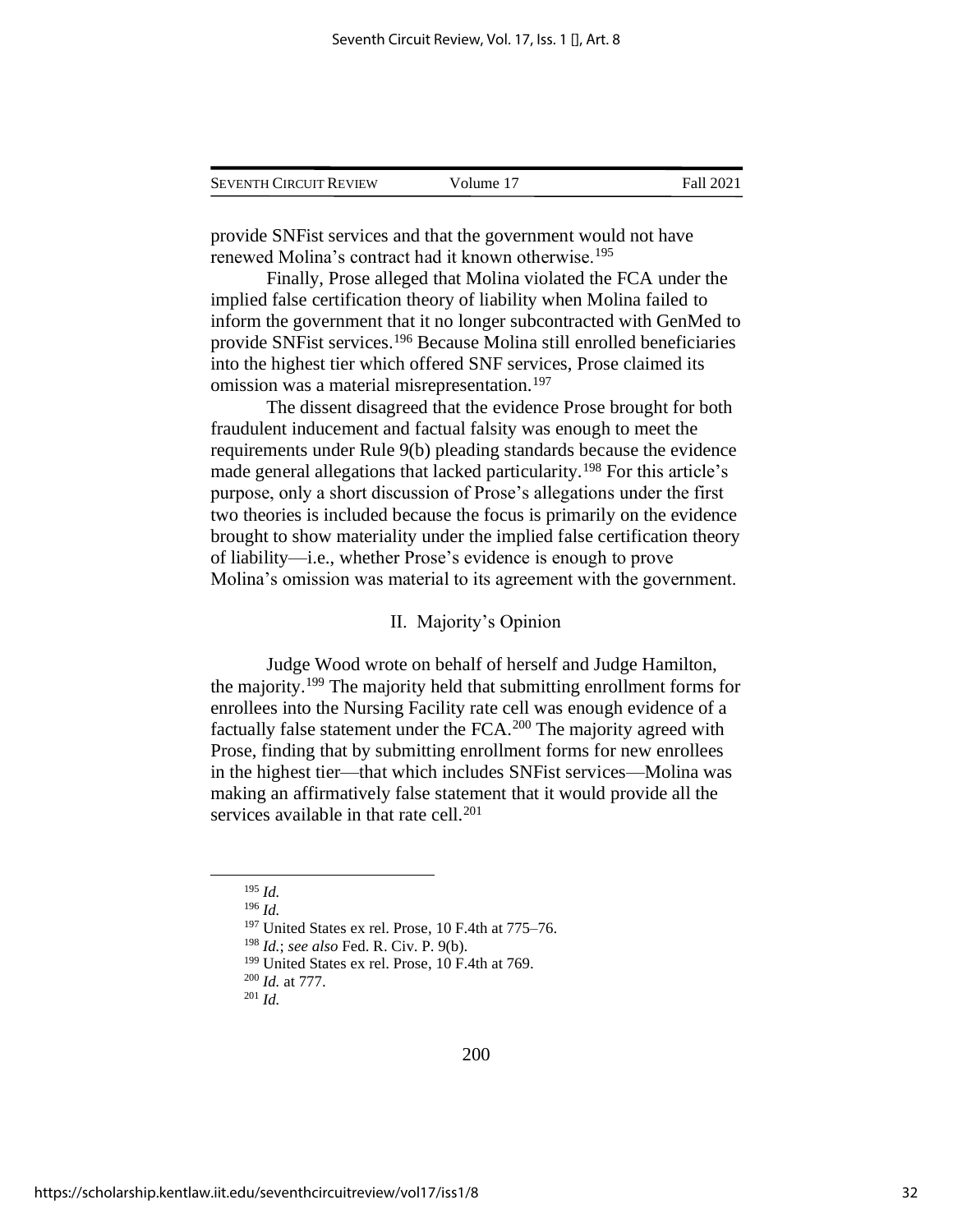| <b>SEVENTH CIRCUIT REVIEW</b> | Volume 17 | Fall 2021 |
|-------------------------------|-----------|-----------|
|                               |           |           |

provide SNFist services and that the government would not have renewed Molina's contract had it known otherwise.<sup>195</sup>

Finally, Prose alleged that Molina violated the FCA under the implied false certification theory of liability when Molina failed to inform the government that it no longer subcontracted with GenMed to provide SNFist services.<sup>196</sup> Because Molina still enrolled beneficiaries into the highest tier which offered SNF services, Prose claimed its omission was a material misrepresentation.<sup>197</sup>

The dissent disagreed that the evidence Prose brought for both fraudulent inducement and factual falsity was enough to meet the requirements under Rule 9(b) pleading standards because the evidence made general allegations that lacked particularity.<sup>198</sup> For this article's purpose, only a short discussion of Prose's allegations under the first two theories is included because the focus is primarily on the evidence brought to show materiality under the implied false certification theory of liability—i.e., whether Prose's evidence is enough to prove Molina's omission was material to its agreement with the government.

#### II. Majority's Opinion

Judge Wood wrote on behalf of herself and Judge Hamilton, the majority.<sup>199</sup> The majority held that submitting enrollment forms for enrollees into the Nursing Facility rate cell was enough evidence of a factually false statement under the FCA.<sup>200</sup> The majority agreed with Prose, finding that by submitting enrollment forms for new enrollees in the highest tier—that which includes SNFist services—Molina was making an affirmatively false statement that it would provide all the services available in that rate cell.<sup>201</sup>

<sup>200</sup> *Id.* at 777. <sup>201</sup> *Id.*

<sup>195</sup> *Id.*

<sup>196</sup> *Id.*

 $197$  United States ex rel. Prose, 10 F.4th at  $775-76$ .

<sup>198</sup> *Id.*; *see also* Fed. R. Civ. P. 9(b).

<sup>&</sup>lt;sup>199</sup> United States ex rel. Prose, 10 F.4th at 769.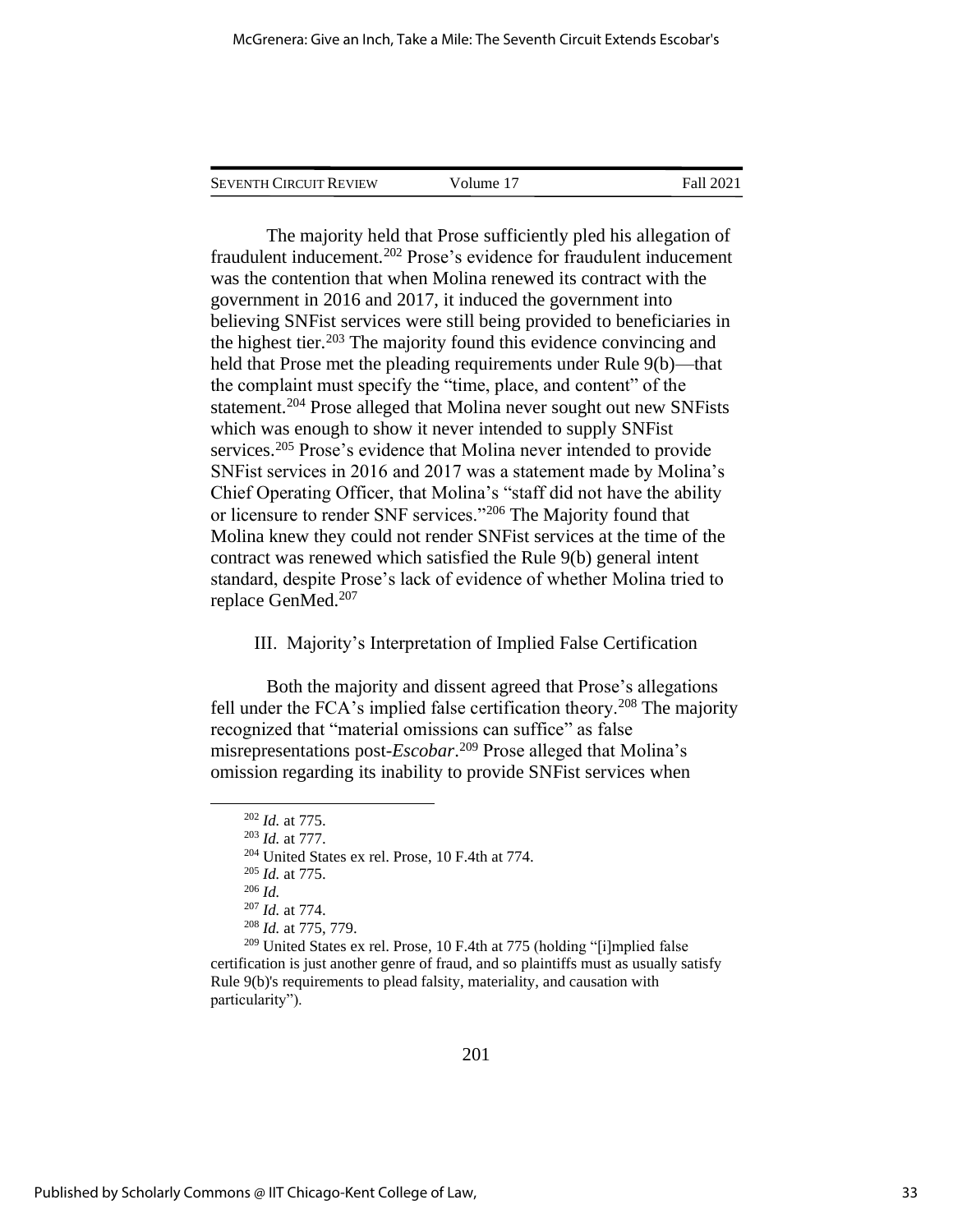| <b>SEVENTH CIRCUIT REVIEW</b> | Volume 17 | Fall 2021 |
|-------------------------------|-----------|-----------|
|                               |           |           |

The majority held that Prose sufficiently pled his allegation of fraudulent inducement.<sup>202</sup> Prose's evidence for fraudulent inducement was the contention that when Molina renewed its contract with the government in 2016 and 2017, it induced the government into believing SNFist services were still being provided to beneficiaries in the highest tier.<sup>203</sup> The majority found this evidence convincing and held that Prose met the pleading requirements under Rule 9(b)—that the complaint must specify the "time, place, and content" of the statement.<sup>204</sup> Prose alleged that Molina never sought out new SNFists which was enough to show it never intended to supply SNFist services.<sup>205</sup> Prose's evidence that Molina never intended to provide SNFist services in 2016 and 2017 was a statement made by Molina's Chief Operating Officer, that Molina's "staff did not have the ability or licensure to render SNF services."<sup>206</sup> The Majority found that Molina knew they could not render SNFist services at the time of the contract was renewed which satisfied the Rule 9(b) general intent standard, despite Prose's lack of evidence of whether Molina tried to replace GenMed.<sup>207</sup>

#### III. Majority's Interpretation of Implied False Certification

Both the majority and dissent agreed that Prose's allegations fell under the FCA's implied false certification theory.<sup>208</sup> The majority recognized that "material omissions can suffice" as false misrepresentations post-*Escobar*. <sup>209</sup> Prose alleged that Molina's omission regarding its inability to provide SNFist services when

<sup>202</sup> *Id.* at 775.

<sup>203</sup> *Id.* at 777.

<sup>204</sup> United States ex rel. Prose, 10 F.4th at 774.

<sup>205</sup> *Id.* at 775.

<sup>206</sup> *Id.*

<sup>207</sup> *Id.* at 774.

<sup>208</sup> *Id.* at 775, 779.

 $209$  United States ex rel. Prose, 10 F.4th at 775 (holding "[i]mplied false certification is just another genre of fraud, and so plaintiffs must as usually satisfy Rule 9(b)'s requirements to plead falsity, materiality, and causation with particularity").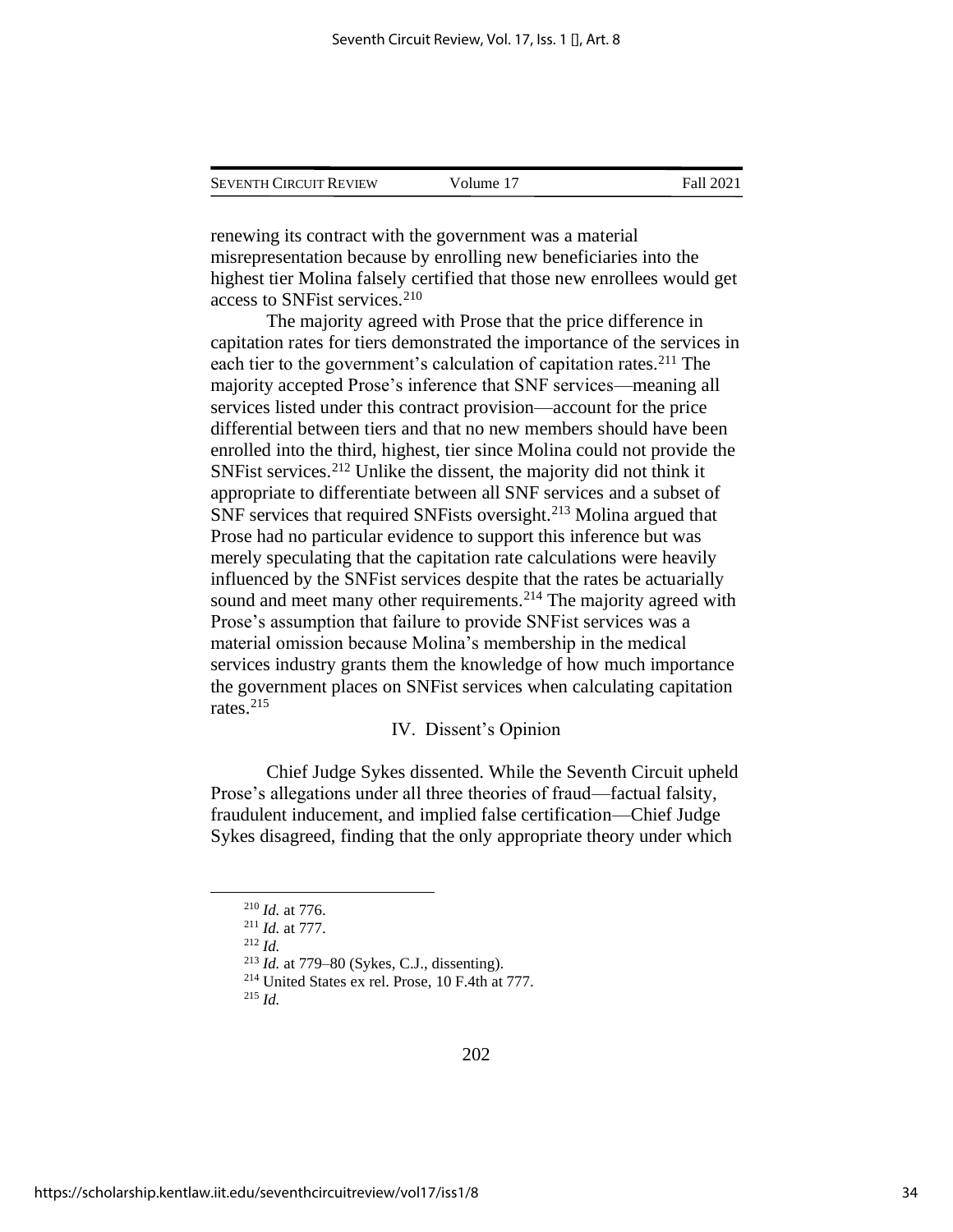| <b>SEVENTH CIRCUIT REVIEW</b> | Volume 17 | Fall 2021 |
|-------------------------------|-----------|-----------|
|                               |           |           |

renewing its contract with the government was a material misrepresentation because by enrolling new beneficiaries into the highest tier Molina falsely certified that those new enrollees would get access to SNFist services.<sup>210</sup>

The majority agreed with Prose that the price difference in capitation rates for tiers demonstrated the importance of the services in each tier to the government's calculation of capitation rates.<sup>211</sup> The majority accepted Prose's inference that SNF services—meaning all services listed under this contract provision—account for the price differential between tiers and that no new members should have been enrolled into the third, highest, tier since Molina could not provide the SNFist services.<sup>212</sup> Unlike the dissent, the majority did not think it appropriate to differentiate between all SNF services and a subset of SNF services that required SNFists oversight.<sup>213</sup> Molina argued that Prose had no particular evidence to support this inference but was merely speculating that the capitation rate calculations were heavily influenced by the SNFist services despite that the rates be actuarially sound and meet many other requirements.<sup>214</sup> The majority agreed with Prose's assumption that failure to provide SNFist services was a material omission because Molina's membership in the medical services industry grants them the knowledge of how much importance the government places on SNFist services when calculating capitation rates.<sup>215</sup>

#### IV. Dissent's Opinion

Chief Judge Sykes dissented. While the Seventh Circuit upheld Prose's allegations under all three theories of fraud—factual falsity, fraudulent inducement, and implied false certification—Chief Judge Sykes disagreed, finding that the only appropriate theory under which

<sup>212</sup> *Id.*

<sup>213</sup> *Id.* at 779–80 (Sykes, C.J., dissenting).

<sup>215</sup> *Id.*

<sup>210</sup> *Id.* at 776.

<sup>211</sup> *Id.* at 777.

<sup>214</sup> United States ex rel. Prose, 10 F.4th at 777.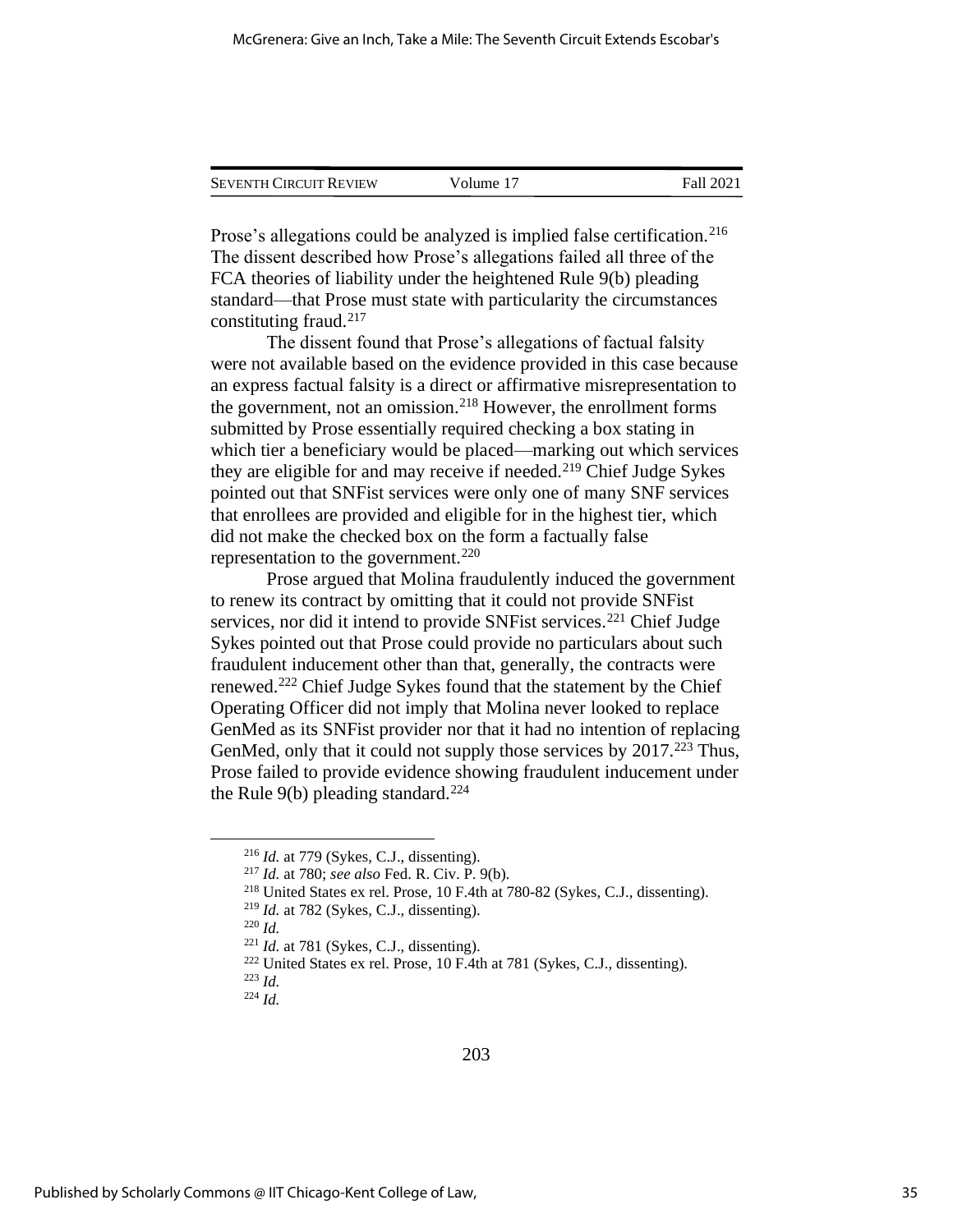| <b>SEVENTH CIRCUIT REVIEW</b> | Volume 17 | Fall 2021 |
|-------------------------------|-----------|-----------|
|                               |           |           |

Prose's allegations could be analyzed is implied false certification.<sup>216</sup> The dissent described how Prose's allegations failed all three of the FCA theories of liability under the heightened Rule 9(b) pleading standard—that Prose must state with particularity the circumstances constituting fraud.<sup>217</sup>

The dissent found that Prose's allegations of factual falsity were not available based on the evidence provided in this case because an express factual falsity is a direct or affirmative misrepresentation to the government, not an omission.<sup>218</sup> However, the enrollment forms submitted by Prose essentially required checking a box stating in which tier a beneficiary would be placed—marking out which services they are eligible for and may receive if needed.<sup>219</sup> Chief Judge Sykes pointed out that SNFist services were only one of many SNF services that enrollees are provided and eligible for in the highest tier, which did not make the checked box on the form a factually false representation to the government.<sup>220</sup>

Prose argued that Molina fraudulently induced the government to renew its contract by omitting that it could not provide SNFist services, nor did it intend to provide SNFist services.<sup>221</sup> Chief Judge Sykes pointed out that Prose could provide no particulars about such fraudulent inducement other than that, generally, the contracts were renewed.<sup>222</sup> Chief Judge Sykes found that the statement by the Chief Operating Officer did not imply that Molina never looked to replace GenMed as its SNFist provider nor that it had no intention of replacing GenMed, only that it could not supply those services by  $2017<sup>223</sup>$  Thus, Prose failed to provide evidence showing fraudulent inducement under the Rule 9(b) pleading standard.<sup>224</sup>

<sup>216</sup> *Id.* at 779 (Sykes, C.J., dissenting).

<sup>217</sup> *Id.* at 780; *see also* Fed. R. Civ. P. 9(b).

<sup>218</sup> United States ex rel. Prose, 10 F.4th at 780-82 (Sykes, C.J., dissenting).

<sup>219</sup> *Id.* at 782 (Sykes, C.J., dissenting).

<sup>220</sup> *Id.*

 $221$  *Id.* at 781 (Sykes, C.J., dissenting).

<sup>222</sup> United States ex rel. Prose, 10 F.4th at 781 (Sykes, C.J., dissenting).

<sup>223</sup> *Id.*

<sup>224</sup> *Id.*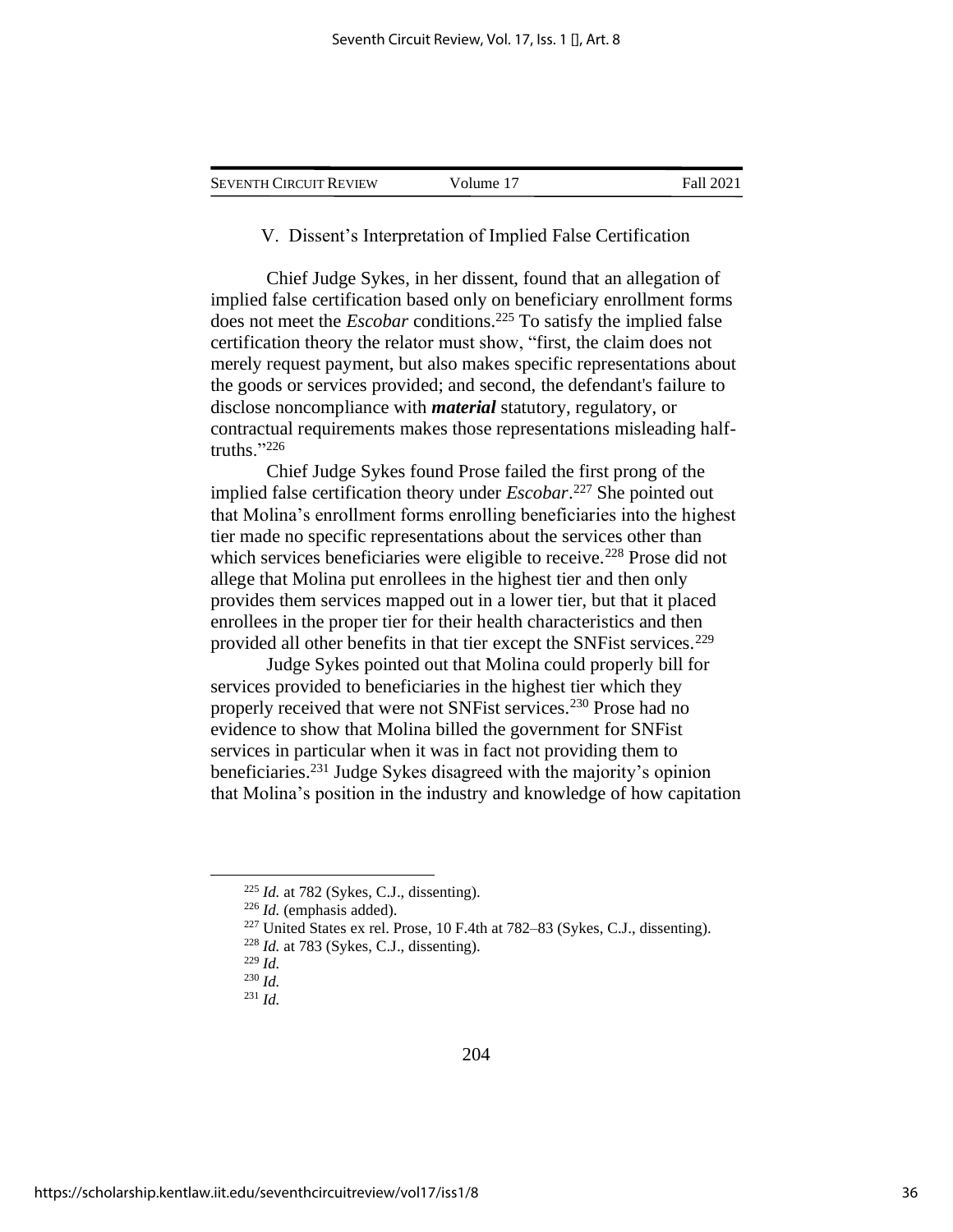| <b>SEVENTH CIRCUIT REVIEW</b> | Volume 17 | Fall 2021 |
|-------------------------------|-----------|-----------|
|-------------------------------|-----------|-----------|

V. Dissent's Interpretation of Implied False Certification

Chief Judge Sykes, in her dissent, found that an allegation of implied false certification based only on beneficiary enrollment forms does not meet the *Escobar* conditions.<sup>225</sup> To satisfy the implied false certification theory the relator must show, "first, the claim does not merely request payment, but also makes specific representations about the goods or services provided; and second, the defendant's failure to disclose noncompliance with *material* statutory, regulatory, or contractual requirements makes those representations misleading halftruths."<sup>226</sup>

Chief Judge Sykes found Prose failed the first prong of the implied false certification theory under *Escobar*. <sup>227</sup> She pointed out that Molina's enrollment forms enrolling beneficiaries into the highest tier made no specific representations about the services other than which services beneficiaries were eligible to receive.<sup>228</sup> Prose did not allege that Molina put enrollees in the highest tier and then only provides them services mapped out in a lower tier, but that it placed enrollees in the proper tier for their health characteristics and then provided all other benefits in that tier except the SNF ist services.<sup>229</sup>

Judge Sykes pointed out that Molina could properly bill for services provided to beneficiaries in the highest tier which they properly received that were not SNFist services.<sup>230</sup> Prose had no evidence to show that Molina billed the government for SNFist services in particular when it was in fact not providing them to beneficiaries.<sup>231</sup> Judge Sykes disagreed with the majority's opinion that Molina's position in the industry and knowledge of how capitation

 $225$  *Id.* at 782 (Sykes, C.J., dissenting).

<sup>226</sup> *Id.* (emphasis added).

 $227$  United States ex rel. Prose, 10 F.4th at  $782-83$  (Sykes, C.J., dissenting).

 $^{228}$  *Id.* at 783 (Sykes, C.J., dissenting).

<sup>229</sup> *Id.*

<sup>230</sup> *Id.*

<sup>231</sup> *Id.*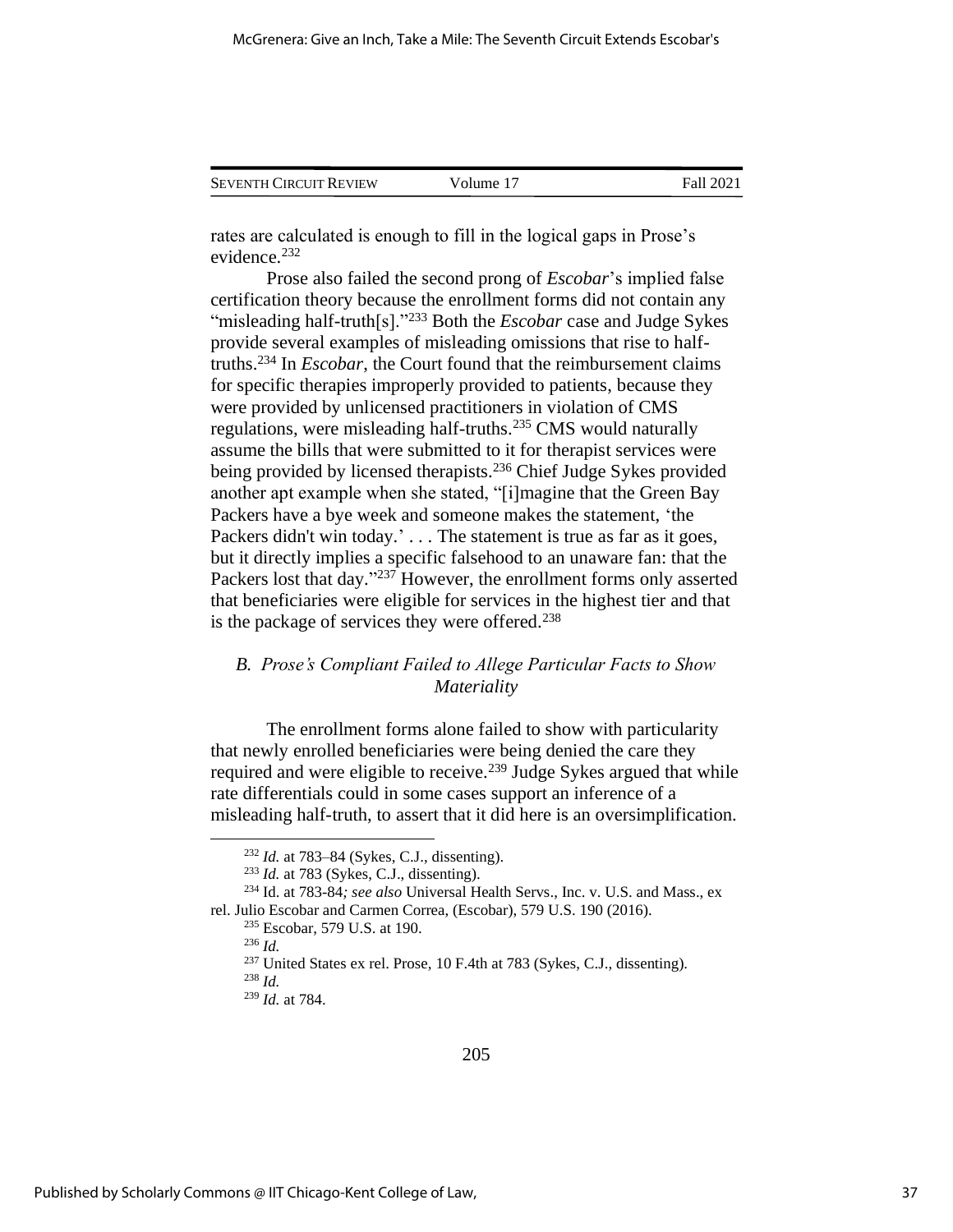| <b>SEVENTH CIRCUIT REVIEW</b> | Volume 17 | Fall 2021 |
|-------------------------------|-----------|-----------|
|                               |           |           |

rates are calculated is enough to fill in the logical gaps in Prose's evidence.<sup>232</sup>

Prose also failed the second prong of *Escobar*'s implied false certification theory because the enrollment forms did not contain any "misleading half-truth[s]."<sup>233</sup> Both the *Escobar* case and Judge Sykes provide several examples of misleading omissions that rise to halftruths.<sup>234</sup> In *Escobar*, the Court found that the reimbursement claims for specific therapies improperly provided to patients, because they were provided by unlicensed practitioners in violation of CMS regulations, were misleading half-truths.<sup>235</sup> CMS would naturally assume the bills that were submitted to it for therapist services were being provided by licensed therapists.<sup>236</sup> Chief Judge Sykes provided another apt example when she stated, "[i]magine that the Green Bay Packers have a bye week and someone makes the statement, 'the Packers didn't win today.'... The statement is true as far as it goes, but it directly implies a specific falsehood to an unaware fan: that the Packers lost that day."<sup>237</sup> However, the enrollment forms only asserted that beneficiaries were eligible for services in the highest tier and that is the package of services they were offered.<sup>238</sup>

## *B. Prose's Compliant Failed to Allege Particular Facts to Show Materiality*

The enrollment forms alone failed to show with particularity that newly enrolled beneficiaries were being denied the care they required and were eligible to receive.<sup>239</sup> Judge Sykes argued that while rate differentials could in some cases support an inference of a misleading half-truth, to assert that it did here is an oversimplification.

<sup>232</sup> *Id.* at 783–84 (Sykes, C.J., dissenting).

<sup>233</sup> *Id.* at 783 (Sykes, C.J., dissenting).

<sup>234</sup> Id. at 783-84*; see also* Universal Health Servs., Inc. v. U.S. and Mass., ex rel. Julio Escobar and Carmen Correa, (Escobar), 579 U.S. 190 (2016).

<sup>235</sup> Escobar, 579 U.S. at 190.

<sup>236</sup> *Id.*

<sup>237</sup> United States ex rel. Prose, 10 F.4th at 783 (Sykes, C.J., dissenting).

<sup>238</sup> *Id.*

<sup>239</sup> *Id.* at 784.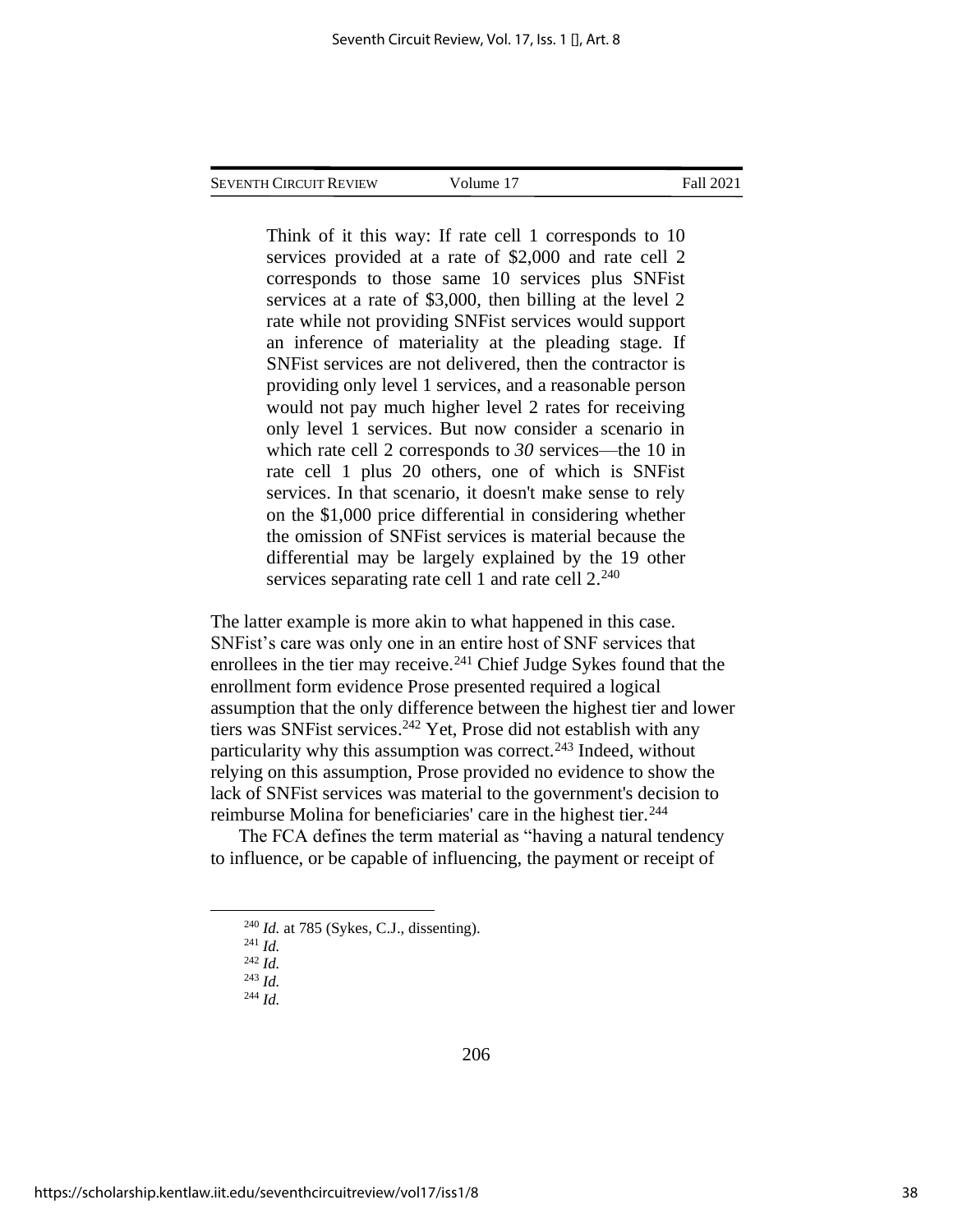Think of it this way: If rate cell 1 corresponds to 10 services provided at a rate of \$2,000 and rate cell 2 corresponds to those same 10 services plus SNFist services at a rate of \$3,000, then billing at the level 2 rate while not providing SNFist services would support an inference of materiality at the pleading stage. If SNFist services are not delivered, then the contractor is providing only level 1 services, and a reasonable person would not pay much higher level 2 rates for receiving only level 1 services. But now consider a scenario in which rate cell 2 corresponds to *30* services—the 10 in rate cell 1 plus 20 others, one of which is SNFist services. In that scenario, it doesn't make sense to rely on the \$1,000 price differential in considering whether the omission of SNFist services is material because the differential may be largely explained by the 19 other services separating rate cell 1 and rate cell  $2.^{240}$ 

The latter example is more akin to what happened in this case. SNFist's care was only one in an entire host of SNF services that enrollees in the tier may receive.<sup>241</sup> Chief Judge Sykes found that the enrollment form evidence Prose presented required a logical assumption that the only difference between the highest tier and lower tiers was SNFist services. <sup>242</sup> Yet, Prose did not establish with any particularity why this assumption was correct.<sup>243</sup> Indeed, without relying on this assumption, Prose provided no evidence to show the lack of SNFist services was material to the government's decision to reimburse Molina for beneficiaries' care in the highest tier.<sup>244</sup>

The FCA defines the term material as "having a natural tendency to influence, or be capable of influencing, the payment or receipt of

- $^{241}$  *Id.* <sup>242</sup> *Id.*
- <sup>243</sup> *Id.*
- <sup>244</sup> *Id.*

206

<sup>240</sup> *Id.* at 785 (Sykes, C.J., dissenting).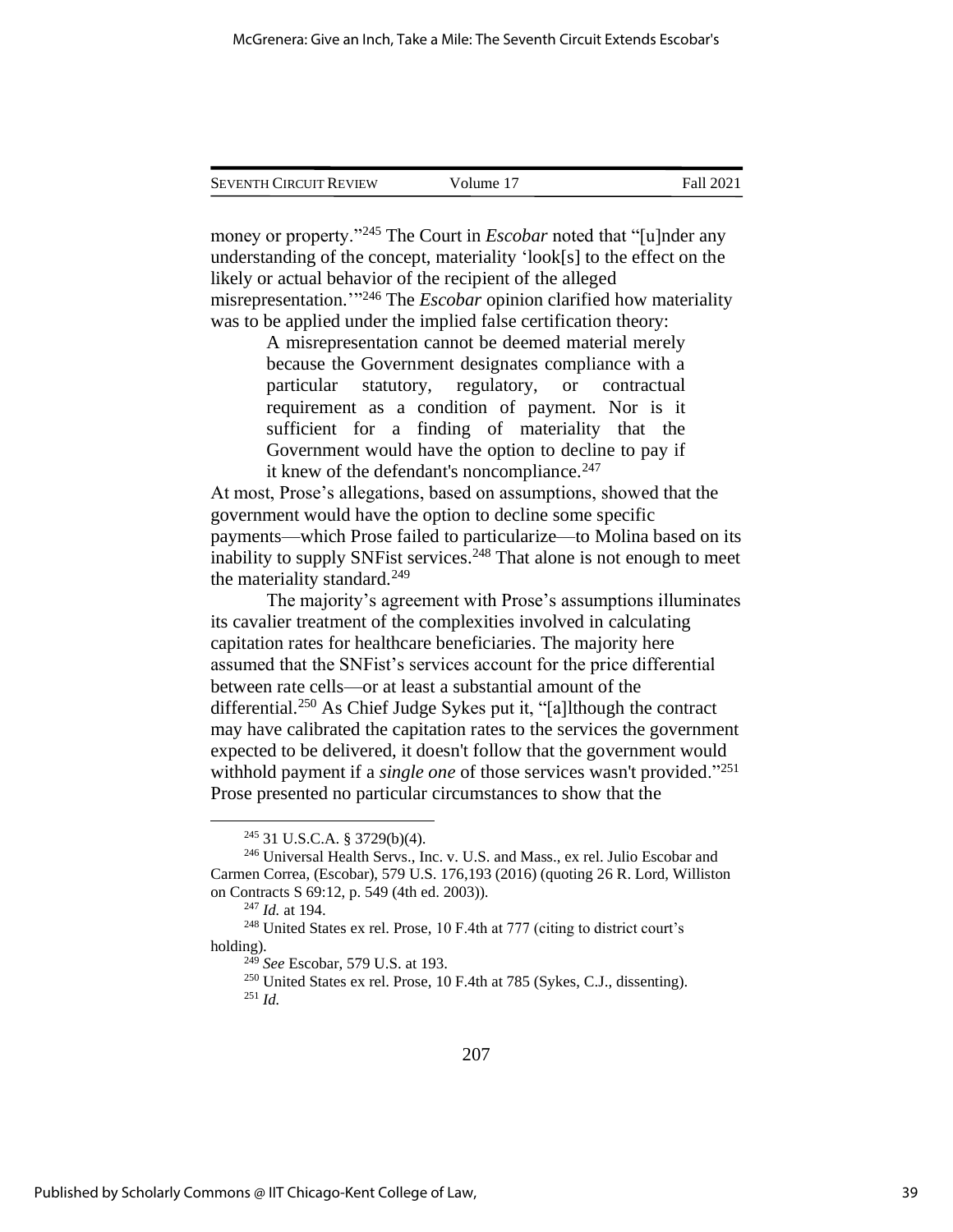| <b>SEVENTH CIRCUIT REVIEW</b> | Volume 17 | Fall 2021 |
|-------------------------------|-----------|-----------|

money or property.<sup>"245</sup> The Court in *Escobar* noted that "[u]nder any understanding of the concept, materiality 'look[s] to the effect on the likely or actual behavior of the recipient of the alleged misrepresentation.'" <sup>246</sup> The *Escobar* opinion clarified how materiality was to be applied under the implied false certification theory:

> A misrepresentation cannot be deemed material merely because the Government designates compliance with a particular statutory, regulatory, or contractual requirement as a condition of payment. Nor is it sufficient for a finding of materiality that the Government would have the option to decline to pay if it knew of the defendant's noncompliance. $247$

At most, Prose's allegations, based on assumptions, showed that the government would have the option to decline some specific payments—which Prose failed to particularize—to Molina based on its inability to supply SNF ist services.<sup>248</sup> That alone is not enough to meet the materiality standard.<sup>249</sup>

The majority's agreement with Prose's assumptions illuminates its cavalier treatment of the complexities involved in calculating capitation rates for healthcare beneficiaries. The majority here assumed that the SNFist's services account for the price differential between rate cells—or at least a substantial amount of the differential.<sup>250</sup> As Chief Judge Sykes put it, "[a]lthough the contract may have calibrated the capitation rates to the services the government expected to be delivered, it doesn't follow that the government would withhold payment if a *single one* of those services wasn't provided."<sup>251</sup> Prose presented no particular circumstances to show that the

<sup>245</sup> 31 U.S.C.A. § 3729(b)(4).

<sup>246</sup> Universal Health Servs., Inc. v. U.S. and Mass., ex rel. Julio Escobar and Carmen Correa, (Escobar), 579 U.S. 176,193 (2016) (quoting 26 R. Lord, Williston on Contracts S 69:12, p. 549 (4th ed. 2003)).

<sup>247</sup> *Id.* at 194.

<sup>248</sup> United States ex rel. Prose, 10 F.4th at 777 (citing to district court's holding).

<sup>249</sup> *See* Escobar, 579 U.S. at 193.

<sup>250</sup> United States ex rel. Prose, 10 F.4th at 785 (Sykes, C.J., dissenting).  $^{251}$  *Id.*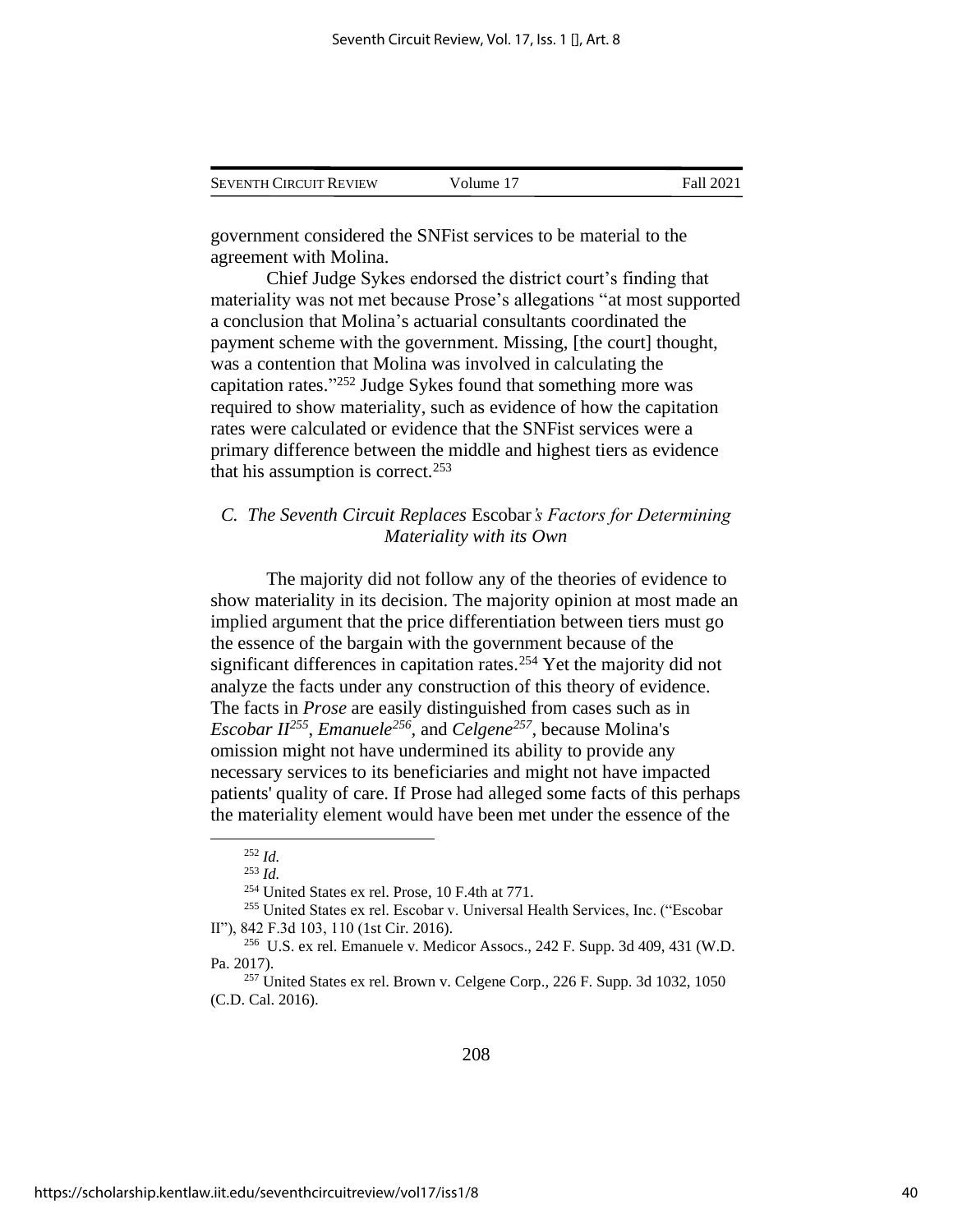| <b>SEVENTH CIRCUIT REVIEW</b> | Volume 17 | Fall 2021 |
|-------------------------------|-----------|-----------|
|                               |           |           |

government considered the SNFist services to be material to the agreement with Molina.

Chief Judge Sykes endorsed the district court's finding that materiality was not met because Prose's allegations "at most supported a conclusion that Molina's actuarial consultants coordinated the payment scheme with the government. Missing, [the court] thought, was a contention that Molina was involved in calculating the capitation rates." <sup>252</sup> Judge Sykes found that something more was required to show materiality, such as evidence of how the capitation rates were calculated or evidence that the SNFist services were a primary difference between the middle and highest tiers as evidence that his assumption is correct.<sup>253</sup>

## *C. The Seventh Circuit Replaces* Escobar*'s Factors for Determining Materiality with its Own*

The majority did not follow any of the theories of evidence to show materiality in its decision. The majority opinion at most made an implied argument that the price differentiation between tiers must go the essence of the bargain with the government because of the significant differences in capitation rates.<sup>254</sup> Yet the majority did not analyze the facts under any construction of this theory of evidence. The facts in *Prose* are easily distinguished from cases such as in *Escobar II<sup>255</sup>* , *Emanuele<sup>256</sup> ,* and *Celgene<sup>257</sup> ,* because Molina's omission might not have undermined its ability to provide any necessary services to its beneficiaries and might not have impacted patients' quality of care. If Prose had alleged some facts of this perhaps the materiality element would have been met under the essence of the

<sup>252</sup> *Id.*

<sup>253</sup> *Id.*

<sup>254</sup> United States ex rel. Prose, 10 F.4th at 771.

<sup>255</sup> United States ex rel. Escobar v. Universal Health Services, Inc. ("Escobar II"), 842 F.3d 103, 110 (1st Cir. 2016).

 $256$  U.S. ex rel. Emanuele v. Medicor Assocs., 242 F. Supp. 3d 409, 431 (W.D.) Pa. 2017).

<sup>257</sup> United States ex rel. Brown v. Celgene Corp., 226 F. Supp. 3d 1032, 1050 (C.D. Cal. 2016).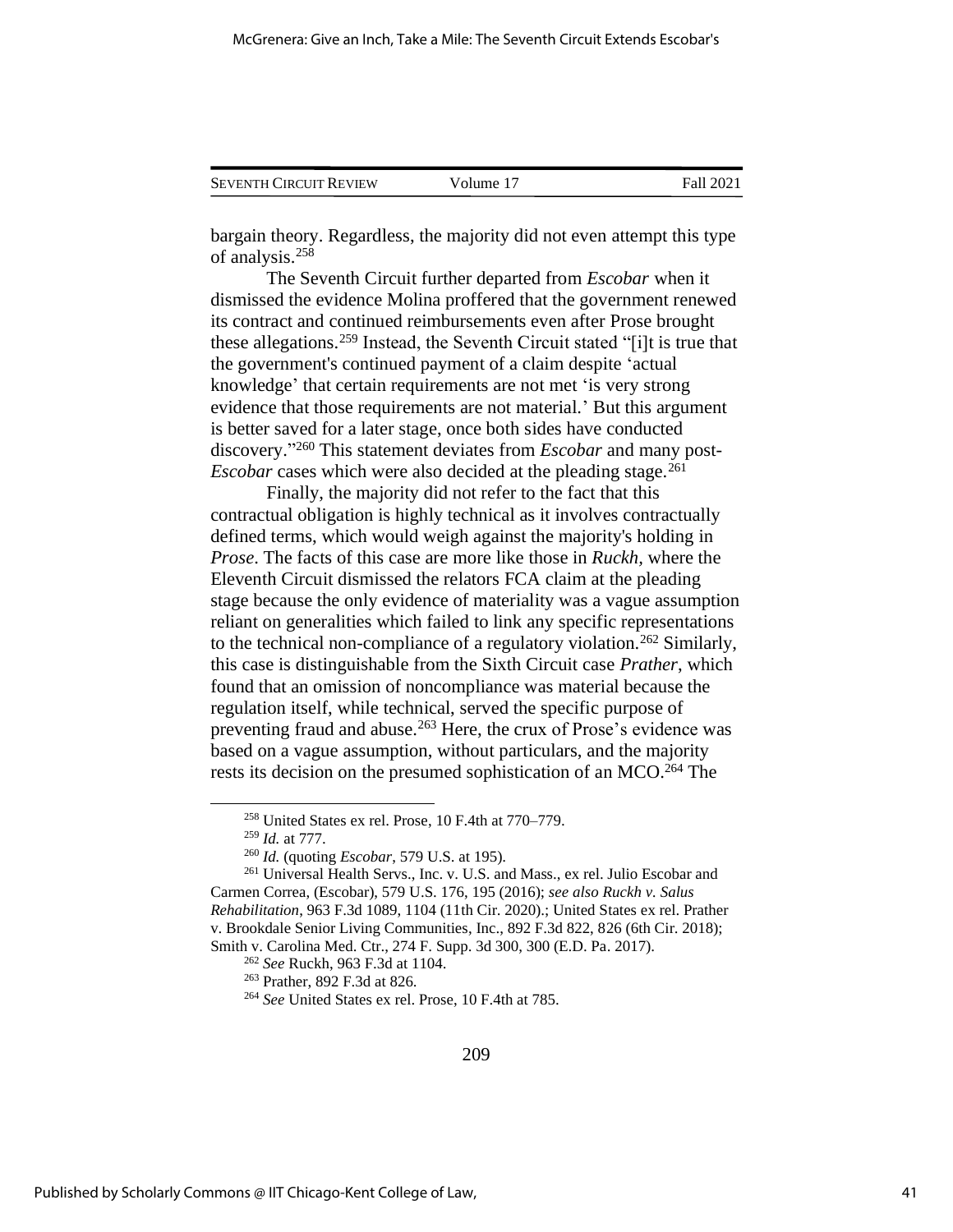| <b>SEVENTH CIRCUIT REVIEW</b> | Volume 17 | Fall 2021 |
|-------------------------------|-----------|-----------|
|                               |           |           |

bargain theory. Regardless, the majority did not even attempt this type of analysis.<sup>258</sup>

The Seventh Circuit further departed from *Escobar* when it dismissed the evidence Molina proffered that the government renewed its contract and continued reimbursements even after Prose brought these allegations.<sup>259</sup> Instead, the Seventh Circuit stated "[i]t is true that the government's continued payment of a claim despite 'actual knowledge' that certain requirements are not met 'is very strong evidence that those requirements are not material.' But this argument is better saved for a later stage, once both sides have conducted discovery." <sup>260</sup> This statement deviates from *Escobar* and many post-*Escobar* cases which were also decided at the pleading stage.<sup>261</sup>

Finally, the majority did not refer to the fact that this contractual obligation is highly technical as it involves contractually defined terms, which would weigh against the majority's holding in *Prose*. The facts of this case are more like those in *Ruckh,* where the Eleventh Circuit dismissed the relators FCA claim at the pleading stage because the only evidence of materiality was a vague assumption reliant on generalities which failed to link any specific representations to the technical non-compliance of a regulatory violation.<sup>262</sup> Similarly, this case is distinguishable from the Sixth Circuit case *Prather*, which found that an omission of noncompliance was material because the regulation itself, while technical, served the specific purpose of preventing fraud and abuse.<sup>263</sup> Here, the crux of Prose's evidence was based on a vague assumption, without particulars, and the majority rests its decision on the presumed sophistication of an MCO.<sup>264</sup> The

<sup>258</sup> United States ex rel. Prose, 10 F.4th at 770–779.

<sup>259</sup> *Id.* at 777.

<sup>260</sup> *Id.* (quoting *Escobar*, 579 U.S. at 195).

<sup>&</sup>lt;sup>261</sup> Universal Health Servs., Inc. v. U.S. and Mass., ex rel. Julio Escobar and Carmen Correa, (Escobar), 579 U.S. 176, 195 (2016); *see also Ruckh v. Salus Rehabilitation*, 963 F.3d 1089, 1104 (11th Cir. 2020).; United States ex rel. Prather v. Brookdale Senior Living Communities, Inc., 892 F.3d 822, 826 (6th Cir. 2018); Smith v. Carolina Med. Ctr., 274 F. Supp. 3d 300, 300 (E.D. Pa. 2017).

<sup>262</sup> *See* Ruckh, 963 F.3d at 1104.

<sup>263</sup> Prather, 892 F.3d at 826.

<sup>264</sup> *See* United States ex rel. Prose, 10 F.4th at 785.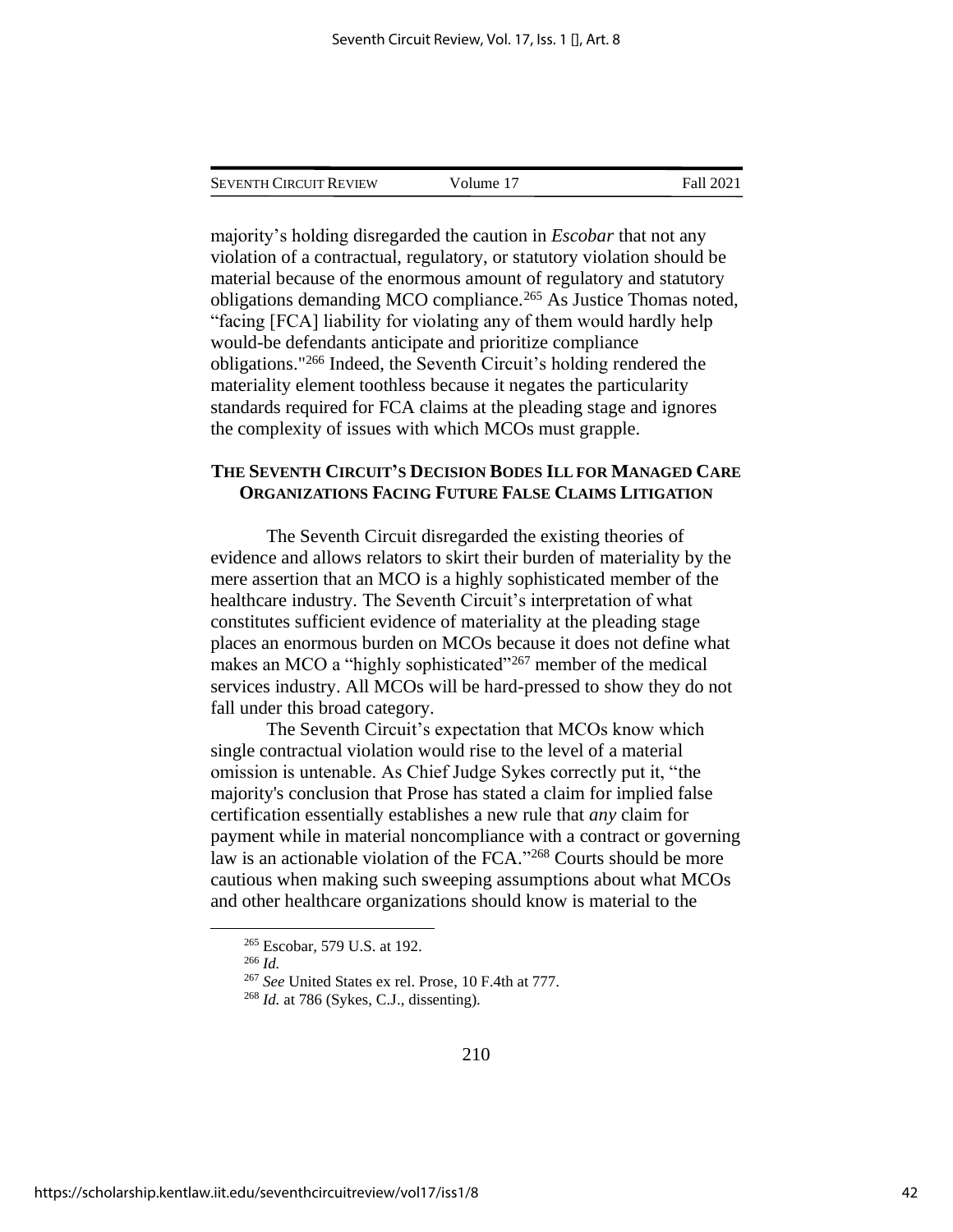| Seventh Circuit Review | Volume 17 | Fall 2021 |
|------------------------|-----------|-----------|
|                        |           |           |

majority's holding disregarded the caution in *Escobar* that not any violation of a contractual, regulatory, or statutory violation should be material because of the enormous amount of regulatory and statutory obligations demanding MCO compliance.<sup>265</sup> As Justice Thomas noted, "facing [FCA] liability for violating any of them would hardly help would-be defendants anticipate and prioritize compliance obligations."<sup>266</sup> Indeed, the Seventh Circuit's holding rendered the materiality element toothless because it negates the particularity standards required for FCA claims at the pleading stage and ignores the complexity of issues with which MCOs must grapple.

## **THE SEVENTH CIRCUIT'S DECISION BODES ILL FOR MANAGED CARE ORGANIZATIONS FACING FUTURE FALSE CLAIMS LITIGATION**

The Seventh Circuit disregarded the existing theories of evidence and allows relators to skirt their burden of materiality by the mere assertion that an MCO is a highly sophisticated member of the healthcare industry. The Seventh Circuit's interpretation of what constitutes sufficient evidence of materiality at the pleading stage places an enormous burden on MCOs because it does not define what makes an MCO a "highly sophisticated"<sup>267</sup> member of the medical services industry. All MCOs will be hard-pressed to show they do not fall under this broad category.

The Seventh Circuit's expectation that MCOs know which single contractual violation would rise to the level of a material omission is untenable. As Chief Judge Sykes correctly put it, "the majority's conclusion that Prose has stated a claim for implied false certification essentially establishes a new rule that *any* claim for payment while in material noncompliance with a contract or governing law is an actionable violation of the FCA."<sup>268</sup> Courts should be more cautious when making such sweeping assumptions about what MCOs and other healthcare organizations should know is material to the

<sup>265</sup> Escobar, 579 U.S. at 192.

<sup>266</sup> *Id.*

<sup>267</sup> *See* United States ex rel. Prose, 10 F.4th at 777.

<sup>268</sup> *Id.* at 786 (Sykes, C.J., dissenting).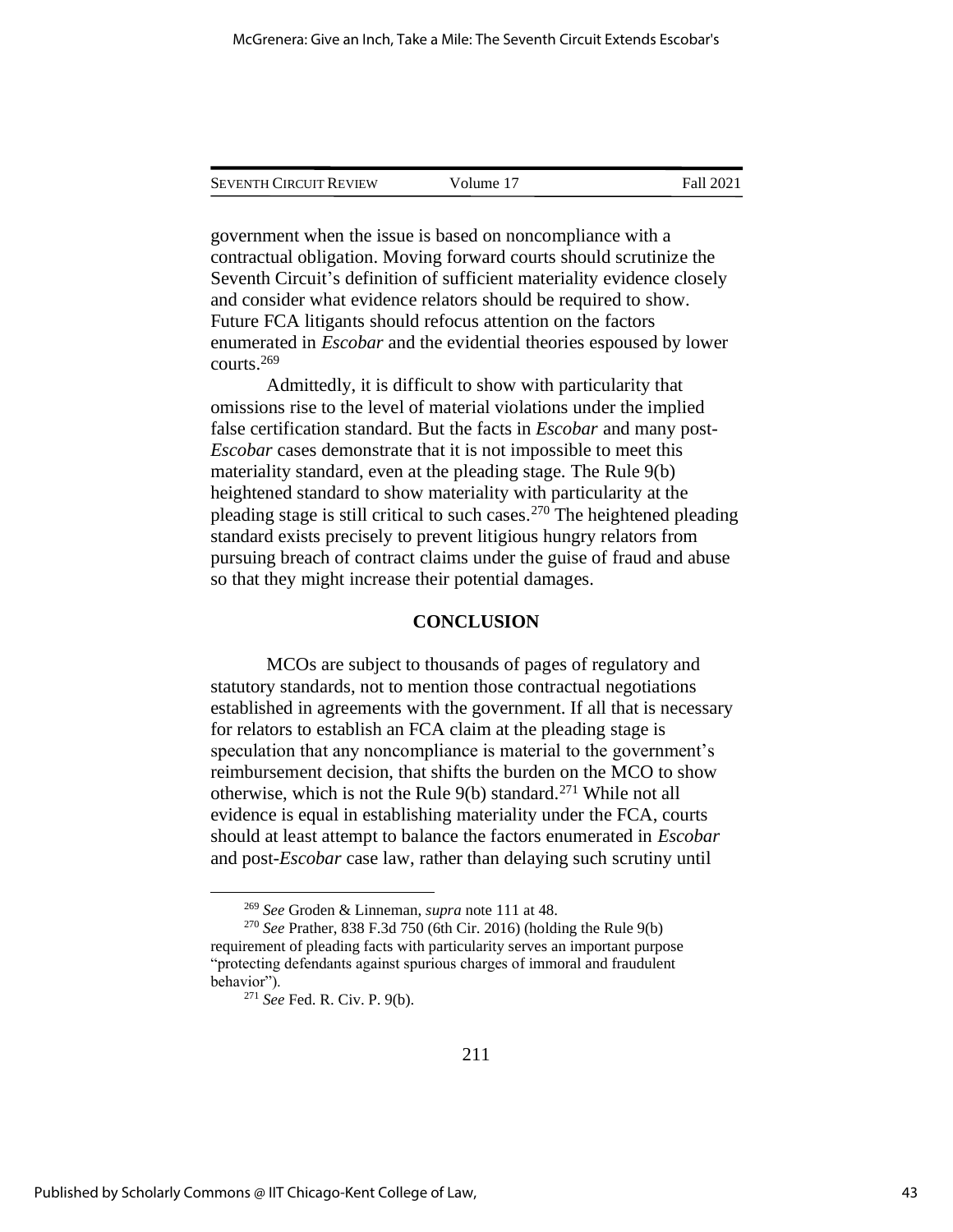| <b>SEVENTH CIRCUIT REVIEW</b> | Volume 17 | Fall 2021 |
|-------------------------------|-----------|-----------|
|                               |           |           |

government when the issue is based on noncompliance with a contractual obligation. Moving forward courts should scrutinize the Seventh Circuit's definition of sufficient materiality evidence closely and consider what evidence relators should be required to show. Future FCA litigants should refocus attention on the factors enumerated in *Escobar* and the evidential theories espoused by lower courts.<sup>269</sup>

Admittedly, it is difficult to show with particularity that omissions rise to the level of material violations under the implied false certification standard. But the facts in *Escobar* and many post-*Escobar* cases demonstrate that it is not impossible to meet this materiality standard, even at the pleading stage. The Rule 9(b) heightened standard to show materiality with particularity at the pleading stage is still critical to such cases.<sup>270</sup> The heightened pleading standard exists precisely to prevent litigious hungry relators from pursuing breach of contract claims under the guise of fraud and abuse so that they might increase their potential damages.

#### **CONCLUSION**

MCOs are subject to thousands of pages of regulatory and statutory standards, not to mention those contractual negotiations established in agreements with the government. If all that is necessary for relators to establish an FCA claim at the pleading stage is speculation that any noncompliance is material to the government's reimbursement decision, that shifts the burden on the MCO to show otherwise, which is not the Rule 9(b) standard.<sup>271</sup> While not all evidence is equal in establishing materiality under the FCA, courts should at least attempt to balance the factors enumerated in *Escobar* and post-*Escobar* case law, rather than delaying such scrutiny until

<sup>269</sup> *See* Groden & Linneman, *supra* note 111 at 48.

<sup>270</sup> *See* Prather, 838 F.3d 750 (6th Cir. 2016) (holding the Rule 9(b) requirement of pleading facts with particularity serves an important purpose "protecting defendants against spurious charges of immoral and fraudulent behavior").

<sup>271</sup> *See* Fed. R. Civ. P. 9(b).